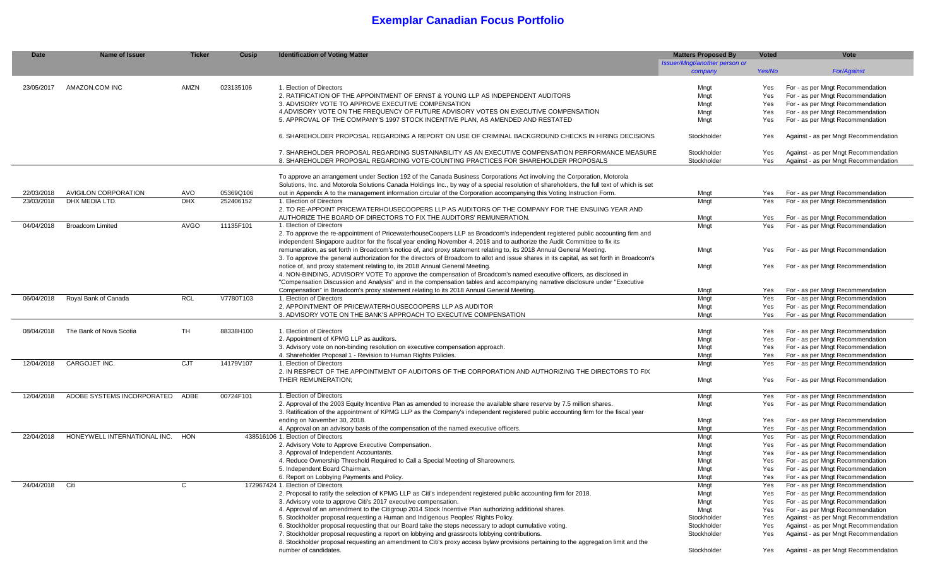# **Exemplar Canadian Focus Portfolio**

| <b>Date</b> | <b>Name of Issuer</b>        | <b>Ticker</b> | <b>Cusip</b> | <b>Identification of Voting Matter</b>                                                                                                     | <b>Matters Proposed By</b>    | <b>Voted</b> | <b>Vote</b>                          |
|-------------|------------------------------|---------------|--------------|--------------------------------------------------------------------------------------------------------------------------------------------|-------------------------------|--------------|--------------------------------------|
|             |                              |               |              |                                                                                                                                            | Issuer/Mngt/another person or |              |                                      |
|             |                              |               |              |                                                                                                                                            | company                       | Yes/No       | <b>For/Against</b>                   |
|             |                              |               |              |                                                                                                                                            |                               |              |                                      |
| 23/05/2017  | AMAZON.COM INC               | AMZN          | 023135106    | 1. Election of Directors                                                                                                                   | Mngt                          | Yes          | For - as per Mngt Recommendation     |
|             |                              |               |              | 2. RATIFICATION OF THE APPOINTMENT OF ERNST & YOUNG LLP AS INDEPENDENT AUDITORS                                                            | Mngt                          | Yes          | For - as per Mngt Recommendation     |
|             |                              |               |              | 3. ADVISORY VOTE TO APPROVE EXECUTIVE COMPENSATION                                                                                         | Mngt                          | Yes          | For - as per Mngt Recommendation     |
|             |                              |               |              | 4. ADVISORY VOTE ON THE FREQUENCY OF FUTURE ADVISORY VOTES ON EXECUTIVE COMPENSATION                                                       | Mngt                          | Yes          | For - as per Mngt Recommendation     |
|             |                              |               |              | 5. APPROVAL OF THE COMPANY'S 1997 STOCK INCENTIVE PLAN, AS AMENDED AND RESTATED                                                            |                               |              |                                      |
|             |                              |               |              |                                                                                                                                            | Mngt                          | Yes          | For - as per Mngt Recommendation     |
|             |                              |               |              | 6. SHAREHOLDER PROPOSAL REGARDING A REPORT ON USE OF CRIMINAL BACKGROUND CHECKS IN HIRING DECISIONS                                        | Stockholder                   | Yes          | Against - as per Mngt Recommendation |
|             |                              |               |              |                                                                                                                                            |                               |              |                                      |
|             |                              |               |              |                                                                                                                                            |                               |              |                                      |
|             |                              |               |              | 7. SHAREHOLDER PROPOSAL REGARDING SUSTAINABILITY AS AN EXECUTIVE COMPENSATION PERFORMANCE MEASURE                                          | Stockholder                   | Yes          | Against - as per Mngt Recommendation |
|             |                              |               |              | 8. SHAREHOLDER PROPOSAL REGARDING VOTE-COUNTING PRACTICES FOR SHAREHOLDER PROPOSALS                                                        | Stockholder                   | Yes          | Against - as per Mngt Recommendation |
|             |                              |               |              |                                                                                                                                            |                               |              |                                      |
|             |                              |               |              | To approve an arrangement under Section 192 of the Canada Business Corporations Act involving the Corporation, Motorola                    |                               |              |                                      |
|             |                              |               |              | Solutions, Inc. and Motorola Solutions Canada Holdings Inc., by way of a special resolution of shareholders, the full text of which is set |                               |              |                                      |
| 22/03/2018  | <b>AVIGILON CORPORATION</b>  | AVO           | 05369Q106    | out in Appendix A to the management information circular of the Corporation accompanying this Voting Instruction Form.                     | Mngt                          | Yes          | For - as per Mngt Recommendation     |
| 23/03/2018  | DHX MEDIA LTD.               | <b>DHX</b>    | 252406152    | 1. Election of Directors                                                                                                                   | Mngt                          | Yes          | For - as per Mngt Recommendation     |
|             |                              |               |              | 2. TO RE-APPOINT PRICEWATERHOUSECOOPERS LLP AS AUDITORS OF THE COMPANY FOR THE ENSUING YEAR AND                                            |                               |              |                                      |
|             |                              |               |              | AUTHORIZE THE BOARD OF DIRECTORS TO FIX THE AUDITORS' REMUNERATION.                                                                        | Mngt                          | Yes          | For - as per Mngt Recommendation     |
| 04/04/2018  | <b>Broadcom Limited</b>      | <b>AVGO</b>   | 11135F101    | 1. Election of Directors                                                                                                                   | Mngt                          | Yes          | For - as per Mngt Recommendation     |
|             |                              |               |              | 2. To approve the re-appointment of PricewaterhouseCoopers LLP as Broadcom's independent registered public accounting firm and             |                               |              |                                      |
|             |                              |               |              | independent Singapore auditor for the fiscal year ending November 4, 2018 and to authorize the Audit Committee to fix its                  |                               |              |                                      |
|             |                              |               |              | remuneration, as set forth in Broadcom's notice of, and proxy statement relating to, its 2018 Annual General Meeting.                      | Mngt                          | Yes          | For - as per Mngt Recommendation     |
|             |                              |               |              | 3. To approve the general authorization for the directors of Broadcom to allot and issue shares in its capital, as set forth in Broadcom's |                               |              |                                      |
|             |                              |               |              | notice of, and proxy statement relating to, its 2018 Annual General Meeting.                                                               | Mngt                          | Yes          | For - as per Mngt Recommendation     |
|             |                              |               |              | 4. NON-BINDING, ADVISORY VOTE To approve the compensation of Broadcom's named executive officers, as disclosed in                          |                               |              |                                      |
|             |                              |               |              | "Compensation Discussion and Analysis" and in the compensation tables and accompanying narrative disclosure under "Executive               |                               |              |                                      |
|             |                              |               |              | Compensation" in Broadcom's proxy statement relating to its 2018 Annual General Meeting.                                                   | Mngt                          | Yes          | For - as per Mngt Recommendation     |
| 06/04/2018  | Royal Bank of Canada         | <b>RCL</b>    | V7780T103    | 1. Election of Directors                                                                                                                   | Mngt                          | Yes          | For - as per Mngt Recommendation     |
|             |                              |               |              | 2. APPOINTMENT OF PRICEWATERHOUSECOOPERS LLP AS AUDITOR                                                                                    | Mngt                          | Yes          | For - as per Mngt Recommendation     |
|             |                              |               |              | 3. ADVISORY VOTE ON THE BANK'S APPROACH TO EXECUTIVE COMPENSATION                                                                          | Mngt                          | Yes          | For - as per Mngt Recommendation     |
|             |                              |               |              |                                                                                                                                            |                               |              |                                      |
| 08/04/2018  | The Bank of Nova Scotia      | TH.           | 88338H100    | . Election of Directors                                                                                                                    |                               |              | For - as per Mngt Recommendation     |
|             |                              |               |              | 2. Appointment of KPMG LLP as auditors.                                                                                                    | Mngt                          | Yes          | For - as per Mngt Recommendation     |
|             |                              |               |              | 3. Advisory vote on non-binding resolution on executive compensation approach.                                                             | Mngt                          | Yes          |                                      |
|             |                              |               |              |                                                                                                                                            | Mngt                          | Yes          | For - as per Mngt Recommendation     |
|             |                              |               |              | 4. Shareholder Proposal 1 - Revision to Human Rights Policies.                                                                             | Mngt                          | Yes          | For - as per Mngt Recommendation     |
| 12/04/2018  | CARGOJET INC.                | <b>CJT</b>    | 14179V107    | I. Election of Directors                                                                                                                   | Mngt                          | Yes          | For - as per Mngt Recommendation     |
|             |                              |               |              | 2. IN RESPECT OF THE APPOINTMENT OF AUDITORS OF THE CORPORATION AND AUTHORIZING THE DIRECTORS TO FIX                                       |                               |              |                                      |
|             |                              |               |              | THEIR REMUNERATION;                                                                                                                        | Mngt                          | Yes          | For - as per Mngt Recommendation     |
|             |                              |               |              |                                                                                                                                            |                               |              |                                      |
| 12/04/2018  | ADOBE SYSTEMS INCORPORATED   | ADBE          | 00724F101    | 1. Election of Directors                                                                                                                   | Mngt                          | Yes          | For - as per Mngt Recommendation     |
|             |                              |               |              | 2. Approval of the 2003 Equity Incentive Plan as amended to increase the available share reserve by 7.5 million shares.                    | Mngt                          | Yes          | For - as per Mngt Recommendation     |
|             |                              |               |              | 3. Ratification of the appointment of KPMG LLP as the Company's independent registered public accounting firm for the fiscal year          |                               |              |                                      |
|             |                              |               |              | ending on November 30, 2018.                                                                                                               | Mngt                          | Yes          | For - as per Mngt Recommendation     |
|             |                              |               |              | 4. Approval on an advisory basis of the compensation of the named executive officers.                                                      | Mngt                          | Yes          | For - as per Mngt Recommendation     |
| 22/04/2018  | HONEYWELL INTERNATIONAL INC. | <b>HON</b>    |              | 438516106 1. Election of Directors                                                                                                         | Mngt                          | Yes          | For - as per Mngt Recommendation     |
|             |                              |               |              | 2. Advisory Vote to Approve Executive Compensation.                                                                                        | Mngt                          | Yes          | For - as per Mngt Recommendation     |
|             |                              |               |              | 3. Approval of Independent Accountants.                                                                                                    | Mngt                          | Yes          | For - as per Mngt Recommendation     |
|             |                              |               |              | 4. Reduce Ownership Threshold Required to Call a Special Meeting of Shareowners.                                                           | Mngt                          | Yes          | For - as per Mngt Recommendation     |
|             |                              |               |              | 5. Independent Board Chairman.                                                                                                             | Mngt                          | Yes          | For - as per Mngt Recommendation     |
|             |                              |               |              | 6. Report on Lobbying Payments and Policy.                                                                                                 | Mngt                          | Yes          | For - as per Mngt Recommendation     |
| 24/04/2018  | Citi                         | C             |              | 172967424 1. Election of Directors                                                                                                         | Mngt                          | Yes          | For - as per Mngt Recommendation     |
|             |                              |               |              | 2. Proposal to ratify the selection of KPMG LLP as Citi's independent registered public accounting firm for 2018.                          | Mngt                          | Yes          | For - as per Mngt Recommendation     |
|             |                              |               |              | 3. Advisory vote to approve Citi's 2017 executive compensation.                                                                            | Mngt                          | Yes          | For - as per Mngt Recommendation     |
|             |                              |               |              | 4. Approval of an amendment to the Citigroup 2014 Stock Incentive Plan authorizing additional shares.                                      | Mngt                          | Yes          | For - as per Mngt Recommendation     |
|             |                              |               |              | 5. Stockholder proposal requesting a Human and Indigenous Peoples' Rights Policy.                                                          | Stockholder                   | Yes          | Against - as per Mngt Recommendation |
|             |                              |               |              | 6. Stockholder proposal requesting that our Board take the steps necessary to adopt cumulative voting.                                     | Stockholder                   | Yes          | Against - as per Mngt Recommendation |
|             |                              |               |              | 7. Stockholder proposal requesting a report on lobbying and grassroots lobbying contributions.                                             | Stockholder                   | Yes          | Against - as per Mngt Recommendation |
|             |                              |               |              | 8. Stockholder proposal requesting an amendment to Citi's proxy access bylaw provisions pertaining to the aggregation limit and the        |                               |              |                                      |
|             |                              |               |              |                                                                                                                                            |                               |              |                                      |
|             |                              |               |              | number of candidates.                                                                                                                      | Stockholder                   | Yes          | Against - as per Mngt Recommendation |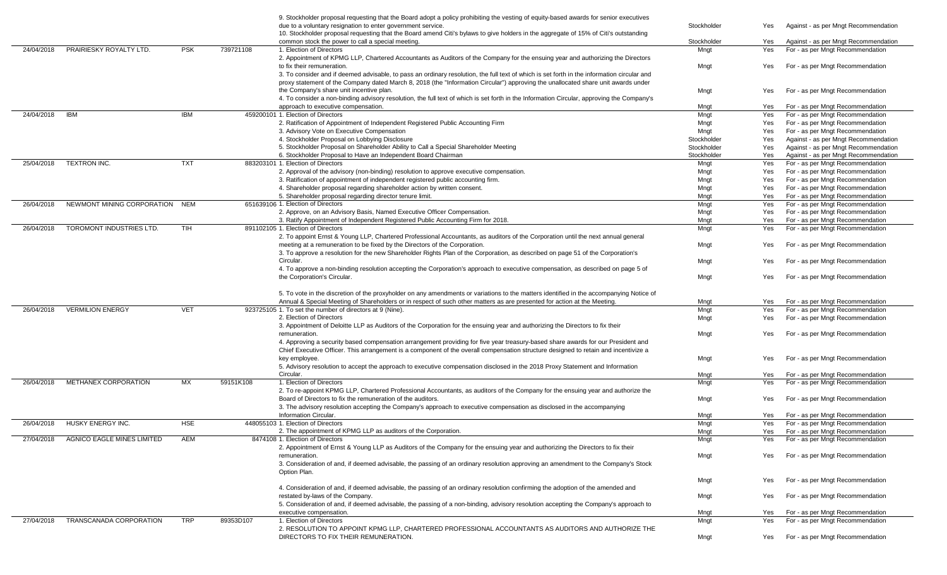|            |                                   |            |           | 9. Stockholder proposal requesting that the Board adopt a policy prohibiting the vesting of equity-based awards for senior executives<br>due to a voluntary resignation to enter government service. | Stockholder  | Yes | Against - as per Mngt Recommendation                                 |
|------------|-----------------------------------|------------|-----------|------------------------------------------------------------------------------------------------------------------------------------------------------------------------------------------------------|--------------|-----|----------------------------------------------------------------------|
|            |                                   |            |           | 10. Stockholder proposal requesting that the Board amend Citi's bylaws to give holders in the aggregate of 15% of Citi's outstanding                                                                 |              |     |                                                                      |
|            | PRAIRIESKY ROYALTY LTD.           | <b>PSK</b> | 739721108 | common stock the power to call a special meeting.<br>1. Election of Directors                                                                                                                        | Stockholder  | Yes | Against - as per Mngt Recommendation                                 |
| 24/04/2018 |                                   |            |           | 2. Appointment of KPMG LLP, Chartered Accountants as Auditors of the Company for the ensuing year and authorizing the Directors                                                                      | Mngt         | Yes | For - as per Mngt Recommendation                                     |
|            |                                   |            |           | to fix their remuneration.                                                                                                                                                                           | Mngt         | Yes | For - as per Mngt Recommendation                                     |
|            |                                   |            |           | 3. To consider and if deemed advisable, to pass an ordinary resolution, the full text of which is set forth in the information circular and                                                          |              |     |                                                                      |
|            |                                   |            |           | proxy statement of the Company dated March 8, 2018 (the "Information Circular") approving the unallocated share unit awards under                                                                    |              |     |                                                                      |
|            |                                   |            |           | the Company's share unit incentive plan.                                                                                                                                                             | Mngt         | Yes | For - as per Mngt Recommendation                                     |
|            |                                   |            |           | 4. To consider a non-binding advisory resolution, the full text of which is set forth in the Information Circular, approving the Company's                                                           |              |     |                                                                      |
|            |                                   |            |           | approach to executive compensation.                                                                                                                                                                  | Mngt         | Yes | For - as per Mngt Recommendation                                     |
| 24/04/2018 | <b>IBM</b>                        | IBM        |           | 459200101 1. Election of Directors                                                                                                                                                                   | Mngt         | Yes | For - as per Mngt Recommendation                                     |
|            |                                   |            |           | 2. Ratification of Appointment of Independent Registered Public Accounting Firm                                                                                                                      | Mngt         | Yes | For - as per Mngt Recommendation                                     |
|            |                                   |            |           | 3. Advisory Vote on Executive Compensation                                                                                                                                                           | Mngt         | Yes | For - as per Mngt Recommendation                                     |
|            |                                   |            |           | 4. Stockholder Proposal on Lobbying Disclosure                                                                                                                                                       | Stockholder  | Yes | Against - as per Mngt Recommendation                                 |
|            |                                   |            |           | 5. Stockholder Proposal on Shareholder Ability to Call a Special Shareholder Meeting                                                                                                                 | Stockholder  | Yes | Against - as per Mngt Recommendation                                 |
|            |                                   |            |           | 6. Stockholder Proposal to Have an Independent Board Chairman                                                                                                                                        | Stockholder  | Yes | Against - as per Mngt Recommendation                                 |
| 25/04/2018 | TEXTRON INC.                      | <b>TXT</b> |           | 883203101 1. Election of Directors                                                                                                                                                                   | Mngt         | Yes | For - as per Mngt Recommendation                                     |
|            |                                   |            |           | 2. Approval of the advisory (non-binding) resolution to approve executive compensation.                                                                                                              | Mngt         | Yes | For - as per Mngt Recommendation                                     |
|            |                                   |            |           | 3. Ratification of appointment of independent registered public accounting firm.                                                                                                                     | Mngt         | Yes | For - as per Mngt Recommendation                                     |
|            |                                   |            |           | 4. Shareholder proposal regarding shareholder action by written consent.                                                                                                                             | Mngt         | Yes | For - as per Mngt Recommendation                                     |
|            |                                   |            |           | 5. Shareholder proposal regarding director tenure limit.                                                                                                                                             | Mngt         | Yes | For - as per Mngt Recommendation                                     |
| 26/04/2018 | NEWMONT MINING CORPORATION NEM    |            |           | 651639106 1. Election of Directors                                                                                                                                                                   | Mngt         | Yes | For - as per Mngt Recommendation                                     |
|            |                                   |            |           | 2. Approve, on an Advisory Basis, Named Executive Officer Compensation.                                                                                                                              | Mngt         | Yes | For - as per Mngt Recommendation                                     |
| 26/04/2018 | TOROMONT INDUSTRIES LTD.          | TIH        |           | 3. Ratify Appointment of Independent Registered Public Accounting Firm for 2018.<br>891102105 1. Election of Directors                                                                               | Mngt<br>Mngt | Yes | For - as per Mngt Recommendation<br>For - as per Mngt Recommendation |
|            |                                   |            |           | 2. To appoint Ernst & Young LLP, Chartered Professional Accountants, as auditors of the Corporation until the next annual general                                                                    |              | Yes |                                                                      |
|            |                                   |            |           | meeting at a remuneration to be fixed by the Directors of the Corporation.                                                                                                                           | Mngt         | Yes | For - as per Mngt Recommendation                                     |
|            |                                   |            |           | 3. To approve a resolution for the new Shareholder Rights Plan of the Corporation, as described on page 51 of the Corporation's                                                                      |              |     |                                                                      |
|            |                                   |            |           | Circular.                                                                                                                                                                                            | Mngt         | Yes | For - as per Mngt Recommendation                                     |
|            |                                   |            |           | 4. To approve a non-binding resolution accepting the Corporation's approach to executive compensation, as described on page 5 of                                                                     |              |     |                                                                      |
|            |                                   |            |           | the Corporation's Circular.                                                                                                                                                                          | Mngt         | Yes | For - as per Mngt Recommendation                                     |
|            |                                   |            |           |                                                                                                                                                                                                      |              |     |                                                                      |
|            |                                   |            |           | 5. To vote in the discretion of the proxyholder on any amendments or variations to the matters identified in the accompanying Notice of                                                              |              |     |                                                                      |
|            |                                   |            |           | Annual & Special Meeting of Shareholders or in respect of such other matters as are presented for action at the Meeting.                                                                             | Mngt         | Yes | For - as per Mngt Recommendation                                     |
| 26/04/2018 | <b>VERMILION ENERGY</b>           | <b>VET</b> |           | 923725105 1. To set the number of directors at 9 (Nine).                                                                                                                                             | Mngt         | Yes | For - as per Mngt Recommendation                                     |
|            |                                   |            |           | 2. Election of Directors                                                                                                                                                                             | Mngt         | Yes | For - as per Mngt Recommendation                                     |
|            |                                   |            |           | 3. Appointment of Deloitte LLP as Auditors of the Corporation for the ensuing year and authorizing the Directors to fix their                                                                        |              |     |                                                                      |
|            |                                   |            |           | remuneration                                                                                                                                                                                         | Mngt         | Yes | For - as per Mngt Recommendation                                     |
|            |                                   |            |           | 4. Approving a security based compensation arrangement providing for five year treasury-based share awards for our President and                                                                     |              |     |                                                                      |
|            |                                   |            |           | Chief Executive Officer. This arrangement is a component of the overall compensation structure designed to retain and incentivize a                                                                  |              |     |                                                                      |
|            |                                   |            |           | key employee.                                                                                                                                                                                        | Mngt         | Yes | For - as per Mngt Recommendation                                     |
|            |                                   |            |           | 5. Advisory resolution to accept the approach to executive compensation disclosed in the 2018 Proxy Statement and Information                                                                        |              |     |                                                                      |
|            |                                   |            |           | Circular.<br>1. Election of Directors                                                                                                                                                                | Mngt         | Yes | For - as per Mngt Recommendation                                     |
| 26/04/2018 | METHANEX CORPORATION              | MX         | 59151K108 | 2. To re-appoint KPMG LLP, Chartered Professional Accountants, as auditors of the Company for the ensuing year and authorize the                                                                     | Mngt         | Yes | For - as per Mngt Recommendation                                     |
|            |                                   |            |           | Board of Directors to fix the remuneration of the auditors.                                                                                                                                          | Mngt         | Yes | For - as per Mngt Recommendation                                     |
|            |                                   |            |           | 3. The advisory resolution accepting the Company's approach to executive compensation as disclosed in the accompanying                                                                               |              |     |                                                                      |
|            |                                   |            |           | <b>Information Circular</b>                                                                                                                                                                          | Mngt         | Yes | For - as per Mngt Recommendation                                     |
| 26/04/2018 | HUSKY ENERGY INC.                 | <b>HSE</b> |           | 448055103 1. Election of Directors                                                                                                                                                                   | Mngt         | Yes | For - as per Mngt Recommendation                                     |
|            |                                   |            |           | 2. The appointment of KPMG LLP as auditors of the Corporation.                                                                                                                                       | Mngt         | Yes | For - as per Mngt Recommendation                                     |
| 27/04/2018 | <b>AGNICO EAGLE MINES LIMITED</b> | AEM        |           | 8474108 1. Election of Directors                                                                                                                                                                     | Mngt         | Yes | For - as per Mngt Recommendation                                     |
|            |                                   |            |           | 2. Appointment of Ernst & Young LLP as Auditors of the Company for the ensuing year and authorizing the Directors to fix their                                                                       |              |     |                                                                      |
|            |                                   |            |           | remuneration.                                                                                                                                                                                        | Mngt         | Yes | For - as per Mngt Recommendation                                     |
|            |                                   |            |           | 3. Consideration of and, if deemed advisable, the passing of an ordinary resolution approving an amendment to the Company's Stock                                                                    |              |     |                                                                      |
|            |                                   |            |           | Option Plan.                                                                                                                                                                                         |              |     |                                                                      |
|            |                                   |            |           |                                                                                                                                                                                                      | Mngt         | Yes | For - as per Mngt Recommendation                                     |
|            |                                   |            |           | 4. Consideration of and, if deemed advisable, the passing of an ordinary resolution confirming the adoption of the amended and                                                                       |              |     |                                                                      |
|            |                                   |            |           | restated by-laws of the Company.                                                                                                                                                                     | Mngt         | Yes | For - as per Mngt Recommendation                                     |
|            |                                   |            |           | 5. Consideration of and, if deemed advisable, the passing of a non-binding, advisory resolution accepting the Company's approach to                                                                  |              |     |                                                                      |
|            |                                   |            |           | executive compensation.                                                                                                                                                                              | Mngt         | Yes | For - as per Mngt Recommendation                                     |
| 27/04/2018 | TRANSCANADA CORPORATION           | <b>TRP</b> | 89353D107 | 1. Election of Directors                                                                                                                                                                             | Mngt         | Yes | For - as per Mngt Recommendation                                     |
|            |                                   |            |           | 2. RESOLUTION TO APPOINT KPMG LLP, CHARTERED PROFESSIONAL ACCOUNTANTS AS AUDITORS AND AUTHORIZE THE                                                                                                  |              |     |                                                                      |
|            |                                   |            |           | DIRECTORS TO FIX THEIR REMUNERATION.                                                                                                                                                                 | Mngt         | Yes | For - as per Mngt Recommendation                                     |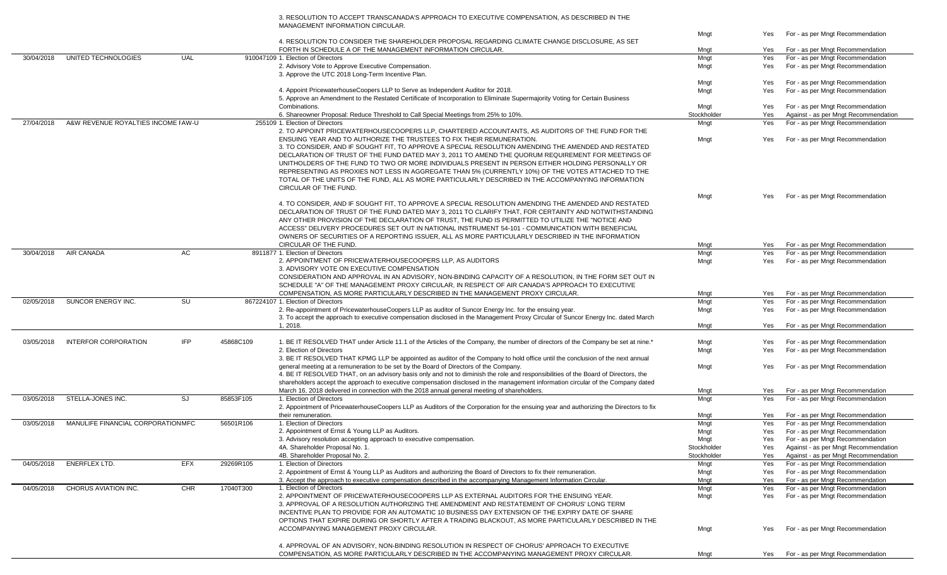3. RESOLUTION TO ACCEPT TRANSCANADA'S APPROACH TO EXECUTIVE COMPENSATION, AS DESCRIBED IN THE MANAGEMENT INFORMATION CIRCULAR.

|            |                                     |            |           |                                                                                                                                                                                               | Mngt        | Yes        | For - as per Mngt Recommendation     |
|------------|-------------------------------------|------------|-----------|-----------------------------------------------------------------------------------------------------------------------------------------------------------------------------------------------|-------------|------------|--------------------------------------|
|            |                                     |            |           | 4. RESOLUTION TO CONSIDER THE SHAREHOLDER PROPOSAL REGARDING CLIMATE CHANGE DISCLOSURE, AS SET                                                                                                |             |            |                                      |
|            |                                     |            |           | FORTH IN SCHEDULE A OF THE MANAGEMENT INFORMATION CIRCULAR.                                                                                                                                   | Mngt        | Yes        | For - as per Mngt Recommendation     |
| 30/04/2018 | UNITED TECHNOLOGIES                 | <b>UAL</b> |           | 910047109 1. Election of Directors                                                                                                                                                            | Mngt        | Yes        | For - as per Mngt Recommendation     |
|            |                                     |            |           | 2. Advisory Vote to Approve Executive Compensation.                                                                                                                                           | Mngt        | Yes        | For - as per Mngt Recommendation     |
|            |                                     |            |           | 3. Approve the UTC 2018 Long-Term Incentive Plan.                                                                                                                                             |             |            |                                      |
|            |                                     |            |           |                                                                                                                                                                                               | Mngt        | Yes        | For - as per Mngt Recommendation     |
|            |                                     |            |           | 4. Appoint PricewaterhouseCoopers LLP to Serve as Independent Auditor for 2018.                                                                                                               | Mngt        | Yes        | For - as per Mngt Recommendation     |
|            |                                     |            |           | 5. Approve an Amendment to the Restated Certificate of Incorporation to Eliminate Supermajority Voting for Certain Business                                                                   |             |            |                                      |
|            |                                     |            |           | Combinations.                                                                                                                                                                                 | Mngt        | Yes        | For - as per Mngt Recommendation     |
|            |                                     |            |           | 6. Shareowner Proposal: Reduce Threshold to Call Special Meetings from 25% to 10%.                                                                                                            | Stockholder | Yes        | Against - as per Mngt Recommendation |
| 27/04/2018 | A&W REVENUE ROYALTIES INCOME I AW-U |            |           | 255109 1. Election of Directors                                                                                                                                                               | Mngt        | Yes        | For - as per Mngt Recommendation     |
|            |                                     |            |           |                                                                                                                                                                                               |             |            |                                      |
|            |                                     |            |           | 2. TO APPOINT PRICEWATERHOUSECOOPERS LLP, CHARTERED ACCOUNTANTS, AS AUDITORS OF THE FUND FOR THE                                                                                              |             |            |                                      |
|            |                                     |            |           | ENSUING YEAR AND TO AUTHORIZE THE TRUSTEES TO FIX THEIR REMUNERATION.                                                                                                                         | Mngt        | Yes        | For - as per Mngt Recommendation     |
|            |                                     |            |           | 3. TO CONSIDER, AND IF SOUGHT FIT, TO APPROVE A SPECIAL RESOLUTION AMENDING THE AMENDED AND RESTATED                                                                                          |             |            |                                      |
|            |                                     |            |           | DECLARATION OF TRUST OF THE FUND DATED MAY 3, 2011 TO AMEND THE QUORUM REQUIREMENT FOR MEETINGS OF                                                                                            |             |            |                                      |
|            |                                     |            |           | UNITHOLDERS OF THE FUND TO TWO OR MORE INDIVIDUALS PRESENT IN PERSON EITHER HOLDING PERSONALLY OR                                                                                             |             |            |                                      |
|            |                                     |            |           | REPRESENTING AS PROXIES NOT LESS IN AGGREGATE THAN 5% (CURRENTLY 10%) OF THE VOTES ATTACHED TO THE                                                                                            |             |            |                                      |
|            |                                     |            |           | TOTAL OF THE UNITS OF THE FUND, ALL AS MORE PARTICULARLY DESCRIBED IN THE ACCOMPANYING INFORMATION                                                                                            |             |            |                                      |
|            |                                     |            |           | CIRCULAR OF THE FUND.                                                                                                                                                                         |             |            |                                      |
|            |                                     |            |           |                                                                                                                                                                                               | Mngt        | <b>Yes</b> | For - as per Mngt Recommendation     |
|            |                                     |            |           | 4. TO CONSIDER, AND IF SOUGHT FIT, TO APPROVE A SPECIAL RESOLUTION AMENDING THE AMENDED AND RESTATED                                                                                          |             |            |                                      |
|            |                                     |            |           |                                                                                                                                                                                               |             |            |                                      |
|            |                                     |            |           | DECLARATION OF TRUST OF THE FUND DATED MAY 3, 2011 TO CLARIFY THAT, FOR CERTAINTY AND NOTWITHSTANDING                                                                                         |             |            |                                      |
|            |                                     |            |           | ANY OTHER PROVISION OF THE DECLARATION OF TRUST, THE FUND IS PERMITTED TO UTILIZE THE "NOTICE AND                                                                                             |             |            |                                      |
|            |                                     |            |           | ACCESS" DELIVERY PROCEDURES SET OUT IN NATIONAL INSTRUMENT 54-101 - COMMUNICATION WITH BENEFICIAL                                                                                             |             |            |                                      |
|            |                                     |            |           | OWNERS OF SECURITIES OF A REPORTING ISSUER, ALL AS MORE PARTICULARLY DESCRIBED IN THE INFORMATION                                                                                             |             |            |                                      |
|            |                                     |            |           | <b>CIRCULAR OF THE FUND.</b>                                                                                                                                                                  | Mngt        | Yes        | For - as per Mngt Recommendation     |
| 30/04/2018 | <b>AIR CANADA</b>                   | AC         |           | 8911877 1. Election of Directors                                                                                                                                                              | Mngt        | Yes        | For - as per Mngt Recommendation     |
|            |                                     |            |           | 2. APPOINTMENT OF PRICEWATERHOUSECOOPERS LLP, AS AUDITORS                                                                                                                                     | Mngt        | Yes        | For - as per Mngt Recommendation     |
|            |                                     |            |           | 3. ADVISORY VOTE ON EXECUTIVE COMPENSATION                                                                                                                                                    |             |            |                                      |
|            |                                     |            |           | CONSIDERATION AND APPROVAL IN AN ADVISORY, NON-BINDING CAPACITY OF A RESOLUTION, IN THE FORM SET OUT IN                                                                                       |             |            |                                      |
|            |                                     |            |           | SCHEDULE "A" OF THE MANAGEMENT PROXY CIRCULAR, IN RESPECT OF AIR CANADA'S APPROACH TO EXECUTIVE                                                                                               |             |            |                                      |
|            |                                     |            |           | COMPENSATION, AS MORE PARTICULARLY DESCRIBED IN THE MANAGEMENT PROXY CIRCULAR.                                                                                                                |             |            |                                      |
|            |                                     |            |           |                                                                                                                                                                                               | Mngt        | Yes        | For - as per Mngt Recommendation     |
| 02/05/2018 | SUNCOR ENERGY INC.                  | <b>SU</b>  |           | 867224107 1. Election of Directors                                                                                                                                                            | Mngt        | Yes        | For - as per Mngt Recommendation     |
|            |                                     |            |           | 2. Re-appointment of PricewaterhouseCoopers LLP as auditor of Suncor Energy Inc. for the ensuing year.                                                                                        | Mngt        | Yes        | For - as per Mngt Recommendation     |
|            |                                     |            |           | 3. To accept the approach to executive compensation disclosed in the Management Proxy Circular of Suncor Energy Inc. dated March                                                              |             |            |                                      |
|            |                                     |            |           | 1, 2018.                                                                                                                                                                                      | Mngt        | Yes        | For - as per Mngt Recommendation     |
|            |                                     |            |           |                                                                                                                                                                                               |             |            |                                      |
| 03/05/2018 | <b>INTERFOR CORPORATION</b>         | <b>IFP</b> | 45868C109 | 1. BE IT RESOLVED THAT under Article 11.1 of the Articles of the Company, the number of directors of the Company be set at nine.*                                                             | Mngt        | Yes        | For - as per Mngt Recommendation     |
|            |                                     |            |           | 2. Election of Directors                                                                                                                                                                      | Mngt        | Yes        | For - as per Mngt Recommendation     |
|            |                                     |            |           | 3. BE IT RESOLVED THAT KPMG LLP be appointed as auditor of the Company to hold office until the conclusion of the next annual                                                                 |             |            |                                      |
|            |                                     |            |           | general meeting at a remuneration to be set by the Board of Directors of the Company.                                                                                                         | Mngt        | Yes        | For - as per Mngt Recommendation     |
|            |                                     |            |           | 4. BE IT RESOLVED THAT, on an advisory basis only and not to diminish the role and responsibilities of the Board of Directors, the                                                            |             |            |                                      |
|            |                                     |            |           | shareholders accept the approach to executive compensation disclosed in the management information circular of the Company dated                                                              |             |            |                                      |
|            |                                     |            |           |                                                                                                                                                                                               |             |            |                                      |
|            |                                     |            |           | March 16, 2018 delivered in connection with the 2018 annual general meeting of shareholders.                                                                                                  | Mngt        | Yes        | For - as per Mngt Recommendation     |
| 03/05/2018 | STELLA-JONES INC.                   | SJ         | 85853F105 | 1. Election of Directors                                                                                                                                                                      | Mngt        | Yes        | For - as per Mngt Recommendation     |
|            |                                     |            |           | 2. Appointment of PricewaterhouseCoopers LLP as Auditors of the Corporation for the ensuing year and authorizing the Directors to fix                                                         |             |            |                                      |
|            |                                     |            |           | their remuneration.                                                                                                                                                                           | Mngt        | Yes        | For - as per Mngt Recommendation     |
| 03/05/2018 | MANULIFE FINANCIAL CORPORATION MFC  |            | 56501R106 | 1. Election of Directors                                                                                                                                                                      | Mngt        | Yes        | For - as per Mngt Recommendation     |
|            |                                     |            |           | 2. Appointment of Ernst & Young LLP as Auditors.                                                                                                                                              | Mngt        | Yes        | For - as per Mngt Recommendation     |
|            |                                     |            |           |                                                                                                                                                                                               |             |            | For - as per Mngt Recommendation     |
|            |                                     |            |           |                                                                                                                                                                                               |             |            |                                      |
|            |                                     |            |           | 3. Advisory resolution accepting approach to executive compensation.                                                                                                                          | Mngt        | Yes        |                                      |
|            |                                     |            |           | 4A. Shareholder Proposal No. 1.                                                                                                                                                               | Stockholder | Yes        | Against - as per Mngt Recommendation |
|            |                                     |            |           | 4B. Shareholder Proposal No. 2.                                                                                                                                                               | Stockholder | Yes        | Against - as per Mngt Recommendation |
| 04/05/2018 | <b>ENERFLEX LTD.</b>                | <b>EFX</b> | 29269R105 | 1. Election of Directors                                                                                                                                                                      | Mngt        | Yes        | For - as per Mngt Recommendation     |
|            |                                     |            |           | 2. Appointment of Ernst & Young LLP as Auditors and authorizing the Board of Directors to fix their remuneration.                                                                             | Mngt        | Yes        | For - as per Mngt Recommendation     |
|            |                                     |            |           | 3. Accept the approach to executive compensation described in the accompanying Management Information Circular.                                                                               | Mngt        | Yes        | For - as per Mngt Recommendation     |
| 04/05/2018 | <b>CHORUS AVIATION INC.</b>         | <b>CHR</b> | 17040T300 | 1. Election of Directors                                                                                                                                                                      | Mngt        | Yes        | For - as per Mngt Recommendation     |
|            |                                     |            |           | 2. APPOINTMENT OF PRICEWATERHOUSECOOPERS LLP AS EXTERNAL AUDITORS FOR THE ENSUING YEAR.                                                                                                       | Mngt        | Yes        | For - as per Mngt Recommendation     |
|            |                                     |            |           | 3. APPROVAL OF A RESOLUTION AUTHORIZING THE AMENDMENT AND RESTATEMENT OF CHORUS' LONG TERM                                                                                                    |             |            |                                      |
|            |                                     |            |           | INCENTIVE PLAN TO PROVIDE FOR AN AUTOMATIC 10 BUSINESS DAY EXTENSION OF THE EXPIRY DATE OF SHARE                                                                                              |             |            |                                      |
|            |                                     |            |           | OPTIONS THAT EXPIRE DURING OR SHORTLY AFTER A TRADING BLACKOUT, AS MORE PARTICULARLY DESCRIBED IN THE                                                                                         |             |            |                                      |
|            |                                     |            |           | ACCOMPANYING MANAGEMENT PROXY CIRCULAR.                                                                                                                                                       |             | Yes        |                                      |
|            |                                     |            |           |                                                                                                                                                                                               | Mngt        |            | For - as per Mngt Recommendation     |
|            |                                     |            |           |                                                                                                                                                                                               |             |            |                                      |
|            |                                     |            |           | 4. APPROVAL OF AN ADVISORY, NON-BINDING RESOLUTION IN RESPECT OF CHORUS' APPROACH TO EXECUTIVE<br>COMPENSATION, AS MORE PARTICULARLY DESCRIBED IN THE ACCOMPANYING MANAGEMENT PROXY CIRCULAR. | Mngt        | Yes        | For - as per Mngt Recommendation     |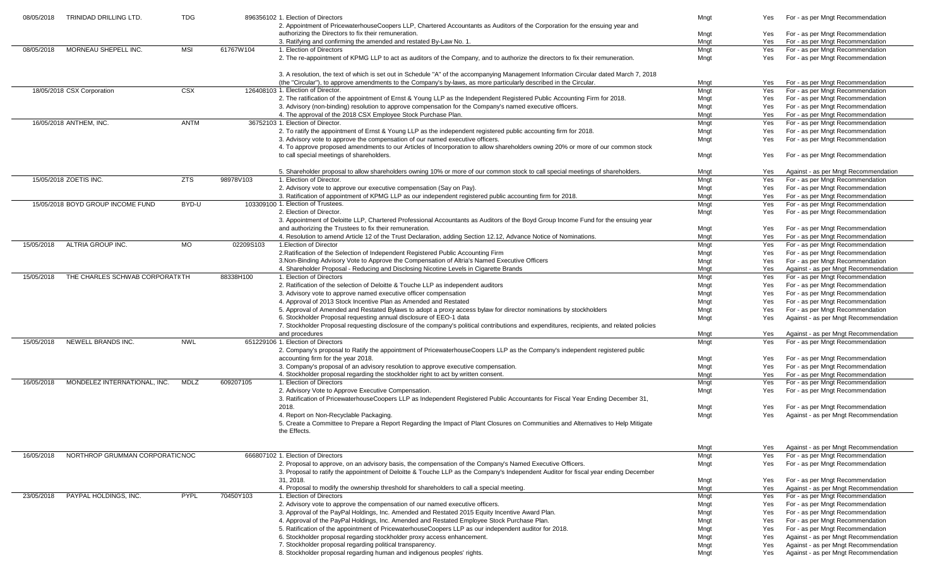| 08/05/2018<br>TRINIDAD DRILLING LTD.          | <b>TDG</b>  |           | 896356102 1. Election of Directors<br>2. Appointment of PricewaterhouseCoopers LLP, Chartered Accountants as Auditors of the Corporation for the ensuing year and                                 | Mngt         | Yes        | For - as per Mngt Recommendation                                     |
|-----------------------------------------------|-------------|-----------|---------------------------------------------------------------------------------------------------------------------------------------------------------------------------------------------------|--------------|------------|----------------------------------------------------------------------|
|                                               |             |           | authorizing the Directors to fix their remuneration.                                                                                                                                              | Mngt         | Yes        | For - as per Mngt Recommendation                                     |
|                                               |             |           | 3. Ratifying and confirming the amended and restated By-Law No. 1.                                                                                                                                | Mngt         | Yes        | For - as per Mngt Recommendation                                     |
| MORNEAU SHEPELL INC.<br>08/05/2018            | MSI         | 61767W104 | 1. Election of Directors                                                                                                                                                                          | Mngt         | Yes        | For - as per Mngt Recommendation                                     |
|                                               |             |           | 2. The re-appointment of KPMG LLP to act as auditors of the Company, and to authorize the directors to fix their remuneration.                                                                    | Mngt         | Yes        | For - as per Mngt Recommendation                                     |
|                                               |             |           | 3. A resolution, the text of which is set out in Schedule "A" of the accompanying Management Information Circular dated March 7, 2018                                                             |              |            |                                                                      |
|                                               |             |           | (the "Circular"), to approve amendments to the Company's by-laws, as more particularly described in the Circular                                                                                  | Mngt         | Yes        | For - as per Mngt Recommendation                                     |
| 18/05/2018 CSX Corporation                    | <b>CSX</b>  |           | 126408103 1. Election of Director.                                                                                                                                                                | Mngt         | Yes        | For - as per Mngt Recommendation                                     |
|                                               |             |           | 2. The ratification of the appointment of Ernst & Young LLP as the Independent Registered Public Accounting Firm for 2018.                                                                        | Mngt         | Yes        | For - as per Mngt Recommendation                                     |
|                                               |             |           | 3. Advisory (non-binding) resolution to approve compensation for the Company's named executive officers.                                                                                          | Mngt         | Yes        | For - as per Mngt Recommendation                                     |
|                                               |             |           | 4. The approval of the 2018 CSX Employee Stock Purchase Plan.<br>36752103 1. Election of Director.                                                                                                | Mngt         | Yes        | For - as per Mngt Recommendation                                     |
| 16/05/2018 ANTHEM, INC.                       | <b>ANTM</b> |           |                                                                                                                                                                                                   | Mngt         | Yes        | For - as per Mngt Recommendation                                     |
|                                               |             |           | 2. To ratify the appointment of Ernst & Young LLP as the independent registered public accounting firm for 2018.<br>3. Advisory vote to approve the compensation of our named executive officers. | Mngt<br>Mngt | Yes<br>Yes | For - as per Mngt Recommendation<br>For - as per Mngt Recommendation |
|                                               |             |           | 4. To approve proposed amendments to our Articles of Incorporation to allow shareholders owning 20% or more of our common stock                                                                   |              |            |                                                                      |
|                                               |             |           | to call special meetings of shareholders.                                                                                                                                                         | Mngt         | Yes        | For - as per Mngt Recommendation                                     |
|                                               |             |           | 5. Shareholder proposal to allow shareholders owning 10% or more of our common stock to call special meetings of shareholders.                                                                    | Mngt         | Yes        | Against - as per Mngt Recommendation                                 |
| 15/05/2018 ZOETIS INC.                        | <b>ZTS</b>  | 98978V103 | 1. Election of Director.                                                                                                                                                                          | Mngt         | Yes        | For - as per Mngt Recommendation                                     |
|                                               |             |           | 2. Advisory vote to approve our executive compensation (Say on Pay).                                                                                                                              | Mngt         | Yes        | For - as per Mngt Recommendation                                     |
|                                               |             |           | 3. Ratification of appointment of KPMG LLP as our independent registered public accounting firm for 2018.                                                                                         | Mngt         | Yes        | For - as per Mngt Recommendation                                     |
| 15/05/2018 BOYD GROUP INCOME FUND             | BYD-U       |           | 103309100 1. Election of Trustees.                                                                                                                                                                | Mngt         | Yes        | For - as per Mngt Recommendation                                     |
|                                               |             |           | 2. Election of Director                                                                                                                                                                           | Mngt         | Yes        | For - as per Mngt Recommendation                                     |
|                                               |             |           | 3. Appointment of Deloitte LLP, Chartered Professional Accountants as Auditors of the Boyd Group Income Fund for the ensuing year                                                                 |              |            |                                                                      |
|                                               |             |           | and authorizing the Trustees to fix their remuneration.                                                                                                                                           | Mngt         | Yes        | For - as per Mngt Recommendation                                     |
|                                               |             |           | 4. Resolution to amend Article 12 of the Trust Declaration, adding Section 12.12, Advance Notice of Nominations.                                                                                  | Mngt         | Yes        | For - as per Mngt Recommendation                                     |
| <b>ALTRIA GROUP INC.</b><br>15/05/2018        | <b>MO</b>   | 02209S103 | 1. Election of Director                                                                                                                                                                           | Mngt         | Yes        | For - as per Mngt Recommendation                                     |
|                                               |             |           | 2. Ratification of the Selection of Independent Registered Public Accounting Firm                                                                                                                 | Mngt         | Yes        | For - as per Mngt Recommendation                                     |
|                                               |             |           | 3. Non-Binding Advisory Vote to Approve the Compensation of Altria's Named Executive Officers                                                                                                     | Mngt         | Yes        | For - as per Mngt Recommendation                                     |
|                                               |             |           | 4. Shareholder Proposal - Reducing and Disclosing Nicotine Levels in Cigarette Brands<br>1. Election of Directors                                                                                 | Mngt         | Yes        | Against - as per Mngt Recommendation                                 |
| THE CHARLES SCHWAB CORPORATI(TH<br>15/05/2018 |             | 88338H100 | 2. Ratification of the selection of Deloitte & Touche LLP as independent auditors                                                                                                                 | Mngt<br>Mngt | Yes        | For - as per Mngt Recommendation<br>For - as per Mngt Recommendation |
|                                               |             |           | 3. Advisory vote to approve named executive officer compensation                                                                                                                                  | Mngt         | Yes<br>Yes | For - as per Mngt Recommendation                                     |
|                                               |             |           | 4. Approval of 2013 Stock Incentive Plan as Amended and Restated                                                                                                                                  | Mngt         | Yes        | For - as per Mngt Recommendation                                     |
|                                               |             |           | 5. Approval of Amended and Restated Bylaws to adopt a proxy access bylaw for director nominations by stockholders                                                                                 | Mngt         | Yes        | For - as per Mngt Recommendation                                     |
|                                               |             |           | 6. Stockholder Proposal requesting annual disclosure of EEO-1 data                                                                                                                                | Mngt         | Yes        | Against - as per Mngt Recommendation                                 |
|                                               |             |           | 7. Stockholder Proposal requesting disclosure of the company's political contributions and expenditures, recipients, and related policies                                                         |              |            |                                                                      |
|                                               |             |           | and procedures                                                                                                                                                                                    | Mngt         | Yes        | Against - as per Mngt Recommendation                                 |
| NEWELL BRANDS INC.<br>15/05/2018              | <b>NWL</b>  |           | 651229106 1. Election of Directors                                                                                                                                                                | Mngt         | Yes        | For - as per Mngt Recommendation                                     |
|                                               |             |           | 2. Company's proposal to Ratify the appointment of PricewaterhouseCoopers LLP as the Company's independent registered public                                                                      |              |            |                                                                      |
|                                               |             |           | accounting firm for the year 2018.                                                                                                                                                                | Mngt         | Yes        | For - as per Mngt Recommendation                                     |
|                                               |             |           | 3. Company's proposal of an advisory resolution to approve executive compensation.                                                                                                                | Mngt         | Yes        | For - as per Mngt Recommendation                                     |
|                                               |             |           | 4. Stockholder proposal regarding the stockholder right to act by written consent.                                                                                                                | Mngt         | Yes        | For - as per Mngt Recommendation                                     |
| MONDELEZ INTERNATIONAL, INC.<br>16/05/2018    | <b>MDLZ</b> | 609207105 | 1. Election of Directors                                                                                                                                                                          | Mngt         | Yes        | For - as per Mngt Recommendation                                     |
|                                               |             |           | 2. Advisory Vote to Approve Executive Compensation.                                                                                                                                               | Mngt         | Yes        | For - as per Mngt Recommendation                                     |
|                                               |             |           | 3. Ratification of PricewaterhouseCoopers LLP as Independent Registered Public Accountants for Fiscal Year Ending December 31,                                                                    |              |            |                                                                      |
|                                               |             |           | 2018.                                                                                                                                                                                             | Mngt         | Yes        | For - as per Mngt Recommendation                                     |
|                                               |             |           | 4. Report on Non-Recyclable Packaging.<br>5. Create a Committee to Prepare a Report Regarding the Impact of Plant Closures on Communities and Alternatives to Help Mitigate                       | Mngt         | Yes        | Against - as per Mngt Recommendation                                 |
|                                               |             |           | the Effects.                                                                                                                                                                                      |              |            |                                                                      |
|                                               |             |           |                                                                                                                                                                                                   |              |            |                                                                      |
|                                               |             |           |                                                                                                                                                                                                   | Mngt         | Yes        | Against - as per Mngt Recommendation                                 |
| NORTHROP GRUMMAN CORPORATIC NOC<br>16/05/2018 |             |           | 666807102 1. Election of Directors                                                                                                                                                                | Mngt         | Yes        | For - as per Mngt Recommendation                                     |
|                                               |             |           | 2. Proposal to approve, on an advisory basis, the compensation of the Company's Named Executive Officers.                                                                                         | Mngt         | Yes        | For - as per Mngt Recommendation                                     |
|                                               |             |           | 3. Proposal to ratify the appointment of Deloitte & Touche LLP as the Company's Independent Auditor for fiscal year ending December                                                               |              |            |                                                                      |
|                                               |             |           | 31, 2018.                                                                                                                                                                                         | Mngt         | Yes        | For - as per Mngt Recommendation                                     |
|                                               |             |           | 4. Proposal to modify the ownership threshold for shareholders to call a special meeting.                                                                                                         | Mngt         | Yes        | Against - as per Mngt Recommendation                                 |
| PAYPAL HOLDINGS, INC.<br>23/05/2018           | PYPL        | 70450Y103 | 1. Election of Directors                                                                                                                                                                          | Mngt         | Yes        | For - as per Mngt Recommendation                                     |
|                                               |             |           | 2. Advisory vote to approve the compensation of our named executive officers.                                                                                                                     | Mngt         | Yes        | For - as per Mngt Recommendation                                     |
|                                               |             |           | 3. Approval of the PayPal Holdings, Inc. Amended and Restated 2015 Equity Incentive Award Plan.                                                                                                   | Mngt         | Yes        | For - as per Mngt Recommendation                                     |
|                                               |             |           | 4. Approval of the PayPal Holdings, Inc. Amended and Restated Employee Stock Purchase Plan.                                                                                                       | Mngt         | Yes        | For - as per Mngt Recommendation                                     |
|                                               |             |           | 5. Ratification of the appointment of PricewaterhouseCoopers LLP as our independent auditor for 2018.                                                                                             | Mngt         | Yes        | For - as per Mngt Recommendation                                     |
|                                               |             |           | 6. Stockholder proposal regarding stockholder proxy access enhancement.                                                                                                                           | Mngt         | Yes        | Against - as per Mngt Recommendation                                 |
|                                               |             |           | 7. Stockholder proposal regarding political transparency.                                                                                                                                         | Mngt         | Yes        | Against - as per Mngt Recommendation                                 |
|                                               |             |           | 8. Stockholder proposal regarding human and indigenous peoples' rights.                                                                                                                           | Mngt         | Yes        | Against - as per Mngt Recommendation                                 |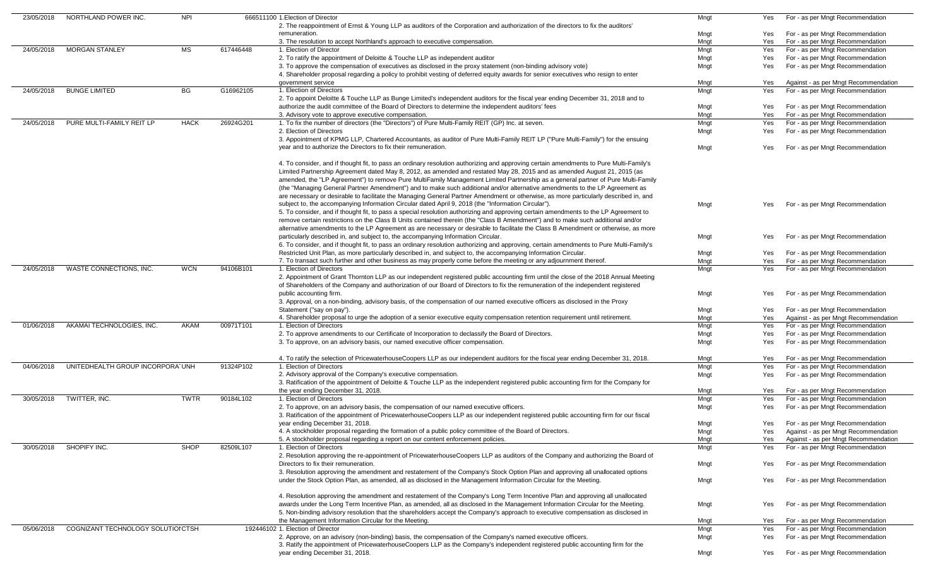| 23/05/2018 | NORTHLAND POWER INC.               | <b>NPI</b>  |           | 666511100 1. Election of Director                                                                                                       | Mngt | Yes | For - as per Mngt Recommendation     |
|------------|------------------------------------|-------------|-----------|-----------------------------------------------------------------------------------------------------------------------------------------|------|-----|--------------------------------------|
|            |                                    |             |           | 2. The reappointment of Ernst & Young LLP as auditors of the Corporation and authorization of the directors to fix the auditors'        |      |     |                                      |
|            |                                    |             |           | remuneration.                                                                                                                           | Mngt | Yes | For - as per Mngt Recommendation     |
|            |                                    |             |           | 3. The resolution to accept Northland's approach to executive compensation.                                                             | Mngt | Yes | For - as per Mngt Recommendation     |
|            |                                    |             |           | 1. Election of Director                                                                                                                 |      |     |                                      |
| 24/05/2018 | <b>MORGAN STANLEY</b>              | MS          | 617446448 |                                                                                                                                         | Mngt | Yes | For - as per Mngt Recommendation     |
|            |                                    |             |           | 2. To ratify the appointment of Deloitte & Touche LLP as independent auditor                                                            | Mngt | Yes | For - as per Mngt Recommendation     |
|            |                                    |             |           | 3. To approve the compensation of executives as disclosed in the proxy statement (non-binding advisory vote)                            | Mngt | Yes | For - as per Mngt Recommendation     |
|            |                                    |             |           | 4. Shareholder proposal regarding a policy to prohibit vesting of deferred equity awards for senior executives who resign to enter      |      |     |                                      |
|            |                                    |             |           | government service                                                                                                                      | Mngt | Yes | Against - as per Mngt Recommendation |
| 24/05/2018 | <b>BUNGE LIMITED</b>               | BG          | G16962105 | 1. Election of Directors                                                                                                                | Mngt | Yes | For - as per Mngt Recommendation     |
|            |                                    |             |           | 2. To appoint Deloitte & Touche LLP as Bunge Limited's independent auditors for the fiscal year ending December 31, 2018 and to         |      |     |                                      |
|            |                                    |             |           | authorize the audit committee of the Board of Directors to determine the independent auditors' fees                                     | Mngt | Yes | For - as per Mngt Recommendation     |
|            |                                    |             |           | 3. Advisory vote to approve executive compensation.                                                                                     | Mngt | Yes | For - as per Mngt Recommendation     |
| 24/05/2018 | PURE MULTI-FAMILY REIT LP          | <b>HACK</b> | 26924G201 | 1. To fix the number of directors (the "Directors") of Pure Multi-Family REIT (GP) Inc. at seven.                                       | Mngt | Yes | For - as per Mngt Recommendation     |
|            |                                    |             |           | 2. Election of Directors                                                                                                                |      |     |                                      |
|            |                                    |             |           |                                                                                                                                         | Mngt | Yes | For - as per Mngt Recommendation     |
|            |                                    |             |           | 3. Appointment of KPMG LLP, Chartered Accountants, as auditor of Pure Multi-Family REIT LP ("Pure Multi-Family") for the ensuing        |      |     |                                      |
|            |                                    |             |           | year and to authorize the Directors to fix their remuneration.                                                                          | Mngt | Yes | For - as per Mngt Recommendation     |
|            |                                    |             |           |                                                                                                                                         |      |     |                                      |
|            |                                    |             |           | 4. To consider, and if thought fit, to pass an ordinary resolution authorizing and approving certain amendments to Pure Multi-Family's  |      |     |                                      |
|            |                                    |             |           | Limited Partnership Agreement dated May 8, 2012, as amended and restated May 28, 2015 and as amended August 21, 2015 (as                |      |     |                                      |
|            |                                    |             |           | amended, the "LP Agreement") to remove Pure MultiFamily Management Limited Partnership as a general partner of Pure Multi-Family        |      |     |                                      |
|            |                                    |             |           | (the "Managing General Partner Amendment") and to make such additional and/or alternative amendments to the LP Agreement as             |      |     |                                      |
|            |                                    |             |           | are necessary or desirable to facilitate the Managing General Partner Amendment or otherwise, as more particularly described in, and    |      |     |                                      |
|            |                                    |             |           | subject to, the accompanying Information Circular dated April 9, 2018 (the "Information Circular").                                     | Mngt | Yes | For - as per Mngt Recommendation     |
|            |                                    |             |           |                                                                                                                                         |      |     |                                      |
|            |                                    |             |           | 5. To consider, and if thought fit, to pass a special resolution authorizing and approving certain amendments to the LP Agreement to    |      |     |                                      |
|            |                                    |             |           | remove certain restrictions on the Class B Units contained therein (the "Class B Amendment") and to make such additional and/or         |      |     |                                      |
|            |                                    |             |           | alternative amendments to the LP Agreement as are necessary or desirable to facilitate the Class B Amendment or otherwise, as more      |      |     |                                      |
|            |                                    |             |           | particularly described in, and subject to, the accompanying Information Circular.                                                       | Mngt | Yes | For - as per Mngt Recommendation     |
|            |                                    |             |           | 6. To consider, and if thought fit, to pass an ordinary resolution authorizing and approving, certain amendments to Pure Multi-Family's |      |     |                                      |
|            |                                    |             |           | Restricted Unit Plan, as more particularly described in, and subject to, the accompanying Information Circular.                         | Mngt | Yes | For - as per Mngt Recommendation     |
|            |                                    |             |           | 7. To transact such further and other business as may properly come before the meeting or any adjournment thereof.                      | Mngt | Yes | For - as per Mngt Recommendation     |
| 24/05/2018 | WASTE CONNECTIONS, INC.            | <b>WCN</b>  | 94106B101 | 1. Election of Directors                                                                                                                | Mngt | Yes | For - as per Mngt Recommendation     |
|            |                                    |             |           | 2. Appointment of Grant Thornton LLP as our independent registered public accounting firm until the close of the 2018 Annual Meeting    |      |     |                                      |
|            |                                    |             |           | of Shareholders of the Company and authorization of our Board of Directors to fix the remuneration of the independent registered        |      |     |                                      |
|            |                                    |             |           | public accounting firm.                                                                                                                 |      | Yes | For - as per Mngt Recommendation     |
|            |                                    |             |           |                                                                                                                                         | Mngt |     |                                      |
|            |                                    |             |           | 3. Approval, on a non-binding, advisory basis, of the compensation of our named executive officers as disclosed in the Proxy            |      |     |                                      |
|            |                                    |             |           | Statement ("say on pay").                                                                                                               | Mngt | Yes | For - as per Mngt Recommendation     |
|            |                                    |             |           | 4. Shareholder proposal to urge the adoption of a senior executive equity compensation retention requirement until retirement.          | Mngt | Yes | Against - as per Mngt Recommendation |
| 01/06/2018 | AKAMAI TECHNOLOGIES, INC.          | AKAM        | 00971T101 | 1. Election of Directors                                                                                                                | Mngt | Yes | For - as per Mngt Recommendation     |
|            |                                    |             |           | 2. To approve amendments to our Certificate of Incorporation to declassify the Board of Directors.                                      | Mngt | Yes | For - as per Mngt Recommendation     |
|            |                                    |             |           | 3. To approve, on an advisory basis, our named executive officer compensation.                                                          | Mngt | Yes | For - as per Mngt Recommendation     |
|            |                                    |             |           |                                                                                                                                         |      |     |                                      |
|            |                                    |             |           | 4. To ratify the selection of PricewaterhouseCoopers LLP as our independent auditors for the fiscal year ending December 31, 2018.      | Mngt | Yes | For - as per Mngt Recommendation     |
| 04/06/2018 | UNITEDHEALTH GROUP INCORPORA UNH   |             | 91324P102 | 1. Election of Directors                                                                                                                | Mngt | Yes | For - as per Mngt Recommendation     |
|            |                                    |             |           | 2. Advisory approval of the Company's executive compensation.                                                                           | Mngt | Yes | For - as per Mngt Recommendation     |
|            |                                    |             |           | 3. Ratification of the appointment of Deloitte & Touche LLP as the independent registered public accounting firm for the Company for    |      |     |                                      |
|            |                                    |             |           | the year ending December 31, 2018.                                                                                                      | Mngt | Yes | For - as per Mngt Recommendation     |
|            |                                    |             |           | 1. Election of Directors                                                                                                                |      |     |                                      |
| 30/05/2018 | TWITTER, INC.                      | <b>TWTR</b> | 90184L102 |                                                                                                                                         | Mngt | Yes | For - as per Mngt Recommendation     |
|            |                                    |             |           | 2. To approve, on an advisory basis, the compensation of our named executive officers.                                                  | Mngt | Yes | For - as per Mngt Recommendation     |
|            |                                    |             |           | 3. Ratification of the appointment of PricewaterhouseCoopers LLP as our independent registered public accounting firm for our fiscal    |      |     |                                      |
|            |                                    |             |           | year ending December 31, 2018.                                                                                                          | Mngt | Yes | For - as per Mngt Recommendation     |
|            |                                    |             |           | 4. A stockholder proposal regarding the formation of a public policy committee of the Board of Directors.                               | Mngt | Yes | Against - as per Mngt Recommendation |
|            |                                    |             |           | 5. A stockholder proposal regarding a report on our content enforcement policies.                                                       | Mngt | Yes | Against - as per Mngt Recommendation |
| 30/05/2018 | SHOPIFY INC.                       | <b>SHOP</b> | 82509L107 | 1. Election of Directors                                                                                                                | Mngt | Yes | For - as per Mngt Recommendation     |
|            |                                    |             |           | 2. Resolution approving the re-appointment of PricewaterhouseCoopers LLP as auditors of the Company and authorizing the Board of        |      |     |                                      |
|            |                                    |             |           | Directors to fix their remuneration.                                                                                                    | Mngt | Yes | For - as per Mngt Recommendation     |
|            |                                    |             |           | 3. Resolution approving the amendment and restatement of the Company's Stock Option Plan and approving all unallocated options          |      |     |                                      |
|            |                                    |             |           | under the Stock Option Plan, as amended, all as disclosed in the Management Information Circular for the Meeting.                       | Mngt | Yes | For - as per Mngt Recommendation     |
|            |                                    |             |           |                                                                                                                                         |      |     |                                      |
|            |                                    |             |           |                                                                                                                                         |      |     |                                      |
|            |                                    |             |           | 4. Resolution approving the amendment and restatement of the Company's Long Term Incentive Plan and approving all unallocated           |      |     |                                      |
|            |                                    |             |           | awards under the Long Term Incentive Plan, as amended, all as disclosed in the Management Information Circular for the Meeting.         | Mngt | Yes | For - as per Mngt Recommendation     |
|            |                                    |             |           | 5. Non-binding advisory resolution that the shareholders accept the Company's approach to executive compensation as disclosed in        |      |     |                                      |
|            |                                    |             |           | the Management Information Circular for the Meeting.                                                                                    | Mngt | Yes | For - as per Mngt Recommendation     |
| 05/06/2018 | COGNIZANT TECHNOLOGY SOLUTIOI CTSH |             |           | 192446102 1. Election of Director                                                                                                       | Mngt | Yes | For - as per Mngt Recommendation     |
|            |                                    |             |           | 2. Approve, on an advisory (non-binding) basis, the compensation of the Company's named executive officers.                             | Mngt | Yes | For - as per Mngt Recommendation     |
|            |                                    |             |           | 3. Ratify the appointment of PricewaterhouseCoopers LLP as the Company's independent registered public accounting firm for the          |      |     |                                      |
|            |                                    |             |           | year ending December 31, 2018.                                                                                                          | Mngt | Yes | For - as per Mngt Recommendation     |
|            |                                    |             |           |                                                                                                                                         |      |     |                                      |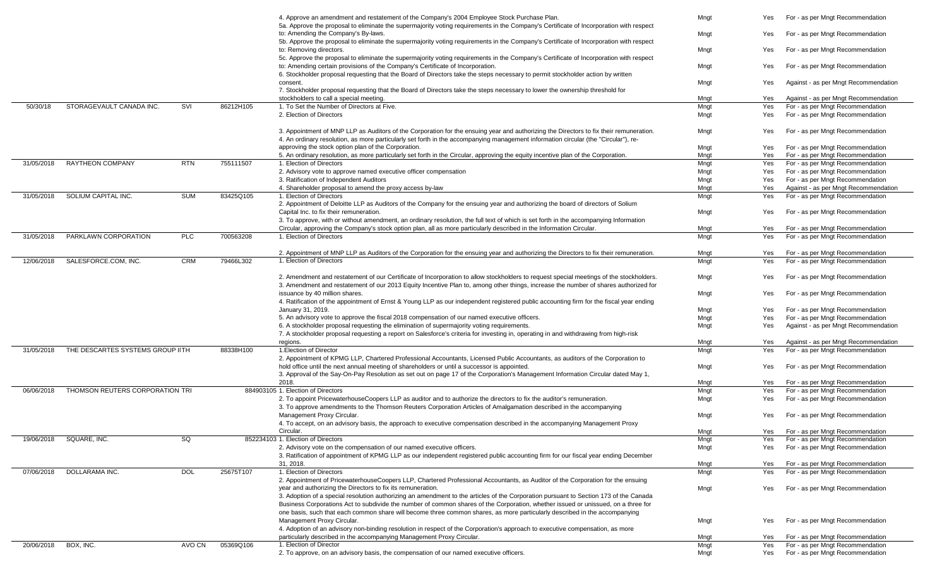|            |                                  |            |           | 4. Approve an amendment and restatement of the Company's 2004 Employee Stock Purchase Plan.                                                                                                                                                                                | Mngt | Yes | For - as per Mngt Recommendation                                     |
|------------|----------------------------------|------------|-----------|----------------------------------------------------------------------------------------------------------------------------------------------------------------------------------------------------------------------------------------------------------------------------|------|-----|----------------------------------------------------------------------|
|            |                                  |            |           | 5a. Approve the proposal to eliminate the supermajority voting requirements in the Company's Certificate of Incorporation with respect                                                                                                                                     |      |     |                                                                      |
|            |                                  |            |           | to: Amending the Company's By-laws.                                                                                                                                                                                                                                        | Mngt | Yes | For - as per Mngt Recommendation                                     |
|            |                                  |            |           | 5b. Approve the proposal to eliminate the supermajority voting requirements in the Company's Certificate of Incorporation with respect                                                                                                                                     |      |     |                                                                      |
|            |                                  |            |           | to: Removing directors.                                                                                                                                                                                                                                                    | Mngt | Yes | For - as per Mngt Recommendation                                     |
|            |                                  |            |           | 5c. Approve the proposal to eliminate the supermajority voting requirements in the Company's Certificate of Incorporation with respect                                                                                                                                     |      |     |                                                                      |
|            |                                  |            |           | to: Amending certain provisions of the Company's Certificate of Incorporation.                                                                                                                                                                                             | Mngt | Yes | For - as per Mngt Recommendation                                     |
|            |                                  |            |           | 6. Stockholder proposal requesting that the Board of Directors take the steps necessary to permit stockholder action by written                                                                                                                                            |      |     |                                                                      |
|            |                                  |            |           | consent.                                                                                                                                                                                                                                                                   | Mngt | Yes | Against - as per Mngt Recommendation                                 |
|            |                                  |            |           | 7. Stockholder proposal requesting that the Board of Directors take the steps necessary to lower the ownership threshold for<br>stockholders to call a special meeting.                                                                                                    | Mngt | Yes | Against - as per Mngt Recommendation                                 |
| 50/30/18   | STORAGEVAULT CANADA INC.         | SVI        | 86212H105 | 1. To Set the Number of Directors at Five.                                                                                                                                                                                                                                 | Mngt | Yes | For - as per Mngt Recommendation                                     |
|            |                                  |            |           | 2. Election of Directors                                                                                                                                                                                                                                                   | Mngt | Yes | For - as per Mngt Recommendation                                     |
|            |                                  |            |           |                                                                                                                                                                                                                                                                            |      |     |                                                                      |
|            |                                  |            |           | 3. Appointment of MNP LLP as Auditors of the Corporation for the ensuing year and authorizing the Directors to fix their remuneration.                                                                                                                                     | Mngt | Yes | For - as per Mngt Recommendation                                     |
|            |                                  |            |           | 4. An ordinary resolution, as more particularly set forth in the accompanying management information circular (the "Circular"), re-                                                                                                                                        |      |     |                                                                      |
|            |                                  |            |           | approving the stock option plan of the Corporation.                                                                                                                                                                                                                        | Mngt | Yes | For - as per Mngt Recommendation                                     |
|            |                                  |            |           | 5. An ordinary resolution, as more particularly set forth in the Circular, approving the equity incentive plan of the Corporation.                                                                                                                                         | Mngt | Yes | For - as per Mngt Recommendation                                     |
| 31/05/2018 | <b>RAYTHEON COMPANY</b>          | <b>RTN</b> | 755111507 | . Election of Directors                                                                                                                                                                                                                                                    | Mngt | Yes | For - as per Mngt Recommendation                                     |
|            |                                  |            |           | 2. Advisory vote to approve named executive officer compensation                                                                                                                                                                                                           | Mngt | Yes | For - as per Mngt Recommendation                                     |
|            |                                  |            |           | 3. Ratification of Independent Auditors                                                                                                                                                                                                                                    | Mngt | Yes | For - as per Mngt Recommendation                                     |
|            |                                  |            |           | 4. Shareholder proposal to amend the proxy access by-law                                                                                                                                                                                                                   | Mngt | Yes | Against - as per Mngt Recommendation                                 |
| 31/05/2018 | SOLIUM CAPITAL INC.              | <b>SUM</b> | 83425Q105 | 1. Election of Directors                                                                                                                                                                                                                                                   | Mngt | Yes | For - as per Mngt Recommendation                                     |
|            |                                  |            |           | 2. Appointment of Deloitte LLP as Auditors of the Company for the ensuing year and authorizing the board of directors of Solium                                                                                                                                            |      |     |                                                                      |
|            |                                  |            |           | Capital Inc. to fix their remuneration.                                                                                                                                                                                                                                    | Mngt | Yes | For - as per Mngt Recommendation                                     |
|            |                                  |            |           | 3. To approve, with or without amendment, an ordinary resolution, the full text of which is set forth in the accompanying Information                                                                                                                                      |      |     |                                                                      |
|            |                                  |            |           | Circular, approving the Company's stock option plan, all as more particularly described in the Information Circular.                                                                                                                                                       | Mngt | Yes | For - as per Mngt Recommendation                                     |
| 31/05/2018 | PARKLAWN CORPORATION             | <b>PLC</b> | 700563208 | 1. Election of Directors                                                                                                                                                                                                                                                   | Mngt | Yes | For - as per Mngt Recommendation                                     |
|            |                                  |            |           | 2. Appointment of MNP LLP as Auditors of the Corporation for the ensuing year and authorizing the Directors to fix their remuneration.                                                                                                                                     | Mngt | Yes | For - as per Mngt Recommendation                                     |
| 12/06/2018 | SALESFORCE.COM, INC.             | <b>CRM</b> | 79466L302 | 1. Election of Directors                                                                                                                                                                                                                                                   | Mngt | Yes | For - as per Mngt Recommendation                                     |
|            |                                  |            |           |                                                                                                                                                                                                                                                                            |      |     |                                                                      |
|            |                                  |            |           | 2. Amendment and restatement of our Certificate of Incorporation to allow stockholders to request special meetings of the stockholders.                                                                                                                                    | Mngt | Yes | For - as per Mngt Recommendation                                     |
|            |                                  |            |           | 3. Amendment and restatement of our 2013 Equity Incentive Plan to, among other things, increase the number of shares authorized for                                                                                                                                        |      |     |                                                                      |
|            |                                  |            |           | issuance by 40 million shares.                                                                                                                                                                                                                                             | Mngt | Yes | For - as per Mngt Recommendation                                     |
|            |                                  |            |           | 4. Ratification of the appointment of Ernst & Young LLP as our independent registered public accounting firm for the fiscal year ending                                                                                                                                    |      |     |                                                                      |
|            |                                  |            |           | January 31, 2019.                                                                                                                                                                                                                                                          | Mngt | Yes | For - as per Mngt Recommendation                                     |
|            |                                  |            |           | 5. An advisory vote to approve the fiscal 2018 compensation of our named executive officers.                                                                                                                                                                               | Mngt | Yes | For - as per Mngt Recommendation                                     |
|            |                                  |            |           | 6. A stockholder proposal requesting the elimination of supermajority voting requirements.                                                                                                                                                                                 | Mngt | Yes | Against - as per Mngt Recommendation                                 |
|            |                                  |            |           | 7. A stockholder proposal requesting a report on Salesforce's criteria for investing in, operating in and withdrawing from high-risk                                                                                                                                       |      |     |                                                                      |
|            |                                  |            |           | regions.                                                                                                                                                                                                                                                                   | Mngt | Yes | Against - as per Mngt Recommendation                                 |
| 31/05/2018 | THE DESCARTES SYSTEMS GROUP IITH |            | 88338H100 | 1. Election of Director                                                                                                                                                                                                                                                    | Mngt | Yes | For - as per Mngt Recommendation                                     |
|            |                                  |            |           | 2. Appointment of KPMG LLP, Chartered Professional Accountants, Licensed Public Accountants, as auditors of the Corporation to<br>hold office until the next annual meeting of shareholders or until a successor is appointed.                                             |      |     |                                                                      |
|            |                                  |            |           | 3. Approval of the Say-On-Pay Resolution as set out on page 17 of the Corporation's Management Information Circular dated May 1,                                                                                                                                           | Mngt | Yes | For - as per Mngt Recommendation                                     |
|            |                                  |            |           | 2018.                                                                                                                                                                                                                                                                      | Mngt | Yes | For - as per Mngt Recommendation                                     |
| 06/06/2018 | THOMSON REUTERS CORPORATION TRI  |            |           | 884903105 1. Election of Directors                                                                                                                                                                                                                                         | Mngt | Yes | For - as per Mngt Recommendation                                     |
|            |                                  |            |           | 2. To appoint PricewaterhouseCoopers LLP as auditor and to authorize the directors to fix the auditor's remuneration.                                                                                                                                                      | Mngt | Yes | For - as per Mngt Recommendation                                     |
|            |                                  |            |           | 3. To approve amendments to the Thomson Reuters Corporation Articles of Amalgamation described in the accompanying                                                                                                                                                         |      |     |                                                                      |
|            |                                  |            |           | Management Proxy Circular.                                                                                                                                                                                                                                                 | Mngt | Yes | For - as per Mngt Recommendation                                     |
|            |                                  |            |           | 4. To accept, on an advisory basis, the approach to executive compensation described in the accompanying Management Proxy                                                                                                                                                  |      |     |                                                                      |
|            |                                  |            |           | Circular.                                                                                                                                                                                                                                                                  | Mngt | Yes | For - as per Mngt Recommendation                                     |
| 19/06/2018 | SQUARE, INC.                     | SQ         |           | 852234103 1. Election of Directors                                                                                                                                                                                                                                         | Mngt | Yes | For - as per Mngt Recommendation                                     |
|            |                                  |            |           | 2. Advisory vote on the compensation of our named executive officers.                                                                                                                                                                                                      | Mngt | Yes | For - as per Mngt Recommendation                                     |
|            |                                  |            |           | 3. Ratification of appointment of KPMG LLP as our independent registered public accounting firm for our fiscal year ending December                                                                                                                                        |      |     |                                                                      |
|            |                                  |            |           | 31, 2018.                                                                                                                                                                                                                                                                  | Mngt | Yes | For - as per Mngt Recommendation                                     |
| 07/06/2018 | DOLLARAMA INC.                   | <b>DOL</b> | 25675T107 | . Election of Directors                                                                                                                                                                                                                                                    | Mngt | Yes | For - as per Mngt Recommendation                                     |
|            |                                  |            |           | 2. Appointment of PricewaterhouseCoopers LLP, Chartered Professional Accountants, as Auditor of the Corporation for the ensuing                                                                                                                                            |      |     |                                                                      |
|            |                                  |            |           | year and authorizing the Directors to fix its remuneration.                                                                                                                                                                                                                | Mngt | Yes | For - as per Mngt Recommendation                                     |
|            |                                  |            |           | 3. Adoption of a special resolution authorizing an amendment to the articles of the Corporation pursuant to Section 173 of the Canada<br>Business Corporations Act to subdivide the number of common shares of the Corporation, whether issued or unissued, on a three for |      |     |                                                                      |
|            |                                  |            |           | one basis, such that each common share will become three common shares, as more particularly described in the accompanying                                                                                                                                                 |      |     |                                                                      |
|            |                                  |            |           | Management Proxy Circular.                                                                                                                                                                                                                                                 | Mngt | Yes | For - as per Mngt Recommendation                                     |
|            |                                  |            |           | 4. Adoption of an advisory non-binding resolution in respect of the Corporation's approach to executive compensation, as more                                                                                                                                              |      |     |                                                                      |
|            |                                  |            |           |                                                                                                                                                                                                                                                                            |      |     |                                                                      |
|            |                                  |            |           |                                                                                                                                                                                                                                                                            | Mngt | Yes |                                                                      |
| 20/06/2018 | BOX, INC.                        | AVO CN     | 05369Q106 | particularly described in the accompanying Management Proxy Circular.<br>. Election of Director                                                                                                                                                                            | Mngt | Yes | For - as per Mngt Recommendation<br>For - as per Mngt Recommendation |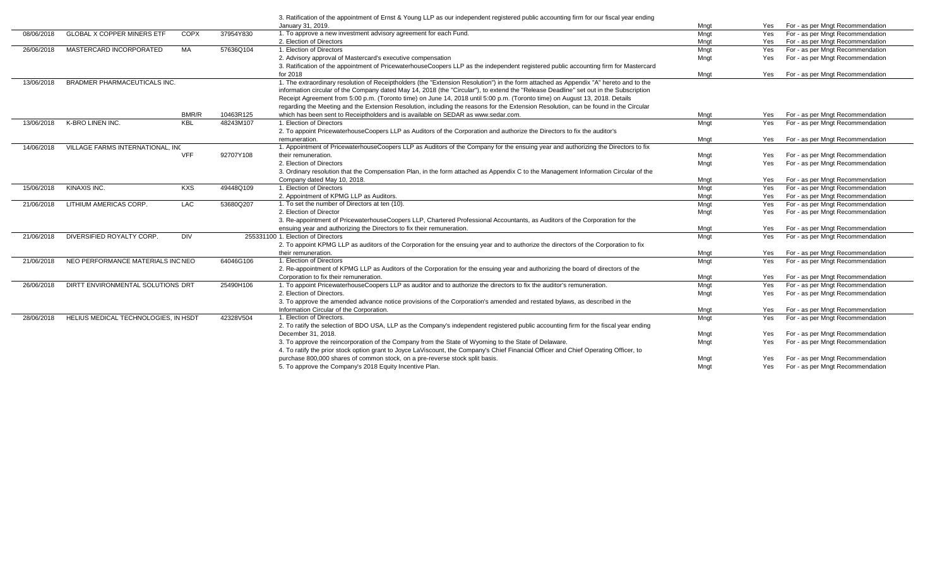|            |                                         |              |           | 3. Ratification of the appointment of Ernst & Young LLP as our independent registered public accounting firm for our fiscal year ending |      |     |                                  |
|------------|-----------------------------------------|--------------|-----------|-----------------------------------------------------------------------------------------------------------------------------------------|------|-----|----------------------------------|
|            |                                         |              |           | January 31, 2019.                                                                                                                       | Mngt | Yes | For - as per Mngt Recommendation |
| 08/06/2018 | <b>GLOBAL X COPPER MINERS ETF</b>       | <b>COPX</b>  | 37954Y830 | 1. To approve a new investment advisory agreement for each Fund.                                                                        | Mngt | Yes | For - as per Mngt Recommendation |
|            |                                         |              |           | 2. Election of Directors                                                                                                                | Mngt | Yes | For - as per Mngt Recommendation |
| 26/06/2018 | MASTERCARD INCORPORATED                 | MA           | 57636Q104 | 1. Election of Directors                                                                                                                | Mngt | Yes | For - as per Mngt Recommendation |
|            |                                         |              |           | 2. Advisory approval of Mastercard's executive compensation                                                                             | Mngt | Yes | For - as per Mngt Recommendation |
|            |                                         |              |           | 3. Ratification of the appointment of PricewaterhouseCoopers LLP as the independent registered public accounting firm for Mastercard    |      |     |                                  |
|            |                                         |              |           | for 2018                                                                                                                                | Mngt | Yes | For - as per Mngt Recommendation |
| 13/06/2018 | BRADMER PHARMACEUTICALS INC.            |              |           | 1. The extraordinary resolution of Receiptholders (the "Extension Resolution") in the form attached as Appendix "A" hereto and to the   |      |     |                                  |
|            |                                         |              |           | information circular of the Company dated May 14, 2018 (the "Circular"), to extend the "Release Deadline" set out in the Subscription   |      |     |                                  |
|            |                                         |              |           | Receipt Agreement from 5:00 p.m. (Toronto time) on June 14, 2018 until 5:00 p.m. (Toronto time) on August 13, 2018. Details             |      |     |                                  |
|            |                                         |              |           | regarding the Meeting and the Extension Resolution, including the reasons for the Extension Resolution, can be found in the Circular    |      |     |                                  |
|            |                                         | <b>BMR/R</b> | 10463R125 | which has been sent to Receiptholders and is available on SEDAR as www.sedar.com.                                                       | Mngt | Yes | For - as per Mngt Recommendation |
| 13/06/2018 | K-BRO LINEN INC.                        | <b>KBL</b>   | 48243M107 | 1. Election of Directors                                                                                                                | Mngt | Yes | For - as per Mngt Recommendation |
|            |                                         |              |           | 2. To appoint PricewaterhouseCoopers LLP as Auditors of the Corporation and authorize the Directors to fix the auditor's                |      |     |                                  |
|            |                                         |              |           | remuneration.                                                                                                                           | Mngt | Yes | For - as per Mngt Recommendation |
| 14/06/2018 | <b>VILLAGE FARMS INTERNATIONAL. INC</b> |              |           | 1. Appointment of PricewaterhouseCoopers LLP as Auditors of the Company for the ensuing year and authorizing the Directors to fix       |      |     |                                  |
|            |                                         | <b>VFF</b>   | 92707Y108 | their remuneration.                                                                                                                     | Mngt | Yes | For - as per Mngt Recommendation |
|            |                                         |              |           | 2. Election of Directors                                                                                                                | Mngt | Yes | For - as per Mngt Recommendation |
|            |                                         |              |           | 3. Ordinary resolution that the Compensation Plan, in the form attached as Appendix C to the Management Information Circular of the     |      |     |                                  |
|            |                                         |              |           | Company dated May 10, 2018                                                                                                              | Mngt | Yes | For - as per Mngt Recommendation |
| 15/06/2018 | KINAXIS INC.                            | <b>KXS</b>   | 49448Q109 | 1. Election of Directors                                                                                                                | Mngt | Yes | For - as per Mngt Recommendation |
|            |                                         |              |           | 2. Appointment of KPMG LLP as Auditors.                                                                                                 | Mngt | Yes | For - as per Mngt Recommendation |
| 21/06/2018 | LITHIUM AMERICAS CORP.                  | LAC          | 53680Q207 | 1. To set the number of Directors at ten (10).                                                                                          | Mngt | Yes | For - as per Mngt Recommendation |
|            |                                         |              |           | 2. Election of Director                                                                                                                 | Mngt | Yes | For - as per Mngt Recommendation |
|            |                                         |              |           | 3. Re-appointment of PricewaterhouseCoopers LLP, Chartered Professional Accountants, as Auditors of the Corporation for the             |      |     |                                  |
|            |                                         |              |           | ensuing year and authorizing the Directors to fix their remuneration.                                                                   | Mngt | Yes | For - as per Mngt Recommendation |
| 21/06/2018 | DIVERSIFIED ROYALTY CORP.               | <b>DIV</b>   |           | 255331100 1. Election of Directors                                                                                                      | Mngt | Yes | For - as per Mngt Recommendation |
|            |                                         |              |           | 2. To appoint KPMG LLP as auditors of the Corporation for the ensuing year and to authorize the directors of the Corporation to fix     |      |     |                                  |
|            |                                         |              |           | their remuneration.                                                                                                                     | Mngt | Yes | For - as per Mngt Recommendation |
| 21/06/2018 | NEO PERFORMANCE MATERIALS INC NEO       |              | 64046G106 | 1. Election of Directors                                                                                                                | Mngt | Yes | For - as per Mngt Recommendation |
|            |                                         |              |           | 2. Re-appointment of KPMG LLP as Auditors of the Corporation for the ensuing year and authorizing the board of directors of the         |      |     |                                  |
|            |                                         |              |           | Corporation to fix their remuneration.                                                                                                  | Mngt | Yes | For - as per Mngt Recommendation |
| 26/06/2018 | DIRTT ENVIRONMENTAL SOLUTIONS DRT       |              | 25490H106 | 1. To appoint PricewaterhouseCoopers LLP as auditor and to authorize the directors to fix the auditor's remuneration.                   | Mngt | Yes | For - as per Mngt Recommendation |
|            |                                         |              |           | 2. Election of Directors.                                                                                                               | Mngt | Yes | For - as per Mngt Recommendation |
|            |                                         |              |           | 3. To approve the amended advance notice provisions of the Corporation's amended and restated bylaws, as described in the               |      |     |                                  |
|            |                                         |              |           | Information Circular of the Corporation.                                                                                                | Mngt | Yes | For - as per Mngt Recommendation |
| 28/06/2018 | HELIUS MEDICAL TECHNOLOGIES, IN HSDT    |              | 42328V504 | 1. Election of Directors.                                                                                                               | Mngt | Yes | For - as per Mngt Recommendation |
|            |                                         |              |           | 2. To ratify the selection of BDO USA, LLP as the Company's independent registered public accounting firm for the fiscal year ending    |      |     |                                  |
|            |                                         |              |           | December 31, 2018.                                                                                                                      | Mngt | Yes | For - as per Mngt Recommendation |
|            |                                         |              |           | 3. To approve the reincorporation of the Company from the State of Wyoming to the State of Delaware.                                    | Mngt | Yes | For - as per Mngt Recommendation |
|            |                                         |              |           | 4. To ratify the prior stock option grant to Joyce LaViscount, the Company's Chief Financial Officer and Chief Operating Officer, to    |      |     |                                  |
|            |                                         |              |           | purchase 800,000 shares of common stock, on a pre-reverse stock split basis.                                                            | Mngt | Yes | For - as per Mngt Recommendation |
|            |                                         |              |           | 5. To approve the Company's 2018 Equity Incentive Plan.                                                                                 | Mngt | Yes | For - as per Mngt Recommendation |
|            |                                         |              |           |                                                                                                                                         |      |     |                                  |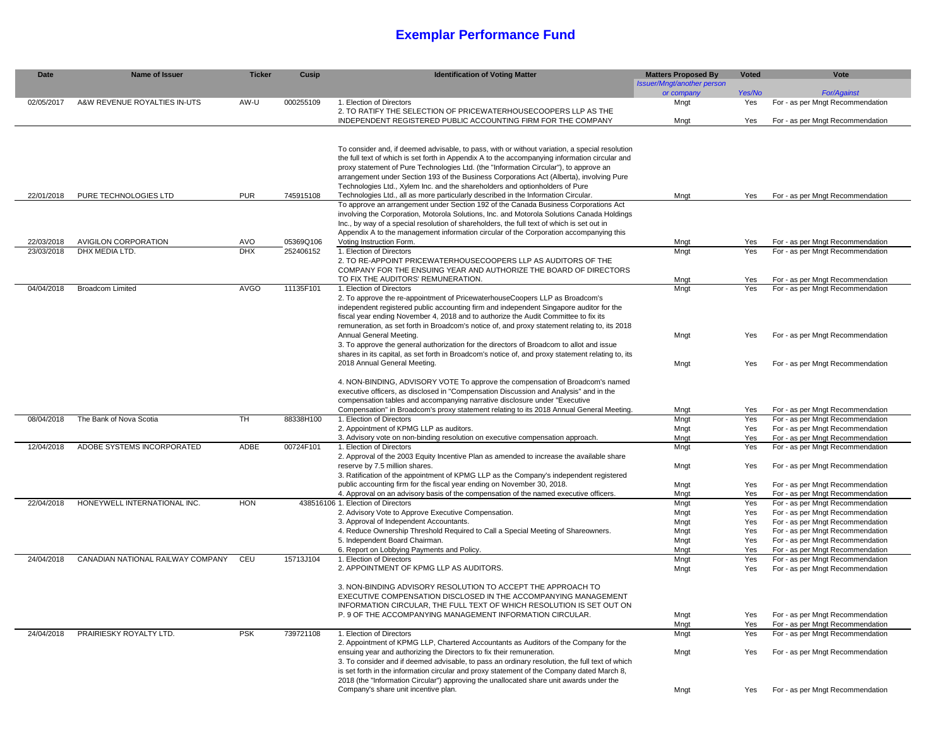## **Exemplar Performance Fund**

| <b>Date</b> | <b>Name of Issuer</b>             | <b>Ticker</b> | <b>Cusip</b> | <b>Identification of Voting Matter</b>                                                                                                                                                       | <b>Matters Proposed By</b> | <b>Voted</b> | <b>Vote</b>                                                          |
|-------------|-----------------------------------|---------------|--------------|----------------------------------------------------------------------------------------------------------------------------------------------------------------------------------------------|----------------------------|--------------|----------------------------------------------------------------------|
|             |                                   |               |              |                                                                                                                                                                                              | Issuer/Mngt/another person |              |                                                                      |
|             |                                   |               |              |                                                                                                                                                                                              | or company                 | Yes/No       | <b>For/Against</b>                                                   |
| 02/05/2017  | A&W REVENUE ROYALTIES IN-UTS      | AW-U          | 000255109    | 1. Election of Directors<br>2. TO RATIFY THE SELECTION OF PRICEWATERHOUSECOOPERS LLP AS THE                                                                                                  | Mngt                       | Yes          | For - as per Mngt Recommendation                                     |
|             |                                   |               |              | INDEPENDENT REGISTERED PUBLIC ACCOUNTING FIRM FOR THE COMPANY                                                                                                                                | Mngt                       | Yes          | For - as per Mngt Recommendation                                     |
|             |                                   |               |              |                                                                                                                                                                                              |                            |              |                                                                      |
|             |                                   |               |              |                                                                                                                                                                                              |                            |              |                                                                      |
|             |                                   |               |              | To consider and, if deemed advisable, to pass, with or without variation, a special resolution                                                                                               |                            |              |                                                                      |
|             |                                   |               |              | the full text of which is set forth in Appendix A to the accompanying information circular and                                                                                               |                            |              |                                                                      |
|             |                                   |               |              | proxy statement of Pure Technologies Ltd. (the "Information Circular"), to approve an                                                                                                        |                            |              |                                                                      |
|             |                                   |               |              | arrangement under Section 193 of the Business Corporations Act (Alberta), involving Pure                                                                                                     |                            |              |                                                                      |
| 22/01/2018  | PURE TECHNOLOGIES LTD             | <b>PUR</b>    | 745915108    | Technologies Ltd., Xylem Inc. and the shareholders and optionholders of Pure<br>Technologies Ltd., all as more particularly described in the Information Circular.                           | Mngt                       | Yes          | For - as per Mngt Recommendation                                     |
|             |                                   |               |              | To approve an arrangement under Section 192 of the Canada Business Corporations Act                                                                                                          |                            |              |                                                                      |
|             |                                   |               |              | involving the Corporation, Motorola Solutions, Inc. and Motorola Solutions Canada Holdings                                                                                                   |                            |              |                                                                      |
|             |                                   |               |              | Inc., by way of a special resolution of shareholders, the full text of which is set out in                                                                                                   |                            |              |                                                                      |
|             |                                   |               |              | Appendix A to the management information circular of the Corporation accompanying this                                                                                                       |                            |              |                                                                      |
| 22/03/2018  | <b>AVIGILON CORPORATION</b>       | AVO           | 05369Q106    | Voting Instruction Form.                                                                                                                                                                     | Mngt                       | Yes          | For - as per Mngt Recommendation                                     |
| 23/03/2018  | DHX MEDIA LTD.                    | <b>DHX</b>    | 252406152    | 1. Election of Directors                                                                                                                                                                     | Mngt                       | Yes          | For - as per Mngt Recommendation                                     |
|             |                                   |               |              | 2. TO RE-APPOINT PRICEWATERHOUSECOOPERS LLP AS AUDITORS OF THE                                                                                                                               |                            |              |                                                                      |
|             |                                   |               |              | COMPANY FOR THE ENSUING YEAR AND AUTHORIZE THE BOARD OF DIRECTORS                                                                                                                            |                            |              |                                                                      |
|             |                                   |               |              | TO FIX THE AUDITORS' REMUNERATION.                                                                                                                                                           | Mngt                       | Yes          | For - as per Mngt Recommendation                                     |
| 04/04/2018  | <b>Broadcom Limited</b>           | <b>AVGO</b>   | 11135F101    | 1. Election of Directors<br>2. To approve the re-appointment of PricewaterhouseCoopers LLP as Broadcom's                                                                                     | Mngt                       | Yes          | For - as per Mngt Recommendation                                     |
|             |                                   |               |              | independent registered public accounting firm and independent Singapore auditor for the                                                                                                      |                            |              |                                                                      |
|             |                                   |               |              | fiscal year ending November 4, 2018 and to authorize the Audit Committee to fix its                                                                                                          |                            |              |                                                                      |
|             |                                   |               |              | remuneration, as set forth in Broadcom's notice of, and proxy statement relating to, its 2018                                                                                                |                            |              |                                                                      |
|             |                                   |               |              | Annual General Meeting.                                                                                                                                                                      | Mngt                       | Yes          | For - as per Mngt Recommendation                                     |
|             |                                   |               |              | 3. To approve the general authorization for the directors of Broadcom to allot and issue                                                                                                     |                            |              |                                                                      |
|             |                                   |               |              | shares in its capital, as set forth in Broadcom's notice of, and proxy statement relating to, its                                                                                            |                            |              |                                                                      |
|             |                                   |               |              | 2018 Annual General Meeting.                                                                                                                                                                 | Mngt                       | Yes          | For - as per Mngt Recommendation                                     |
|             |                                   |               |              |                                                                                                                                                                                              |                            |              |                                                                      |
|             |                                   |               |              | 4. NON-BINDING, ADVISORY VOTE To approve the compensation of Broadcom's named                                                                                                                |                            |              |                                                                      |
|             |                                   |               |              | executive officers, as disclosed in "Compensation Discussion and Analysis" and in the<br>compensation tables and accompanying narrative disclosure under "Executive                          |                            |              |                                                                      |
|             |                                   |               |              | Compensation" in Broadcom's proxy statement relating to its 2018 Annual General Meeting.                                                                                                     | Mngt                       | Yes          | For - as per Mngt Recommendation                                     |
| 08/04/2018  | The Bank of Nova Scotia           | <b>TH</b>     | 88338H100    | 1. Election of Directors                                                                                                                                                                     | Mngt                       | Yes          | For - as per Mngt Recommendation                                     |
|             |                                   |               |              | 2. Appointment of KPMG LLP as auditors.                                                                                                                                                      | Mngt                       | Yes          | For - as per Mngt Recommendation                                     |
|             |                                   |               |              | 3. Advisory vote on non-binding resolution on executive compensation approach.                                                                                                               | Mngt                       | Yes          | For - as per Mngt Recommendation                                     |
| 12/04/2018  | ADOBE SYSTEMS INCORPORATED        | ADBE          | 00724F101    | 1. Election of Directors                                                                                                                                                                     | Mngt                       | Yes          | For - as per Mngt Recommendation                                     |
|             |                                   |               |              | 2. Approval of the 2003 Equity Incentive Plan as amended to increase the available share                                                                                                     |                            |              |                                                                      |
|             |                                   |               |              | reserve by 7.5 million shares.                                                                                                                                                               | Mngt                       | Yes          | For - as per Mngt Recommendation                                     |
|             |                                   |               |              | 3. Ratification of the appointment of KPMG LLP as the Company's independent registered                                                                                                       |                            |              |                                                                      |
|             |                                   |               |              | public accounting firm for the fiscal year ending on November 30, 2018.<br>4. Approval on an advisory basis of the compensation of the named executive officers.                             | Mngt<br>Mngt               | Yes<br>Yes   | For - as per Mngt Recommendation<br>For - as per Mngt Recommendation |
| 22/04/2018  | HONEYWELL INTERNATIONAL INC.      | HON           |              | 438516106 1. Election of Directors                                                                                                                                                           | Mngt                       | Yes          | For - as per Mngt Recommendation                                     |
|             |                                   |               |              | 2. Advisory Vote to Approve Executive Compensation.                                                                                                                                          | Mngt                       | Yes          | For - as per Mngt Recommendation                                     |
|             |                                   |               |              | 3. Approval of Independent Accountants.                                                                                                                                                      | Mngt                       | Yes          | For - as per Mngt Recommendation                                     |
|             |                                   |               |              | 4. Reduce Ownership Threshold Required to Call a Special Meeting of Shareowners.                                                                                                             | Mngt                       | Yes          | For - as per Mngt Recommendation                                     |
|             |                                   |               |              | 5. Independent Board Chairman.                                                                                                                                                               | Mngt                       | Yes          | For - as per Mngt Recommendation                                     |
|             |                                   |               |              | 6. Report on Lobbying Payments and Policy.                                                                                                                                                   | Mngt                       | Yes          | For - as per Mngt Recommendation                                     |
| 24/04/2018  | CANADIAN NATIONAL RAILWAY COMPANY | CEU           | 15713J104    | 1. Election of Directors                                                                                                                                                                     | Mngt                       | Yes          | For - as per Mngt Recommendation                                     |
|             |                                   |               |              | 2. APPOINTMENT OF KPMG LLP AS AUDITORS.                                                                                                                                                      | Mngt                       | Yes          | For - as per Mngt Recommendation                                     |
|             |                                   |               |              | 3. NON-BINDING ADVISORY RESOLUTION TO ACCEPT THE APPROACH TO                                                                                                                                 |                            |              |                                                                      |
|             |                                   |               |              | EXECUTIVE COMPENSATION DISCLOSED IN THE ACCOMPANYING MANAGEMENT                                                                                                                              |                            |              |                                                                      |
|             |                                   |               |              | INFORMATION CIRCULAR, THE FULL TEXT OF WHICH RESOLUTION IS SET OUT ON                                                                                                                        |                            |              |                                                                      |
|             |                                   |               |              | P. 9 OF THE ACCOMPANYING MANAGEMENT INFORMATION CIRCULAR.                                                                                                                                    | Mngt                       | Yes          | For - as per Mngt Recommendation                                     |
|             |                                   |               |              |                                                                                                                                                                                              | Mngt                       | Yes          | For - as per Mngt Recommendation                                     |
| 24/04/2018  | PRAIRIESKY ROYALTY LTD.           | <b>PSK</b>    | 739721108    | 1. Election of Directors                                                                                                                                                                     | Mngt                       | Yes          | For - as per Mngt Recommendation                                     |
|             |                                   |               |              | 2. Appointment of KPMG LLP, Chartered Accountants as Auditors of the Company for the                                                                                                         |                            |              |                                                                      |
|             |                                   |               |              | ensuing year and authorizing the Directors to fix their remuneration.                                                                                                                        | Mngt                       | Yes          | For - as per Mngt Recommendation                                     |
|             |                                   |               |              | 3. To consider and if deemed advisable, to pass an ordinary resolution, the full text of which<br>is set forth in the information circular and proxy statement of the Company dated March 8, |                            |              |                                                                      |
|             |                                   |               |              | 2018 (the "Information Circular") approving the unallocated share unit awards under the                                                                                                      |                            |              |                                                                      |
|             |                                   |               |              | Company's share unit incentive plan.                                                                                                                                                         | Mngt                       | Yes          | For - as per Mngt Recommendation                                     |
|             |                                   |               |              |                                                                                                                                                                                              |                            |              |                                                                      |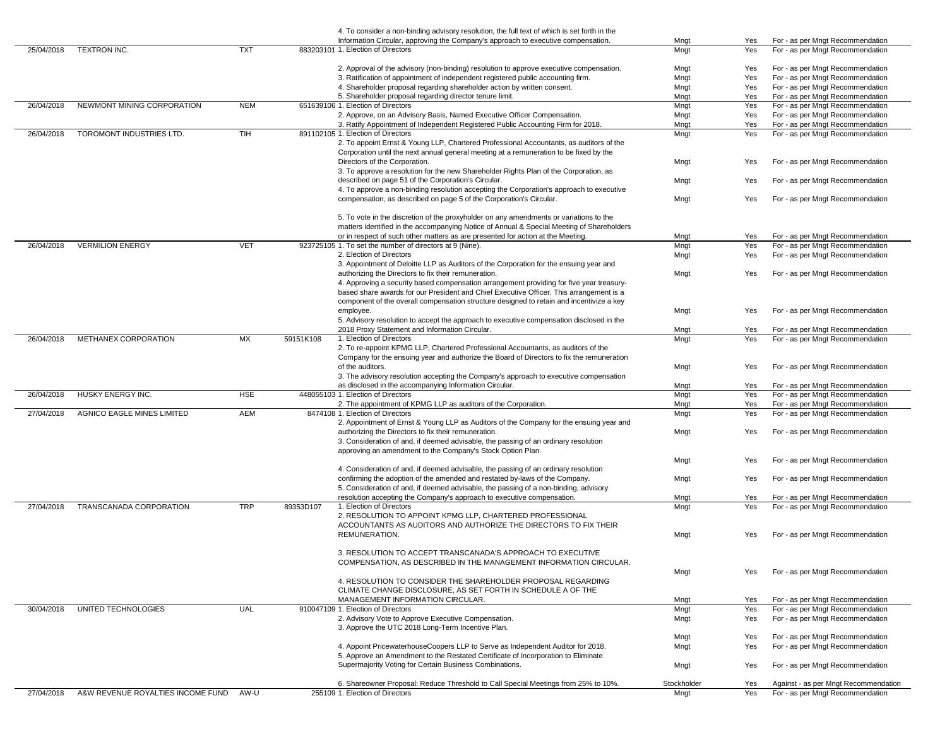|            |                                   |            |           | 4. To consider a non-binding advisory resolution, the full text of which is set forth in the                          |                     |            |                                                                          |
|------------|-----------------------------------|------------|-----------|-----------------------------------------------------------------------------------------------------------------------|---------------------|------------|--------------------------------------------------------------------------|
|            |                                   |            |           | Information Circular, approving the Company's approach to executive compensation.                                     | Mngt                | Yes        | For - as per Mngt Recommendation                                         |
| 25/04/2018 | TEXTRON INC.                      | <b>TXT</b> |           | 883203101 1. Election of Directors                                                                                    | Mngt                | Yes        | For - as per Mngt Recommendation                                         |
|            |                                   |            |           |                                                                                                                       |                     |            |                                                                          |
|            |                                   |            |           | 2. Approval of the advisory (non-binding) resolution to approve executive compensation.                               | Mngt                | Yes        | For - as per Mngt Recommendation                                         |
|            |                                   |            |           | 3. Ratification of appointment of independent registered public accounting firm.                                      | Mngt                | Yes        | For - as per Mngt Recommendation                                         |
|            |                                   |            |           | 4. Shareholder proposal regarding shareholder action by written consent.                                              | Mngt                | Yes        | For - as per Mngt Recommendation                                         |
|            |                                   |            |           | 5. Shareholder proposal regarding director tenure limit.                                                              | Mngt                | Yes        | For - as per Mngt Recommendation                                         |
| 26/04/2018 | NEWMONT MINING CORPORATION        | <b>NEM</b> |           | 651639106 1. Election of Directors                                                                                    | Mngt                | Yes        | For - as per Mngt Recommendation                                         |
|            |                                   |            |           | 2. Approve, on an Advisory Basis, Named Executive Officer Compensation.                                               | Mngt                | Yes        | For - as per Mngt Recommendation                                         |
|            |                                   |            |           | 3. Ratify Appointment of Independent Registered Public Accounting Firm for 2018.                                      | Mngt                | Yes        | For - as per Mngt Recommendation                                         |
| 26/04/2018 | TOROMONT INDUSTRIES LTD.          | <b>TIH</b> |           | 891102105 1. Election of Directors                                                                                    | Mngt                | Yes        | For - as per Mngt Recommendation                                         |
|            |                                   |            |           | 2. To appoint Ernst & Young LLP, Chartered Professional Accountants, as auditors of the                               |                     |            |                                                                          |
|            |                                   |            |           | Corporation until the next annual general meeting at a remuneration to be fixed by the                                |                     |            |                                                                          |
|            |                                   |            |           | Directors of the Corporation.                                                                                         | Mngt                | Yes        | For - as per Mngt Recommendation                                         |
|            |                                   |            |           | 3. To approve a resolution for the new Shareholder Rights Plan of the Corporation, as                                 |                     |            |                                                                          |
|            |                                   |            |           | described on page 51 of the Corporation's Circular.                                                                   | Mngt                | Yes        | For - as per Mngt Recommendation                                         |
|            |                                   |            |           | 4. To approve a non-binding resolution accepting the Corporation's approach to executive                              |                     |            |                                                                          |
|            |                                   |            |           | compensation, as described on page 5 of the Corporation's Circular.                                                   | Mngt                | Yes        | For - as per Mngt Recommendation                                         |
|            |                                   |            |           |                                                                                                                       |                     |            |                                                                          |
|            |                                   |            |           | 5. To vote in the discretion of the proxyholder on any amendments or variations to the                                |                     |            |                                                                          |
|            |                                   |            |           | matters identified in the accompanying Notice of Annual & Special Meeting of Shareholders                             |                     |            |                                                                          |
|            |                                   |            |           | or in respect of such other matters as are presented for action at the Meeting.                                       | Mngt                | Yes        | For - as per Mngt Recommendation                                         |
| 26/04/2018 | <b>VERMILION ENERGY</b>           | <b>VET</b> |           | 923725105 1. To set the number of directors at 9 (Nine).                                                              | Mngt                | Yes        | For - as per Mngt Recommendation                                         |
|            |                                   |            |           | 2. Election of Directors                                                                                              | Mngt                | Yes        | For - as per Mngt Recommendation                                         |
|            |                                   |            |           | 3. Appointment of Deloitte LLP as Auditors of the Corporation for the ensuing year and                                |                     |            |                                                                          |
|            |                                   |            |           | authorizing the Directors to fix their remuneration.                                                                  | Mngt                | Yes        | For - as per Mngt Recommendation                                         |
|            |                                   |            |           | 4. Approving a security based compensation arrangement providing for five year treasury-                              |                     |            |                                                                          |
|            |                                   |            |           | based share awards for our President and Chief Executive Officer. This arrangement is a                               |                     |            |                                                                          |
|            |                                   |            |           | component of the overall compensation structure designed to retain and incentivize a key                              |                     |            |                                                                          |
|            |                                   |            |           | employee.                                                                                                             | Mngt                | Yes        | For - as per Mngt Recommendation                                         |
|            |                                   |            |           | 5. Advisory resolution to accept the approach to executive compensation disclosed in the                              |                     |            |                                                                          |
|            |                                   |            |           | 2018 Proxy Statement and Information Circular.                                                                        | Mngt                | Yes        | For - as per Mngt Recommendation                                         |
| 26/04/2018 | <b>METHANEX CORPORATION</b>       | MX         | 59151K108 | 1. Election of Directors                                                                                              | Mngt                | Yes        | For - as per Mngt Recommendation                                         |
|            |                                   |            |           | 2. To re-appoint KPMG LLP, Chartered Professional Accountants, as auditors of the                                     |                     |            |                                                                          |
|            |                                   |            |           | Company for the ensuing year and authorize the Board of Directors to fix the remuneration                             |                     |            |                                                                          |
|            |                                   |            |           | of the auditors.                                                                                                      |                     |            |                                                                          |
|            |                                   |            |           |                                                                                                                       | Mngt                | Yes        | For - as per Mngt Recommendation                                         |
|            |                                   |            |           | 3. The advisory resolution accepting the Company's approach to executive compensation                                 |                     |            |                                                                          |
|            |                                   |            |           | as disclosed in the accompanying Information Circular.                                                                | Mngt                | Yes        | For - as per Mngt Recommendation                                         |
| 26/04/2018 | HUSKY ENERGY INC.                 | <b>HSE</b> |           | 448055103 1. Election of Directors                                                                                    | Mngt                | Yes        | For - as per Mngt Recommendation                                         |
|            |                                   |            |           | 2. The appointment of KPMG LLP as auditors of the Corporation.                                                        | Mngt                | Yes        | For - as per Mngt Recommendation                                         |
| 27/04/2018 | <b>AGNICO EAGLE MINES LIMITED</b> | AEM        |           | 8474108 1. Election of Directors                                                                                      | Mngt                | Yes        | For - as per Mngt Recommendation                                         |
|            |                                   |            |           | 2. Appointment of Ernst & Young LLP as Auditors of the Company for the ensuing year and                               |                     |            |                                                                          |
|            |                                   |            |           | authorizing the Directors to fix their remuneration.                                                                  | Mngt                | Yes        | For - as per Mngt Recommendation                                         |
|            |                                   |            |           | 3. Consideration of and, if deemed advisable, the passing of an ordinary resolution                                   |                     |            |                                                                          |
|            |                                   |            |           | approving an amendment to the Company's Stock Option Plan.                                                            |                     |            |                                                                          |
|            |                                   |            |           |                                                                                                                       | Mngt                | Yes        | For - as per Mngt Recommendation                                         |
|            |                                   |            |           | 4. Consideration of and, if deemed advisable, the passing of an ordinary resolution                                   |                     |            |                                                                          |
|            |                                   |            |           | confirming the adoption of the amended and restated by-laws of the Company.                                           | Mngt                | Yes        | For - as per Mngt Recommendation                                         |
|            |                                   |            |           | 5. Consideration of and, if deemed advisable, the passing of a non-binding, advisory                                  |                     |            |                                                                          |
|            |                                   |            |           | resolution accepting the Company's approach to executive compensation.                                                | Mngt                | Yes        | For - as per Mngt Recommendation                                         |
| 27/04/2018 | TRANSCANADA CORPORATION           | <b>TRP</b> | 89353D107 | 1. Election of Directors                                                                                              | Mngt                | Yes        | For - as per Mngt Recommendation                                         |
|            |                                   |            |           |                                                                                                                       |                     |            |                                                                          |
|            |                                   |            |           | 2. RESOLUTION TO APPOINT KPMG LLP, CHARTERED PROFESSIONAL                                                             |                     |            |                                                                          |
|            |                                   |            |           |                                                                                                                       |                     |            |                                                                          |
|            |                                   |            |           | ACCOUNTANTS AS AUDITORS AND AUTHORIZE THE DIRECTORS TO FIX THEIR                                                      |                     |            |                                                                          |
|            |                                   |            |           | REMUNERATION.                                                                                                         | Mngt                | Yes        | For - as per Mngt Recommendation                                         |
|            |                                   |            |           |                                                                                                                       |                     |            |                                                                          |
|            |                                   |            |           | 3. RESOLUTION TO ACCEPT TRANSCANADA'S APPROACH TO EXECUTIVE                                                           |                     |            |                                                                          |
|            |                                   |            |           | COMPENSATION, AS DESCRIBED IN THE MANAGEMENT INFORMATION CIRCULAR.                                                    |                     |            |                                                                          |
|            |                                   |            |           |                                                                                                                       | Mngt                | Yes        | For - as per Mngt Recommendation                                         |
|            |                                   |            |           | 4. RESOLUTION TO CONSIDER THE SHAREHOLDER PROPOSAL REGARDING                                                          |                     |            |                                                                          |
|            |                                   |            |           | CLIMATE CHANGE DISCLOSURE, AS SET FORTH IN SCHEDULE A OF THE                                                          |                     |            |                                                                          |
|            |                                   |            |           | MANAGEMENT INFORMATION CIRCULAR.                                                                                      | Mngt                | Yes        | For - as per Mngt Recommendation                                         |
| 30/04/2018 | UNITED TECHNOLOGIES               | <b>UAL</b> |           | 910047109 1. Election of Directors                                                                                    | Mngt                | Yes        | For - as per Mngt Recommendation                                         |
|            |                                   |            |           | 2. Advisory Vote to Approve Executive Compensation.                                                                   | Mngt                | Yes        | For - as per Mngt Recommendation                                         |
|            |                                   |            |           | 3. Approve the UTC 2018 Long-Term Incentive Plan.                                                                     |                     |            |                                                                          |
|            |                                   |            |           |                                                                                                                       | Mngt                | Yes        | For - as per Mngt Recommendation                                         |
|            |                                   |            |           | 4. Appoint PricewaterhouseCoopers LLP to Serve as Independent Auditor for 2018.                                       | Mngt                | Yes        | For - as per Mngt Recommendation                                         |
|            |                                   |            |           | 5. Approve an Amendment to the Restated Certificate of Incorporation to Eliminate                                     |                     |            |                                                                          |
|            |                                   |            |           | Supermajority Voting for Certain Business Combinations.                                                               | Mngt                | <b>Yes</b> | For - as per Mngt Recommendation                                         |
|            |                                   |            |           |                                                                                                                       |                     |            |                                                                          |
| 27/04/2018 | A&W REVENUE ROYALTIES INCOME FUND | AW-U       |           | 6. Shareowner Proposal: Reduce Threshold to Call Special Meetings from 25% to 10%.<br>255109 1. Election of Directors | Stockholder<br>Mngt | Yes<br>Yes | Against - as per Mngt Recommendation<br>For - as per Mngt Recommendation |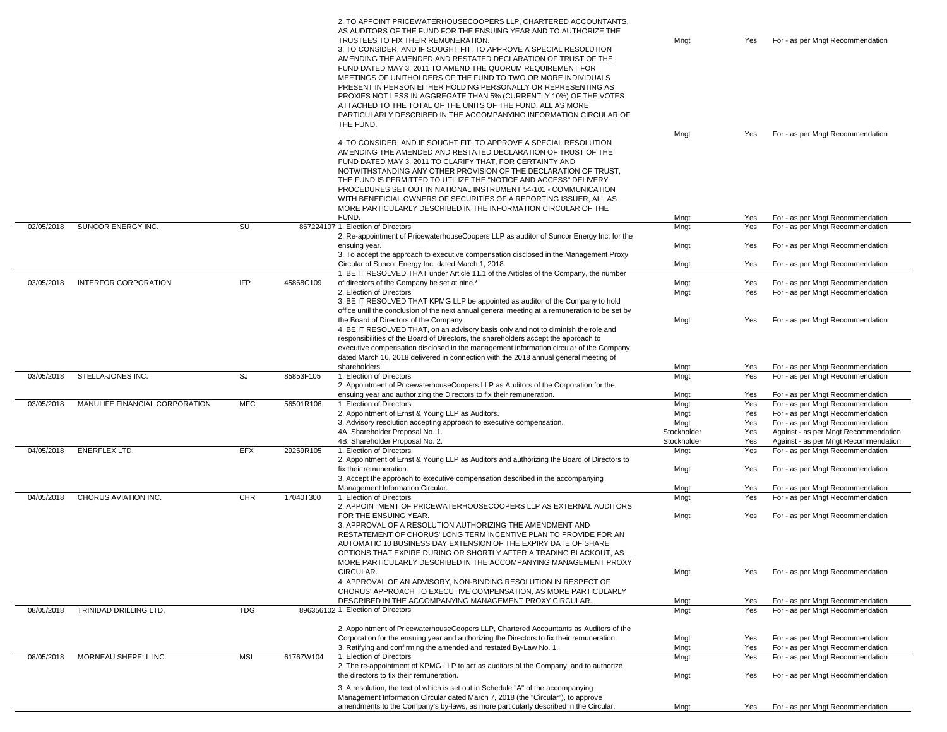|            |                                       |            |           | 2. TO APPOINT PRICEWATERHOUSECOOPERS LLP, CHARTERED ACCOUNTANTS.<br>AS AUDITORS OF THE FUND FOR THE ENSUING YEAR AND TO AUTHORIZE THE<br>TRUSTEES TO FIX THEIR REMUNERATION.<br>3. TO CONSIDER, AND IF SOUGHT FIT, TO APPROVE A SPECIAL RESOLUTION<br>AMENDING THE AMENDED AND RESTATED DECLARATION OF TRUST OF THE<br>FUND DATED MAY 3, 2011 TO AMEND THE QUORUM REQUIREMENT FOR<br>MEETINGS OF UNITHOLDERS OF THE FUND TO TWO OR MORE INDIVIDUALS<br>PRESENT IN PERSON EITHER HOLDING PERSONALLY OR REPRESENTING AS<br>PROXIES NOT LESS IN AGGREGATE THAN 5% (CURRENTLY 10%) OF THE VOTES<br>ATTACHED TO THE TOTAL OF THE UNITS OF THE FUND, ALL AS MORE<br>PARTICULARLY DESCRIBED IN THE ACCOMPANYING INFORMATION CIRCULAR OF<br>THE FUND. | Mngt        | Yes | For - as per Mngt Recommendation     |
|------------|---------------------------------------|------------|-----------|-----------------------------------------------------------------------------------------------------------------------------------------------------------------------------------------------------------------------------------------------------------------------------------------------------------------------------------------------------------------------------------------------------------------------------------------------------------------------------------------------------------------------------------------------------------------------------------------------------------------------------------------------------------------------------------------------------------------------------------------------|-------------|-----|--------------------------------------|
|            |                                       |            |           |                                                                                                                                                                                                                                                                                                                                                                                                                                                                                                                                                                                                                                                                                                                                               | Mngt        | Yes | For - as per Mngt Recommendation     |
|            |                                       |            |           | 4. TO CONSIDER, AND IF SOUGHT FIT, TO APPROVE A SPECIAL RESOLUTION<br>AMENDING THE AMENDED AND RESTATED DECLARATION OF TRUST OF THE<br>FUND DATED MAY 3, 2011 TO CLARIFY THAT, FOR CERTAINTY AND<br>NOTWITHSTANDING ANY OTHER PROVISION OF THE DECLARATION OF TRUST,<br>THE FUND IS PERMITTED TO UTILIZE THE "NOTICE AND ACCESS" DELIVERY<br>PROCEDURES SET OUT IN NATIONAL INSTRUMENT 54-101 - COMMUNICATION<br>WITH BENEFICIAL OWNERS OF SECURITIES OF A REPORTING ISSUER, ALL AS<br>MORE PARTICULARLY DESCRIBED IN THE INFORMATION CIRCULAR OF THE<br>FUND.                                                                                                                                                                                | Mngt        | Yes | For - as per Mngt Recommendation     |
| 02/05/2018 | SUNCOR ENERGY INC.                    | SU         |           | 867224107 1. Election of Directors                                                                                                                                                                                                                                                                                                                                                                                                                                                                                                                                                                                                                                                                                                            | Mngt        | Yes | For - as per Mngt Recommendation     |
|            |                                       |            |           | 2. Re-appointment of PricewaterhouseCoopers LLP as auditor of Suncor Energy Inc. for the<br>ensuing year.                                                                                                                                                                                                                                                                                                                                                                                                                                                                                                                                                                                                                                     | Mngt        | Yes | For - as per Mngt Recommendation     |
|            |                                       |            |           | 3. To accept the approach to executive compensation disclosed in the Management Proxy                                                                                                                                                                                                                                                                                                                                                                                                                                                                                                                                                                                                                                                         |             |     |                                      |
|            |                                       |            |           | Circular of Suncor Energy Inc. dated March 1, 2018.                                                                                                                                                                                                                                                                                                                                                                                                                                                                                                                                                                                                                                                                                           | Mngt        | Yes | For - as per Mngt Recommendation     |
|            |                                       |            |           | 1. BE IT RESOLVED THAT under Article 11.1 of the Articles of the Company, the number                                                                                                                                                                                                                                                                                                                                                                                                                                                                                                                                                                                                                                                          |             |     |                                      |
| 03/05/2018 | <b>INTERFOR CORPORATION</b>           | <b>IFP</b> | 45868C109 | of directors of the Company be set at nine.*                                                                                                                                                                                                                                                                                                                                                                                                                                                                                                                                                                                                                                                                                                  | Mngt        | Yes | For - as per Mngt Recommendation     |
|            |                                       |            |           | 2. Election of Directors                                                                                                                                                                                                                                                                                                                                                                                                                                                                                                                                                                                                                                                                                                                      | Mngt        | Yes | For - as per Mngt Recommendation     |
|            |                                       |            |           | 3. BE IT RESOLVED THAT KPMG LLP be appointed as auditor of the Company to hold<br>office until the conclusion of the next annual general meeting at a remuneration to be set by<br>the Board of Directors of the Company.<br>4. BE IT RESOLVED THAT, on an advisory basis only and not to diminish the role and<br>responsibilities of the Board of Directors, the shareholders accept the approach to<br>executive compensation disclosed in the management information circular of the Company<br>dated March 16, 2018 delivered in connection with the 2018 annual general meeting of                                                                                                                                                      | Mngt        | Yes | For - as per Mngt Recommendation     |
|            |                                       |            |           | shareholders.                                                                                                                                                                                                                                                                                                                                                                                                                                                                                                                                                                                                                                                                                                                                 | Mngt        | Yes | For - as per Mngt Recommendation     |
| 03/05/2018 | STELLA-JONES INC.                     | SJ         | 85853F105 | 1. Election of Directors<br>2. Appointment of PricewaterhouseCoopers LLP as Auditors of the Corporation for the                                                                                                                                                                                                                                                                                                                                                                                                                                                                                                                                                                                                                               | Mngt        | Yes | For - as per Mngt Recommendation     |
|            |                                       |            |           | ensuing year and authorizing the Directors to fix their remuneration.                                                                                                                                                                                                                                                                                                                                                                                                                                                                                                                                                                                                                                                                         | Mngt        | Yes | For - as per Mngt Recommendation     |
| 03/05/2018 | <b>MANULIFE FINANCIAL CORPORATION</b> | <b>MFC</b> | 56501R106 | 1. Election of Directors                                                                                                                                                                                                                                                                                                                                                                                                                                                                                                                                                                                                                                                                                                                      | Mngt        | Yes | For - as per Mngt Recommendation     |
|            |                                       |            |           | 2. Appointment of Ernst & Young LLP as Auditors.                                                                                                                                                                                                                                                                                                                                                                                                                                                                                                                                                                                                                                                                                              | Mngt        | Yes | For - as per Mngt Recommendation     |
|            |                                       |            |           | 3. Advisory resolution accepting approach to executive compensation.                                                                                                                                                                                                                                                                                                                                                                                                                                                                                                                                                                                                                                                                          | Mngt        | Yes | For - as per Mngt Recommendation     |
|            |                                       |            |           | 4A. Shareholder Proposal No. 1.                                                                                                                                                                                                                                                                                                                                                                                                                                                                                                                                                                                                                                                                                                               | Stockholder | Yes | Against - as per Mngt Recommendation |
|            |                                       |            |           | 4B. Shareholder Proposal No. 2.                                                                                                                                                                                                                                                                                                                                                                                                                                                                                                                                                                                                                                                                                                               | Stockholder | Yes | Against - as per Mngt Recommendation |
| 04/05/2018 | <b>ENERFLEX LTD.</b>                  | <b>EFX</b> | 29269R105 | 1. Election of Directors                                                                                                                                                                                                                                                                                                                                                                                                                                                                                                                                                                                                                                                                                                                      | Mngt        | Yes | For - as per Mngt Recommendation     |
|            |                                       |            |           | 2. Appointment of Ernst & Young LLP as Auditors and authorizing the Board of Directors to<br>fix their remuneration.                                                                                                                                                                                                                                                                                                                                                                                                                                                                                                                                                                                                                          | Mngt        | Yes | For - as per Mngt Recommendation     |
|            |                                       |            |           | 3. Accept the approach to executive compensation described in the accompanying                                                                                                                                                                                                                                                                                                                                                                                                                                                                                                                                                                                                                                                                |             |     |                                      |
|            |                                       |            |           | Management Information Circular.                                                                                                                                                                                                                                                                                                                                                                                                                                                                                                                                                                                                                                                                                                              | Mngt        | Yes | For - as per Mngt Recommendation     |
| 04/05/2018 | <b>CHORUS AVIATION INC.</b>           | <b>CHR</b> | 17040T300 | 1. Election of Directors                                                                                                                                                                                                                                                                                                                                                                                                                                                                                                                                                                                                                                                                                                                      | Mngt        | Yes | For - as per Mngt Recommendation     |
|            |                                       |            |           | 2. APPOINTMENT OF PRICEWATERHOUSECOOPERS LLP AS EXTERNAL AUDITORS<br>FOR THE ENSUING YEAR<br>3. APPROVAL OF A RESOLUTION AUTHORIZING THE AMENDMENT AND<br>RESTATEMENT OF CHORUS' LONG TERM INCENTIVE PLAN TO PROVIDE FOR AN<br>AUTOMATIC 10 BUSINESS DAY EXTENSION OF THE EXPIRY DATE OF SHARE<br>OPTIONS THAT EXPIRE DURING OR SHORTLY AFTER A TRADING BLACKOUT, AS<br>MORE PARTICULARLY DESCRIBED IN THE ACCOMPANYING MANAGEMENT PROXY                                                                                                                                                                                                                                                                                                      | Mngt        | Yes | For - as per Mngt Recommendation     |
|            |                                       |            |           | CIRCULAR.<br>4. APPROVAL OF AN ADVISORY, NON-BINDING RESOLUTION IN RESPECT OF                                                                                                                                                                                                                                                                                                                                                                                                                                                                                                                                                                                                                                                                 | Mngt        | Yes | For - as per Mngt Recommendation     |
|            |                                       |            |           | CHORUS' APPROACH TO EXECUTIVE COMPENSATION, AS MORE PARTICULARLY                                                                                                                                                                                                                                                                                                                                                                                                                                                                                                                                                                                                                                                                              |             |     |                                      |
|            |                                       |            |           | DESCRIBED IN THE ACCOMPANYING MANAGEMENT PROXY CIRCULAR.                                                                                                                                                                                                                                                                                                                                                                                                                                                                                                                                                                                                                                                                                      | Mngt        | Yes | For - as per Mngt Recommendation     |
| 08/05/2018 | TRINIDAD DRILLING LTD.                | <b>TDG</b> |           | 896356102 1. Election of Directors                                                                                                                                                                                                                                                                                                                                                                                                                                                                                                                                                                                                                                                                                                            | Mngt        | Yes | For - as per Mngt Recommendation     |
|            |                                       |            |           | 2. Appointment of PricewaterhouseCoopers LLP, Chartered Accountants as Auditors of the                                                                                                                                                                                                                                                                                                                                                                                                                                                                                                                                                                                                                                                        |             |     |                                      |
|            |                                       |            |           | Corporation for the ensuing year and authorizing the Directors to fix their remuneration.                                                                                                                                                                                                                                                                                                                                                                                                                                                                                                                                                                                                                                                     | Mngt        | Yes | For - as per Mngt Recommendation     |
|            |                                       |            |           | 3. Ratifying and confirming the amended and restated By-Law No. 1.<br>1. Election of Directors                                                                                                                                                                                                                                                                                                                                                                                                                                                                                                                                                                                                                                                | Mngt        | Yes | For - as per Mngt Recommendation     |
| 08/05/2018 | MORNEAU SHEPELL INC.                  | MSI        | 61767W104 | 2. The re-appointment of KPMG LLP to act as auditors of the Company, and to authorize                                                                                                                                                                                                                                                                                                                                                                                                                                                                                                                                                                                                                                                         | Mngt        | Yes | For - as per Mngt Recommendation     |
|            |                                       |            |           | the directors to fix their remuneration.                                                                                                                                                                                                                                                                                                                                                                                                                                                                                                                                                                                                                                                                                                      | Mngt        | Yes | For - as per Mngt Recommendation     |
|            |                                       |            |           | 3. A resolution, the text of which is set out in Schedule "A" of the accompanying                                                                                                                                                                                                                                                                                                                                                                                                                                                                                                                                                                                                                                                             |             |     |                                      |
|            |                                       |            |           | Management Information Circular dated March 7, 2018 (the "Circular"), to approve                                                                                                                                                                                                                                                                                                                                                                                                                                                                                                                                                                                                                                                              |             |     |                                      |
|            |                                       |            |           | amendments to the Company's by-laws, as more particularly described in the Circular.                                                                                                                                                                                                                                                                                                                                                                                                                                                                                                                                                                                                                                                          | Mngt        |     | Yes For - as per Mngt Recommendation |

| Mngt | Yes. | For - as per Mngt Recommendation |
|------|------|----------------------------------|
|      |      |                                  |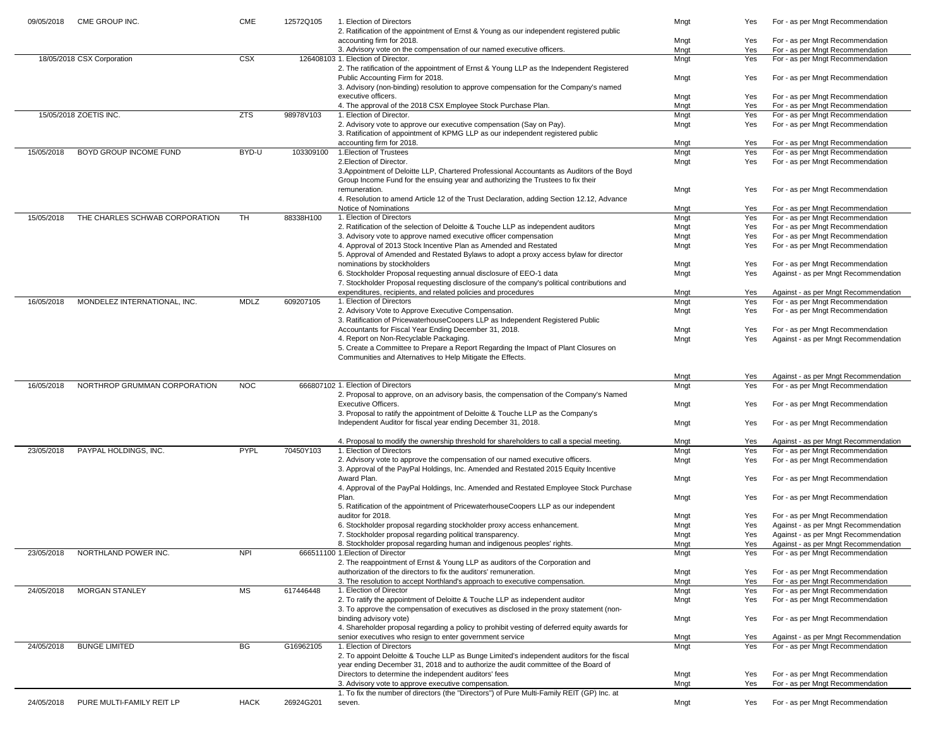| 09/05/2018 | CME GROUP INC.                 | <b>CME</b>  | 12572Q105 | 1. Election of Directors<br>2. Ratification of the appointment of Ernst & Young as our independent registered public                                                   | Mngt         | Yes        | For - as per Mngt Recommendation                                         |
|------------|--------------------------------|-------------|-----------|------------------------------------------------------------------------------------------------------------------------------------------------------------------------|--------------|------------|--------------------------------------------------------------------------|
|            |                                |             |           | accounting firm for 2018.                                                                                                                                              | Mngt         | Yes        | For - as per Mngt Recommendation                                         |
|            |                                |             |           | 3. Advisory vote on the compensation of our named executive officers.                                                                                                  | Mngt         | Yes        | For - as per Mngt Recommendation                                         |
|            | 18/05/2018 CSX Corporation     | <b>CSX</b>  |           | 126408103 1. Election of Director.                                                                                                                                     | Mngt         | Yes        | For - as per Mngt Recommendation                                         |
|            |                                |             |           | 2. The ratification of the appointment of Ernst & Young LLP as the Independent Registered<br>Public Accounting Firm for 2018.                                          | Mngt         | Yes        | For - as per Mngt Recommendation                                         |
|            |                                |             |           | 3. Advisory (non-binding) resolution to approve compensation for the Company's named                                                                                   |              |            |                                                                          |
|            |                                |             |           | executive officers.                                                                                                                                                    | Mngt         | Yes        | For - as per Mngt Recommendation                                         |
|            |                                |             |           | 4. The approval of the 2018 CSX Employee Stock Purchase Plan.                                                                                                          | Mngt         | Yes        | For - as per Mngt Recommendation                                         |
|            | 15/05/2018 ZOETIS INC.         | <b>ZTS</b>  | 98978V103 | 1. Election of Director.                                                                                                                                               | Mngt         | Yes        | For - as per Mngt Recommendation                                         |
|            |                                |             |           | 2. Advisory vote to approve our executive compensation (Say on Pay).                                                                                                   | Mngt         | Yes        | For - as per Mngt Recommendation                                         |
|            |                                |             |           | 3. Ratification of appointment of KPMG LLP as our independent registered public<br>accounting firm for 2018.                                                           | Mngt         | Yes        | For - as per Mngt Recommendation                                         |
| 15/05/2018 | BOYD GROUP INCOME FUND         | BYD-U       | 103309100 | 1. Election of Trustees                                                                                                                                                | Mngt         | Yes        | For - as per Mngt Recommendation                                         |
|            |                                |             |           | 2. Election of Director.                                                                                                                                               | Mngt         | Yes        | For - as per Mngt Recommendation                                         |
|            |                                |             |           | 3. Appointment of Deloitte LLP, Chartered Professional Accountants as Auditors of the Boyd                                                                             |              |            |                                                                          |
|            |                                |             |           | Group Income Fund for the ensuing year and authorizing the Trustees to fix their                                                                                       |              |            |                                                                          |
|            |                                |             |           | remuneration.                                                                                                                                                          | Mngt         | Yes        | For - as per Mngt Recommendation                                         |
|            |                                |             |           | 4. Resolution to amend Article 12 of the Trust Declaration, adding Section 12.12, Advance<br><b>Notice of Nominations</b>                                              | Mngt         | Yes        | For - as per Mngt Recommendation                                         |
| 15/05/2018 | THE CHARLES SCHWAB CORPORATION | TH          | 88338H100 | 1. Election of Directors                                                                                                                                               | Mngt         | Yes        | For - as per Mngt Recommendation                                         |
|            |                                |             |           | 2. Ratification of the selection of Deloitte & Touche LLP as independent auditors                                                                                      | Mngt         | Yes        | For - as per Mngt Recommendation                                         |
|            |                                |             |           | 3. Advisory vote to approve named executive officer compensation                                                                                                       | Mngt         | Yes        | For - as per Mngt Recommendation                                         |
|            |                                |             |           | 4. Approval of 2013 Stock Incentive Plan as Amended and Restated                                                                                                       | Mngt         | Yes        | For - as per Mngt Recommendation                                         |
|            |                                |             |           | 5. Approval of Amended and Restated Bylaws to adopt a proxy access bylaw for director                                                                                  |              |            |                                                                          |
|            |                                |             |           | nominations by stockholders                                                                                                                                            | Mngt         | Yes        | For - as per Mngt Recommendation                                         |
|            |                                |             |           | 6. Stockholder Proposal requesting annual disclosure of EEO-1 data<br>7. Stockholder Proposal requesting disclosure of the company's political contributions and       | Mngt         | Yes        | Against - as per Mngt Recommendation                                     |
|            |                                |             |           | expenditures, recipients, and related policies and procedures                                                                                                          | Mngt         | Yes        | Against - as per Mngt Recommendation                                     |
| 16/05/2018 | MONDELEZ INTERNATIONAL, INC.   | <b>MDLZ</b> | 609207105 | 1. Election of Directors                                                                                                                                               | Mngt         | Yes        | For - as per Mngt Recommendation                                         |
|            |                                |             |           | 2. Advisory Vote to Approve Executive Compensation.                                                                                                                    | Mngt         | Yes        | For - as per Mngt Recommendation                                         |
|            |                                |             |           | 3. Ratification of PricewaterhouseCoopers LLP as Independent Registered Public                                                                                         |              |            |                                                                          |
|            |                                |             |           | Accountants for Fiscal Year Ending December 31, 2018.                                                                                                                  | Mngt         | Yes        | For - as per Mngt Recommendation                                         |
|            |                                |             |           | 4. Report on Non-Recyclable Packaging.<br>5. Create a Committee to Prepare a Report Regarding the Impact of Plant Closures on                                          | Mngt         | Yes        | Against - as per Mngt Recommendation                                     |
|            |                                |             |           |                                                                                                                                                                        |              |            |                                                                          |
|            |                                |             |           |                                                                                                                                                                        |              |            |                                                                          |
|            |                                |             |           | Communities and Alternatives to Help Mitigate the Effects.                                                                                                             |              |            |                                                                          |
|            |                                |             |           |                                                                                                                                                                        | Mngt         | Yes        | Against - as per Mngt Recommendation                                     |
| 16/05/2018 | NORTHROP GRUMMAN CORPORATION   | <b>NOC</b>  |           | 666807102 1. Election of Directors                                                                                                                                     | Mngt         | Yes        | For - as per Mngt Recommendation                                         |
|            |                                |             |           | 2. Proposal to approve, on an advisory basis, the compensation of the Company's Named                                                                                  |              |            |                                                                          |
|            |                                |             |           | <b>Executive Officers.</b>                                                                                                                                             | Mngt         | Yes        | For - as per Mngt Recommendation                                         |
|            |                                |             |           | 3. Proposal to ratify the appointment of Deloitte & Touche LLP as the Company's<br>Independent Auditor for fiscal year ending December 31, 2018.                       | Mngt         | Yes        | For - as per Mngt Recommendation                                         |
|            |                                |             |           |                                                                                                                                                                        |              |            |                                                                          |
|            |                                |             |           | 4. Proposal to modify the ownership threshold for shareholders to call a special meeting.                                                                              | Mngt         | Yes        | Against - as per Mngt Recommendation                                     |
| 23/05/2018 | PAYPAL HOLDINGS, INC.          | <b>PYPL</b> | 70450Y103 | 1. Election of Directors                                                                                                                                               | Mngt         | Yes        | For - as per Mngt Recommendation                                         |
|            |                                |             |           | 2. Advisory vote to approve the compensation of our named executive officers.                                                                                          | Mngt         | Yes        | For - as per Mngt Recommendation                                         |
|            |                                |             |           | 3. Approval of the PayPal Holdings, Inc. Amended and Restated 2015 Equity Incentive<br>Award Plan.                                                                     |              |            |                                                                          |
|            |                                |             |           | 4. Approval of the PayPal Holdings, Inc. Amended and Restated Employee Stock Purchase                                                                                  | Mngt         | Yes        | For - as per Mngt Recommendation                                         |
|            |                                |             |           | Plan.                                                                                                                                                                  | Mngt         | Yes        | For - as per Mngt Recommendation                                         |
|            |                                |             |           | 5. Ratification of the appointment of PricewaterhouseCoopers LLP as our independent                                                                                    |              |            |                                                                          |
|            |                                |             |           | auditor for 2018.                                                                                                                                                      | Mngt         | Yes        | For - as per Mngt Recommendation                                         |
|            |                                |             |           | 6. Stockholder proposal regarding stockholder proxy access enhancement.                                                                                                | Mngt         | Yes        | Against - as per Mngt Recommendation                                     |
|            |                                |             |           | 7. Stockholder proposal regarding political transparency.                                                                                                              | Mngt         | Yes<br>Yes | Against - as per Mngt Recommendation                                     |
| 23/05/2018 | NORTHLAND POWER INC.           | <b>NPI</b>  |           | 8. Stockholder proposal regarding human and indigenous peoples' rights.<br>666511100 1. Election of Director                                                           | Mngt<br>Mngt | Yes        | Against - as per Mngt Recommendation<br>For - as per Mngt Recommendation |
|            |                                |             |           | 2. The reappointment of Ernst & Young LLP as auditors of the Corporation and                                                                                           |              |            |                                                                          |
|            |                                |             |           | authorization of the directors to fix the auditors' remuneration.                                                                                                      | Mngt         | Yes        | For - as per Mngt Recommendation                                         |
|            |                                |             |           | 3. The resolution to accept Northland's approach to executive compensation.                                                                                            | Mngt         | Yes        | For - as per Mngt Recommendation                                         |
| 24/05/2018 | <b>MORGAN STANLEY</b>          | <b>MS</b>   | 617446448 | 1. Election of Director                                                                                                                                                | Mngt         | Yes        | For - as per Mngt Recommendation                                         |
|            |                                |             |           | 2. To ratify the appointment of Deloitte & Touche LLP as independent auditor<br>3. To approve the compensation of executives as disclosed in the proxy statement (non- | Mngt         | Yes        | For - as per Mngt Recommendation                                         |
|            |                                |             |           | binding advisory vote)                                                                                                                                                 | Mngt         | Yes        | For - as per Mngt Recommendation                                         |
|            |                                |             |           | 4. Shareholder proposal regarding a policy to prohibit vesting of deferred equity awards for                                                                           |              |            |                                                                          |
|            |                                |             |           | senior executives who resign to enter government service                                                                                                               | Mngt         | Yes        | Against - as per Mngt Recommendation                                     |
| 24/05/2018 | <b>BUNGE LIMITED</b>           | <b>BG</b>   | G16962105 | 1. Election of Directors                                                                                                                                               | Mngt         | Yes        | For - as per Mngt Recommendation                                         |
|            |                                |             |           | 2. To appoint Deloitte & Touche LLP as Bunge Limited's independent auditors for the fiscal                                                                             |              |            |                                                                          |
|            |                                |             |           | year ending December 31, 2018 and to authorize the audit committee of the Board of<br>Directors to determine the independent auditors' fees                            |              | Yes        |                                                                          |
|            |                                |             |           | 3. Advisory vote to approve executive compensation.                                                                                                                    | Mngt<br>Mngt | Yes        | For - as per Mngt Recommendation<br>For - as per Mngt Recommendation     |
| 24/05/2018 | PURE MULTI-FAMILY REIT LP      | <b>HACK</b> | 26924G201 | 1. To fix the number of directors (the "Directors") of Pure Multi-Family REIT (GP) Inc. at<br>seven.                                                                   | Mngt         | Yes        | For - as per Mngt Recommendation                                         |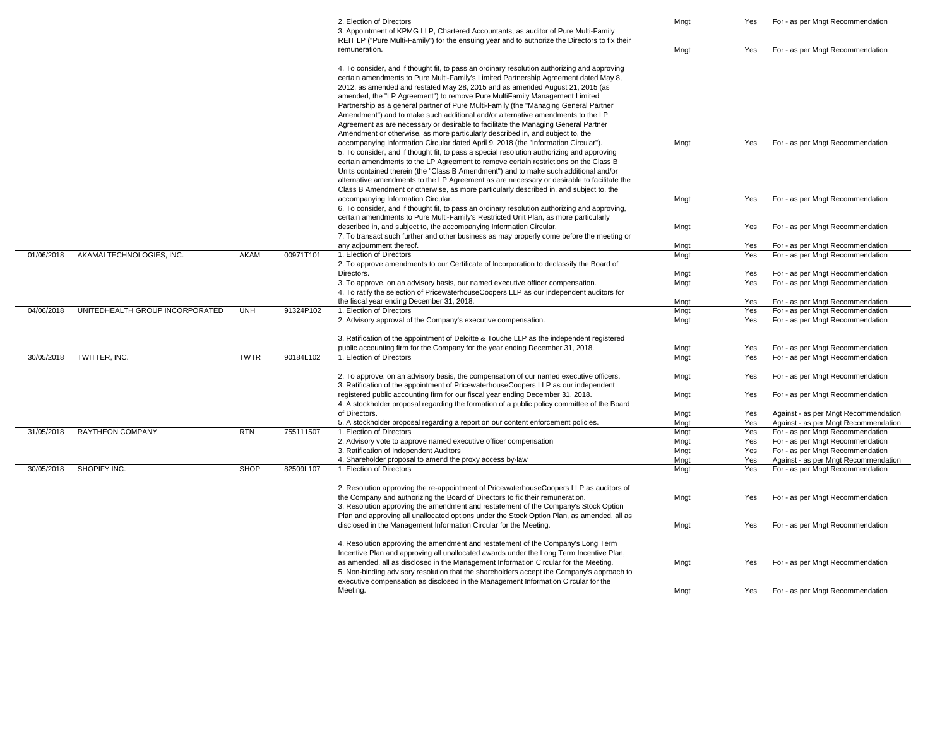|            |                                 |             |           | 2. Election of Directors<br>3. Appointment of KPMG LLP, Chartered Accountants, as auditor of Pure Multi-Family<br>REIT LP ("Pure Multi-Family") for the ensuing year and to authorize the Directors to fix their                                                                                                                                                                                                                                                                                                                                                                                                                                                                                                                                                                                                                                                                            | Mngt         | Yes | For - as per Mngt Recommendation     |
|------------|---------------------------------|-------------|-----------|---------------------------------------------------------------------------------------------------------------------------------------------------------------------------------------------------------------------------------------------------------------------------------------------------------------------------------------------------------------------------------------------------------------------------------------------------------------------------------------------------------------------------------------------------------------------------------------------------------------------------------------------------------------------------------------------------------------------------------------------------------------------------------------------------------------------------------------------------------------------------------------------|--------------|-----|--------------------------------------|
|            |                                 |             |           | remuneration.                                                                                                                                                                                                                                                                                                                                                                                                                                                                                                                                                                                                                                                                                                                                                                                                                                                                               | Mngt         | Yes | For - as per Mngt Recommendation     |
|            |                                 |             |           | 4. To consider, and if thought fit, to pass an ordinary resolution authorizing and approving<br>certain amendments to Pure Multi-Family's Limited Partnership Agreement dated May 8,<br>2012, as amended and restated May 28, 2015 and as amended August 21, 2015 (as<br>amended, the "LP Agreement") to remove Pure MultiFamily Management Limited<br>Partnership as a general partner of Pure Multi-Family (the "Managing General Partner<br>Amendment") and to make such additional and/or alternative amendments to the LP<br>Agreement as are necessary or desirable to facilitate the Managing General Partner<br>Amendment or otherwise, as more particularly described in, and subject to, the<br>accompanying Information Circular dated April 9, 2018 (the "Information Circular").<br>5. To consider, and if thought fit, to pass a special resolution authorizing and approving | Mngt         | Yes | For - as per Mngt Recommendation     |
|            |                                 |             |           | certain amendments to the LP Agreement to remove certain restrictions on the Class B<br>Units contained therein (the "Class B Amendment") and to make such additional and/or<br>alternative amendments to the LP Agreement as are necessary or desirable to facilitate the<br>Class B Amendment or otherwise, as more particularly described in, and subject to, the<br>accompanying Information Circular.                                                                                                                                                                                                                                                                                                                                                                                                                                                                                  | Mngt         | Yes | For - as per Mngt Recommendation     |
|            |                                 |             |           | 6. To consider, and if thought fit, to pass an ordinary resolution authorizing and approving,<br>certain amendments to Pure Multi-Family's Restricted Unit Plan, as more particularly<br>described in, and subject to, the accompanying Information Circular.                                                                                                                                                                                                                                                                                                                                                                                                                                                                                                                                                                                                                               | Mngt         | Yes | For - as per Mngt Recommendation     |
|            |                                 |             |           | 7. To transact such further and other business as may properly come before the meeting or                                                                                                                                                                                                                                                                                                                                                                                                                                                                                                                                                                                                                                                                                                                                                                                                   |              |     |                                      |
|            |                                 |             |           | any adjournment thereof.                                                                                                                                                                                                                                                                                                                                                                                                                                                                                                                                                                                                                                                                                                                                                                                                                                                                    | Mngt         | Yes | For - as per Mngt Recommendation     |
| 01/06/2018 | AKAMAI TECHNOLOGIES, INC.       | AKAM        | 00971T101 | 1. Election of Directors<br>2. To approve amendments to our Certificate of Incorporation to declassify the Board of                                                                                                                                                                                                                                                                                                                                                                                                                                                                                                                                                                                                                                                                                                                                                                         | Mngt         | Yes | For - as per Mngt Recommendation     |
|            |                                 |             |           | Directors.                                                                                                                                                                                                                                                                                                                                                                                                                                                                                                                                                                                                                                                                                                                                                                                                                                                                                  | Mngt         | Yes | For - as per Mngt Recommendation     |
|            |                                 |             |           | 3. To approve, on an advisory basis, our named executive officer compensation.<br>4. To ratify the selection of PricewaterhouseCoopers LLP as our independent auditors for                                                                                                                                                                                                                                                                                                                                                                                                                                                                                                                                                                                                                                                                                                                  | Mngt         | Yes | For - as per Mngt Recommendation     |
|            |                                 |             |           | the fiscal year ending December 31, 2018.                                                                                                                                                                                                                                                                                                                                                                                                                                                                                                                                                                                                                                                                                                                                                                                                                                                   |              |     |                                      |
|            |                                 |             |           |                                                                                                                                                                                                                                                                                                                                                                                                                                                                                                                                                                                                                                                                                                                                                                                                                                                                                             | Mngt         | Yes | For - as per Mngt Recommendation     |
| 04/06/2018 | UNITEDHEALTH GROUP INCORPORATED | <b>UNH</b>  | 91324P102 | 1. Election of Directors                                                                                                                                                                                                                                                                                                                                                                                                                                                                                                                                                                                                                                                                                                                                                                                                                                                                    | Mngt         | Yes | For - as per Mngt Recommendation     |
|            |                                 |             |           | 2. Advisory approval of the Company's executive compensation.                                                                                                                                                                                                                                                                                                                                                                                                                                                                                                                                                                                                                                                                                                                                                                                                                               | Mngt         | Yes | For - as per Mngt Recommendation     |
|            |                                 |             |           | 3. Ratification of the appointment of Deloitte & Touche LLP as the independent registered                                                                                                                                                                                                                                                                                                                                                                                                                                                                                                                                                                                                                                                                                                                                                                                                   |              |     |                                      |
|            |                                 |             |           | public accounting firm for the Company for the year ending December 31, 2018.                                                                                                                                                                                                                                                                                                                                                                                                                                                                                                                                                                                                                                                                                                                                                                                                               | Mngt         | Yes | For - as per Mngt Recommendation     |
| 30/05/2018 | TWITTER, INC.                   | <b>TWTR</b> | 90184L102 | 1. Election of Directors                                                                                                                                                                                                                                                                                                                                                                                                                                                                                                                                                                                                                                                                                                                                                                                                                                                                    | Mngt         | Yes | For - as per Mngt Recommendation     |
|            |                                 |             |           | 2. To approve, on an advisory basis, the compensation of our named executive officers.<br>3. Ratification of the appointment of PricewaterhouseCoopers LLP as our independent                                                                                                                                                                                                                                                                                                                                                                                                                                                                                                                                                                                                                                                                                                               | Mngt         | Yes | For - as per Mngt Recommendation     |
|            |                                 |             |           | registered public accounting firm for our fiscal year ending December 31, 2018.<br>4. A stockholder proposal regarding the formation of a public policy committee of the Board                                                                                                                                                                                                                                                                                                                                                                                                                                                                                                                                                                                                                                                                                                              | Mngt         | Yes | For - as per Mngt Recommendation     |
|            |                                 |             |           | of Directors.                                                                                                                                                                                                                                                                                                                                                                                                                                                                                                                                                                                                                                                                                                                                                                                                                                                                               |              | Yes | Against - as per Mngt Recommendation |
|            |                                 |             |           | 5. A stockholder proposal regarding a report on our content enforcement policies.                                                                                                                                                                                                                                                                                                                                                                                                                                                                                                                                                                                                                                                                                                                                                                                                           | Mngt<br>Mngt | Yes | Against - as per Mngt Recommendation |
|            |                                 |             |           |                                                                                                                                                                                                                                                                                                                                                                                                                                                                                                                                                                                                                                                                                                                                                                                                                                                                                             |              |     |                                      |
| 31/05/2018 | <b>RAYTHEON COMPANY</b>         | <b>RTN</b>  | 755111507 | 1. Election of Directors                                                                                                                                                                                                                                                                                                                                                                                                                                                                                                                                                                                                                                                                                                                                                                                                                                                                    | Mngt         | Yes | For - as per Mngt Recommendation     |
|            |                                 |             |           | 2. Advisory vote to approve named executive officer compensation                                                                                                                                                                                                                                                                                                                                                                                                                                                                                                                                                                                                                                                                                                                                                                                                                            | Mngt         | Yes | For - as per Mngt Recommendation     |
|            |                                 |             |           | 3. Ratification of Independent Auditors                                                                                                                                                                                                                                                                                                                                                                                                                                                                                                                                                                                                                                                                                                                                                                                                                                                     | Mngt         | Yes | For - as per Mngt Recommendation     |
|            |                                 |             |           | 4. Shareholder proposal to amend the proxy access by-law                                                                                                                                                                                                                                                                                                                                                                                                                                                                                                                                                                                                                                                                                                                                                                                                                                    | Mngt         | Yes | Against - as per Mngt Recommendation |
| 30/05/2018 | SHOPIFY INC.                    | <b>SHOP</b> | 82509L107 | 1. Election of Directors                                                                                                                                                                                                                                                                                                                                                                                                                                                                                                                                                                                                                                                                                                                                                                                                                                                                    | Mngt         | Yes | For - as per Mngt Recommendation     |
|            |                                 |             |           | 2. Resolution approving the re-appointment of PricewaterhouseCoopers LLP as auditors of<br>the Company and authorizing the Board of Directors to fix their remuneration.<br>3. Resolution approving the amendment and restatement of the Company's Stock Option                                                                                                                                                                                                                                                                                                                                                                                                                                                                                                                                                                                                                             | Mngt         | Yes | For - as per Mngt Recommendation     |
|            |                                 |             |           | Plan and approving all unallocated options under the Stock Option Plan, as amended, all as<br>disclosed in the Management Information Circular for the Meeting.                                                                                                                                                                                                                                                                                                                                                                                                                                                                                                                                                                                                                                                                                                                             | Mngt         | Yes | For - as per Mngt Recommendation     |
|            |                                 |             |           | 4. Resolution approving the amendment and restatement of the Company's Long Term<br>Incentive Plan and approving all unallocated awards under the Long Term Incentive Plan,<br>as amended, all as disclosed in the Management Information Circular for the Meeting.<br>5. Non-binding advisory resolution that the shareholders accept the Company's approach to<br>executive compensation as disclosed in the Management Information Circular for the                                                                                                                                                                                                                                                                                                                                                                                                                                      | Mngt         | Yes | For - as per Mngt Recommendation     |
|            |                                 |             |           | Meeting.                                                                                                                                                                                                                                                                                                                                                                                                                                                                                                                                                                                                                                                                                                                                                                                                                                                                                    | Mngt         | Yes | For - as per Mngt Recommendation     |

| Mngt | Yes        | For - as per Mngt Recommendation     |
|------|------------|--------------------------------------|
| Mngt | <b>Yes</b> | For - as per Mngt Recommendation     |
|      |            |                                      |
|      |            |                                      |
|      |            |                                      |
| Mngt | Yes        | For - as per Mngt Recommendation     |
|      |            |                                      |
| Mngt | Yes        | For - as per Mngt Recommendation     |
| Mngt | Yes        | For - as per Mngt Recommendation     |
| Mngt | Yes        | For - as per Mngt Recommendation     |
| Mngt | Yes        | For - as per Mngt Recommendation     |
| Mngt | Yes        | For - as per Mngt Recommendation     |
| Mngt | Yes        | For - as per Mngt Recommendation     |
| Mngt | Yes        | For - as per Mngt Recommendation     |
| Mngt | Yes        | For - as per Mngt Recommendation     |
| Mngt | Yes        | For - as per Mngt Recommendation     |
|      |            |                                      |
| Mngt | Yes        | For - as per Mngt Recommendation     |
| Mngt | Yes        | For - as per Mngt Recommendation     |
| Mngt | Yes        | For - as per Mngt Recommendation     |
| Mngt | Yes        | For - as per Mngt Recommendation     |
| Mngt | Yes        | Against - as per Mngt Recommendation |
| Mngt | Yes        | Against - as per Mngt Recommendation |
| Mngt | Yes        | For - as per Mngt Recommendation     |
| Mngt | Yes        | For - as per Mngt Recommendation     |
| Mngt | Yes        | For - as per Mngt Recommendation     |
| Mngt | Yes        | Against - as per Mngt Recommendation |
| Mngt | Yes        | For - as per Mngt Recommendation     |
|      |            |                                      |
| Mngt | Yes        | For - as per Mngt Recommendation     |
| Mngt | Yes        | For - as per Mngt Recommendation     |
|      |            |                                      |
|      |            |                                      |
| Mngt | Yes        | For - as per Mngt Recommendation     |
| Mngt | Yes        | For - as per Mngt Recommendation     |
|      |            |                                      |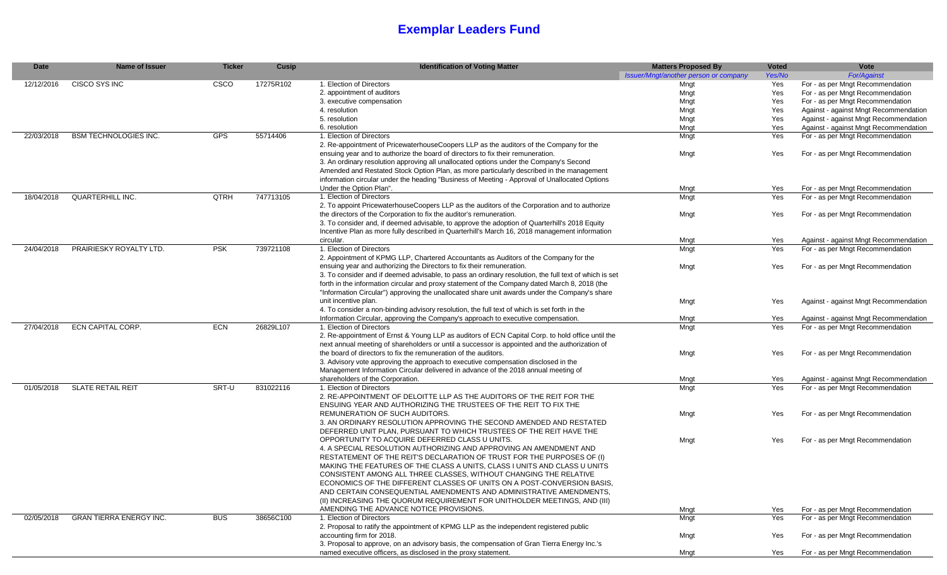## **Exemplar Leaders Fund**

| Yes/No<br><b>For/Against</b><br>Issuer/Mngt/another person or company<br>1. Election of Directors<br><b>CISCO SYS INC</b><br><b>CSCO</b><br>17275R102<br>For - as per Mngt Recommendation<br>12/12/2016<br>Yes<br>Mngt<br>For - as per Mngt Recommendation<br>2. appointment of auditors<br>Yes<br>Mngt<br>3. executive compensation<br>For - as per Mngt Recommendation<br>Mngt<br>Yes<br>Against - against Mngt Recommendation<br>4. resolution<br>Mngt<br>Yes<br>5. resolution<br>Against - against Mngt Recommendation<br>Yes<br>Mngt<br>6. resolution<br>Against - against Mngt Recommendation<br>Yes<br>Mngt<br><b>BSM TECHNOLOGIES INC.</b><br>1. Election of Directors<br><b>GPS</b><br>55714406<br>22/03/2018<br>Mngt<br>Yes<br>For - as per Mngt Recommendation<br>2. Re-appointment of PricewaterhouseCoopers LLP as the auditors of the Company for the<br>ensuing year and to authorize the board of directors to fix their remuneration.<br>Mngt<br>Yes<br>For - as per Mngt Recommendation<br>3. An ordinary resolution approving all unallocated options under the Company's Second<br>Amended and Restated Stock Option Plan, as more particularly described in the management<br>information circular under the heading "Business of Meeting - Approval of Unallocated Options<br>Under the Option Plan".<br>For - as per Mngt Recommendation<br>Mngt<br>Yes<br><b>QUARTERHILL INC.</b><br>1. Election of Directors<br><b>QTRH</b><br>747713105<br>Mngt<br>Yes<br>18/04/2018<br>For - as per Mngt Recommendation<br>2. To appoint PricewaterhouseCoopers LLP as the auditors of the Corporation and to authorize<br>the directors of the Corporation to fix the auditor's remuneration.<br>Mngt<br>Yes<br>For - as per Mngt Recommendation<br>3. To consider and, if deemed advisable, to approve the adoption of Quarterhill's 2018 Equity<br>Incentive Plan as more fully described in Quarterhill's March 16, 2018 management information<br>circular.<br>Mngt<br>Yes<br>Against - against Mngt Recommendation<br>1. Election of Directors<br>PRAIRIESKY ROYALTY LTD.<br><b>PSK</b><br>24/04/2018<br>739721108<br>Mngt<br>Yes<br>For - as per Mngt Recommendation<br>2. Appointment of KPMG LLP, Chartered Accountants as Auditors of the Company for the<br>ensuing year and authorizing the Directors to fix their remuneration.<br>Mngt<br>For - as per Mngt Recommendation<br>Yes<br>3. To consider and if deemed advisable, to pass an ordinary resolution, the full text of which is set<br>forth in the information circular and proxy statement of the Company dated March 8, 2018 (the<br>"Information Circular") approving the unallocated share unit awards under the Company's share<br>Against - against Mngt Recommendation<br>unit incentive plan.<br>Mngt<br>Yes<br>4. To consider a non-binding advisory resolution, the full text of which is set forth in the<br>Information Circular, approving the Company's approach to executive compensation.<br>Against - against Mngt Recommendation<br>Yes<br>Mngt<br><b>ECN CAPITAL CORP.</b><br>ECN<br>For - as per Mngt Recommendation<br>27/04/2018<br>26829L107<br>1. Election of Directors<br>Mngt<br>Yes<br>2. Re-appointment of Ernst & Young LLP as auditors of ECN Capital Corp. to hold office until the<br>next annual meeting of shareholders or until a successor is appointed and the authorization of<br>the board of directors to fix the remuneration of the auditors.<br>For - as per Mngt Recommendation<br>Mngt<br>Yes<br>3. Advisory vote approving the approach to executive compensation disclosed in the<br>Management Information Circular delivered in advance of the 2018 annual meeting of<br>Mngt<br>shareholders of the Corporation.<br>Yes<br>Against - against Mngt Recommendation<br>831022116<br>01/05/2018<br><b>SLATE RETAIL REIT</b><br>SRT-U<br>Mngt<br>Yes<br>For - as per Mngt Recommendation<br>1. Election of Directors<br>2. RE-APPOINTMENT OF DELOITTE LLP AS THE AUDITORS OF THE REIT FOR THE<br>ENSUING YEAR AND AUTHORIZING THE TRUSTEES OF THE REIT TO FIX THE<br><b>REMUNERATION OF SUCH AUDITORS.</b><br>For - as per Mngt Recommendation<br>Mngt<br>Yes<br>3. AN ORDINARY RESOLUTION APPROVING THE SECOND AMENDED AND RESTATED<br>DEFERRED UNIT PLAN, PURSUANT TO WHICH TRUSTEES OF THE REIT HAVE THE<br>OPPORTUNITY TO ACQUIRE DEFERRED CLASS U UNITS.<br>Mngt<br>For - as per Mngt Recommendation<br>Yes<br>4. A SPECIAL RESOLUTION AUTHORIZING AND APPROVING AN AMENDMENT AND<br>RESTATEMENT OF THE REIT'S DECLARATION OF TRUST FOR THE PURPOSES OF (I)<br>MAKING THE FEATURES OF THE CLASS A UNITS, CLASS I UNITS AND CLASS U UNITS<br>CONSISTENT AMONG ALL THREE CLASSES, WITHOUT CHANGING THE RELATIVE<br>ECONOMICS OF THE DIFFERENT CLASSES OF UNITS ON A POST-CONVERSION BASIS,<br>AND CERTAIN CONSEQUENTIAL AMENDMENTS AND ADMINISTRATIVE AMENDMENTS,<br>(II) INCREASING THE QUORUM REQUIREMENT FOR UNITHOLDER MEETINGS, AND (III)<br>AMENDING THE ADVANCE NOTICE PROVISIONS.<br>For - as per Mngt Recommendation<br>Mngt<br>Yes<br><b>GRAN TIERRA ENERGY INC.</b><br>38656C100<br><b>BUS</b><br>1. Election of Directors<br>Mngt<br>Yes<br>02/05/2018<br>For - as per Mngt Recommendation<br>2. Proposal to ratify the appointment of KPMG LLP as the independent registered public<br>accounting firm for 2018.<br>Mngt<br>For - as per Mngt Recommendation<br>Yes<br>3. Proposal to approve, on an advisory basis, the compensation of Gran Tierra Energy Inc.'s<br>named executive officers, as disclosed in the proxy statement.<br>Mngt<br>For - as per Mngt Recommendation<br>Yes | <b>Date</b> | <b>Name of Issuer</b> | <b>Ticker</b> | Cusip | <b>Identification of Voting Matter</b> | <b>Matters Proposed By</b> | <b>Voted</b> | Vote |
|---------------------------------------------------------------------------------------------------------------------------------------------------------------------------------------------------------------------------------------------------------------------------------------------------------------------------------------------------------------------------------------------------------------------------------------------------------------------------------------------------------------------------------------------------------------------------------------------------------------------------------------------------------------------------------------------------------------------------------------------------------------------------------------------------------------------------------------------------------------------------------------------------------------------------------------------------------------------------------------------------------------------------------------------------------------------------------------------------------------------------------------------------------------------------------------------------------------------------------------------------------------------------------------------------------------------------------------------------------------------------------------------------------------------------------------------------------------------------------------------------------------------------------------------------------------------------------------------------------------------------------------------------------------------------------------------------------------------------------------------------------------------------------------------------------------------------------------------------------------------------------------------------------------------------------------------------------------------------------------------------------------------------------------------------------------------------------------------------------------------------------------------------------------------------------------------------------------------------------------------------------------------------------------------------------------------------------------------------------------------------------------------------------------------------------------------------------------------------------------------------------------------------------------------------------------------------------------------------------------------------------------------------------------------------------------------------------------------------------------------------------------------------------------------------------------------------------------------------------------------------------------------------------------------------------------------------------------------------------------------------------------------------------------------------------------------------------------------------------------------------------------------------------------------------------------------------------------------------------------------------------------------------------------------------------------------------------------------------------------------------------------------------------------------------------------------------------------------------------------------------------------------------------------------------------------------------------------------------------------------------------------------------------------------------------------------------------------------------------------------------------------------------------------------------------------------------------------------------------------------------------------------------------------------------------------------------------------------------------------------------------------------------------------------------------------------------------------------------------------------------------------------------------------------------------------------------------------------------------------------------------------------------------------------------------------------------------------------------------------------------------------------------------------------------------------------------------------------------------------------------------------------------------------------------------------------------------------------------------------------------------------------------------------------------------------------------------------------------------------------------------------------------------------------------------------------------------------------------------------------------------------------------------------------------------------------------------------------------------------------------------------------------------------------------------------------------------------------------------------------------------------------------------------------------------------------------------------------------------------------------------------------------------------------------------------------------------------------------------------------------------------------------------------------------------------------------------------------------------------------------------------------------------------------------------------------------------------------------------------------------------------|-------------|-----------------------|---------------|-------|----------------------------------------|----------------------------|--------------|------|
|                                                                                                                                                                                                                                                                                                                                                                                                                                                                                                                                                                                                                                                                                                                                                                                                                                                                                                                                                                                                                                                                                                                                                                                                                                                                                                                                                                                                                                                                                                                                                                                                                                                                                                                                                                                                                                                                                                                                                                                                                                                                                                                                                                                                                                                                                                                                                                                                                                                                                                                                                                                                                                                                                                                                                                                                                                                                                                                                                                                                                                                                                                                                                                                                                                                                                                                                                                                                                                                                                                                                                                                                                                                                                                                                                                                                                                                                                                                                                                                                                                                                                                                                                                                                                                                                                                                                                                                                                                                                                                                                                                                                                                                                                                                                                                                                                                                                                                                                                                                                                                                                                                                                                                                                                                                                                                                                                                                                                                                                                                                                                                                                                                       |             |                       |               |       |                                        |                            |              |      |
|                                                                                                                                                                                                                                                                                                                                                                                                                                                                                                                                                                                                                                                                                                                                                                                                                                                                                                                                                                                                                                                                                                                                                                                                                                                                                                                                                                                                                                                                                                                                                                                                                                                                                                                                                                                                                                                                                                                                                                                                                                                                                                                                                                                                                                                                                                                                                                                                                                                                                                                                                                                                                                                                                                                                                                                                                                                                                                                                                                                                                                                                                                                                                                                                                                                                                                                                                                                                                                                                                                                                                                                                                                                                                                                                                                                                                                                                                                                                                                                                                                                                                                                                                                                                                                                                                                                                                                                                                                                                                                                                                                                                                                                                                                                                                                                                                                                                                                                                                                                                                                                                                                                                                                                                                                                                                                                                                                                                                                                                                                                                                                                                                                       |             |                       |               |       |                                        |                            |              |      |
|                                                                                                                                                                                                                                                                                                                                                                                                                                                                                                                                                                                                                                                                                                                                                                                                                                                                                                                                                                                                                                                                                                                                                                                                                                                                                                                                                                                                                                                                                                                                                                                                                                                                                                                                                                                                                                                                                                                                                                                                                                                                                                                                                                                                                                                                                                                                                                                                                                                                                                                                                                                                                                                                                                                                                                                                                                                                                                                                                                                                                                                                                                                                                                                                                                                                                                                                                                                                                                                                                                                                                                                                                                                                                                                                                                                                                                                                                                                                                                                                                                                                                                                                                                                                                                                                                                                                                                                                                                                                                                                                                                                                                                                                                                                                                                                                                                                                                                                                                                                                                                                                                                                                                                                                                                                                                                                                                                                                                                                                                                                                                                                                                                       |             |                       |               |       |                                        |                            |              |      |
|                                                                                                                                                                                                                                                                                                                                                                                                                                                                                                                                                                                                                                                                                                                                                                                                                                                                                                                                                                                                                                                                                                                                                                                                                                                                                                                                                                                                                                                                                                                                                                                                                                                                                                                                                                                                                                                                                                                                                                                                                                                                                                                                                                                                                                                                                                                                                                                                                                                                                                                                                                                                                                                                                                                                                                                                                                                                                                                                                                                                                                                                                                                                                                                                                                                                                                                                                                                                                                                                                                                                                                                                                                                                                                                                                                                                                                                                                                                                                                                                                                                                                                                                                                                                                                                                                                                                                                                                                                                                                                                                                                                                                                                                                                                                                                                                                                                                                                                                                                                                                                                                                                                                                                                                                                                                                                                                                                                                                                                                                                                                                                                                                                       |             |                       |               |       |                                        |                            |              |      |
|                                                                                                                                                                                                                                                                                                                                                                                                                                                                                                                                                                                                                                                                                                                                                                                                                                                                                                                                                                                                                                                                                                                                                                                                                                                                                                                                                                                                                                                                                                                                                                                                                                                                                                                                                                                                                                                                                                                                                                                                                                                                                                                                                                                                                                                                                                                                                                                                                                                                                                                                                                                                                                                                                                                                                                                                                                                                                                                                                                                                                                                                                                                                                                                                                                                                                                                                                                                                                                                                                                                                                                                                                                                                                                                                                                                                                                                                                                                                                                                                                                                                                                                                                                                                                                                                                                                                                                                                                                                                                                                                                                                                                                                                                                                                                                                                                                                                                                                                                                                                                                                                                                                                                                                                                                                                                                                                                                                                                                                                                                                                                                                                                                       |             |                       |               |       |                                        |                            |              |      |
|                                                                                                                                                                                                                                                                                                                                                                                                                                                                                                                                                                                                                                                                                                                                                                                                                                                                                                                                                                                                                                                                                                                                                                                                                                                                                                                                                                                                                                                                                                                                                                                                                                                                                                                                                                                                                                                                                                                                                                                                                                                                                                                                                                                                                                                                                                                                                                                                                                                                                                                                                                                                                                                                                                                                                                                                                                                                                                                                                                                                                                                                                                                                                                                                                                                                                                                                                                                                                                                                                                                                                                                                                                                                                                                                                                                                                                                                                                                                                                                                                                                                                                                                                                                                                                                                                                                                                                                                                                                                                                                                                                                                                                                                                                                                                                                                                                                                                                                                                                                                                                                                                                                                                                                                                                                                                                                                                                                                                                                                                                                                                                                                                                       |             |                       |               |       |                                        |                            |              |      |
|                                                                                                                                                                                                                                                                                                                                                                                                                                                                                                                                                                                                                                                                                                                                                                                                                                                                                                                                                                                                                                                                                                                                                                                                                                                                                                                                                                                                                                                                                                                                                                                                                                                                                                                                                                                                                                                                                                                                                                                                                                                                                                                                                                                                                                                                                                                                                                                                                                                                                                                                                                                                                                                                                                                                                                                                                                                                                                                                                                                                                                                                                                                                                                                                                                                                                                                                                                                                                                                                                                                                                                                                                                                                                                                                                                                                                                                                                                                                                                                                                                                                                                                                                                                                                                                                                                                                                                                                                                                                                                                                                                                                                                                                                                                                                                                                                                                                                                                                                                                                                                                                                                                                                                                                                                                                                                                                                                                                                                                                                                                                                                                                                                       |             |                       |               |       |                                        |                            |              |      |
|                                                                                                                                                                                                                                                                                                                                                                                                                                                                                                                                                                                                                                                                                                                                                                                                                                                                                                                                                                                                                                                                                                                                                                                                                                                                                                                                                                                                                                                                                                                                                                                                                                                                                                                                                                                                                                                                                                                                                                                                                                                                                                                                                                                                                                                                                                                                                                                                                                                                                                                                                                                                                                                                                                                                                                                                                                                                                                                                                                                                                                                                                                                                                                                                                                                                                                                                                                                                                                                                                                                                                                                                                                                                                                                                                                                                                                                                                                                                                                                                                                                                                                                                                                                                                                                                                                                                                                                                                                                                                                                                                                                                                                                                                                                                                                                                                                                                                                                                                                                                                                                                                                                                                                                                                                                                                                                                                                                                                                                                                                                                                                                                                                       |             |                       |               |       |                                        |                            |              |      |
|                                                                                                                                                                                                                                                                                                                                                                                                                                                                                                                                                                                                                                                                                                                                                                                                                                                                                                                                                                                                                                                                                                                                                                                                                                                                                                                                                                                                                                                                                                                                                                                                                                                                                                                                                                                                                                                                                                                                                                                                                                                                                                                                                                                                                                                                                                                                                                                                                                                                                                                                                                                                                                                                                                                                                                                                                                                                                                                                                                                                                                                                                                                                                                                                                                                                                                                                                                                                                                                                                                                                                                                                                                                                                                                                                                                                                                                                                                                                                                                                                                                                                                                                                                                                                                                                                                                                                                                                                                                                                                                                                                                                                                                                                                                                                                                                                                                                                                                                                                                                                                                                                                                                                                                                                                                                                                                                                                                                                                                                                                                                                                                                                                       |             |                       |               |       |                                        |                            |              |      |
|                                                                                                                                                                                                                                                                                                                                                                                                                                                                                                                                                                                                                                                                                                                                                                                                                                                                                                                                                                                                                                                                                                                                                                                                                                                                                                                                                                                                                                                                                                                                                                                                                                                                                                                                                                                                                                                                                                                                                                                                                                                                                                                                                                                                                                                                                                                                                                                                                                                                                                                                                                                                                                                                                                                                                                                                                                                                                                                                                                                                                                                                                                                                                                                                                                                                                                                                                                                                                                                                                                                                                                                                                                                                                                                                                                                                                                                                                                                                                                                                                                                                                                                                                                                                                                                                                                                                                                                                                                                                                                                                                                                                                                                                                                                                                                                                                                                                                                                                                                                                                                                                                                                                                                                                                                                                                                                                                                                                                                                                                                                                                                                                                                       |             |                       |               |       |                                        |                            |              |      |
|                                                                                                                                                                                                                                                                                                                                                                                                                                                                                                                                                                                                                                                                                                                                                                                                                                                                                                                                                                                                                                                                                                                                                                                                                                                                                                                                                                                                                                                                                                                                                                                                                                                                                                                                                                                                                                                                                                                                                                                                                                                                                                                                                                                                                                                                                                                                                                                                                                                                                                                                                                                                                                                                                                                                                                                                                                                                                                                                                                                                                                                                                                                                                                                                                                                                                                                                                                                                                                                                                                                                                                                                                                                                                                                                                                                                                                                                                                                                                                                                                                                                                                                                                                                                                                                                                                                                                                                                                                                                                                                                                                                                                                                                                                                                                                                                                                                                                                                                                                                                                                                                                                                                                                                                                                                                                                                                                                                                                                                                                                                                                                                                                                       |             |                       |               |       |                                        |                            |              |      |
|                                                                                                                                                                                                                                                                                                                                                                                                                                                                                                                                                                                                                                                                                                                                                                                                                                                                                                                                                                                                                                                                                                                                                                                                                                                                                                                                                                                                                                                                                                                                                                                                                                                                                                                                                                                                                                                                                                                                                                                                                                                                                                                                                                                                                                                                                                                                                                                                                                                                                                                                                                                                                                                                                                                                                                                                                                                                                                                                                                                                                                                                                                                                                                                                                                                                                                                                                                                                                                                                                                                                                                                                                                                                                                                                                                                                                                                                                                                                                                                                                                                                                                                                                                                                                                                                                                                                                                                                                                                                                                                                                                                                                                                                                                                                                                                                                                                                                                                                                                                                                                                                                                                                                                                                                                                                                                                                                                                                                                                                                                                                                                                                                                       |             |                       |               |       |                                        |                            |              |      |
|                                                                                                                                                                                                                                                                                                                                                                                                                                                                                                                                                                                                                                                                                                                                                                                                                                                                                                                                                                                                                                                                                                                                                                                                                                                                                                                                                                                                                                                                                                                                                                                                                                                                                                                                                                                                                                                                                                                                                                                                                                                                                                                                                                                                                                                                                                                                                                                                                                                                                                                                                                                                                                                                                                                                                                                                                                                                                                                                                                                                                                                                                                                                                                                                                                                                                                                                                                                                                                                                                                                                                                                                                                                                                                                                                                                                                                                                                                                                                                                                                                                                                                                                                                                                                                                                                                                                                                                                                                                                                                                                                                                                                                                                                                                                                                                                                                                                                                                                                                                                                                                                                                                                                                                                                                                                                                                                                                                                                                                                                                                                                                                                                                       |             |                       |               |       |                                        |                            |              |      |
|                                                                                                                                                                                                                                                                                                                                                                                                                                                                                                                                                                                                                                                                                                                                                                                                                                                                                                                                                                                                                                                                                                                                                                                                                                                                                                                                                                                                                                                                                                                                                                                                                                                                                                                                                                                                                                                                                                                                                                                                                                                                                                                                                                                                                                                                                                                                                                                                                                                                                                                                                                                                                                                                                                                                                                                                                                                                                                                                                                                                                                                                                                                                                                                                                                                                                                                                                                                                                                                                                                                                                                                                                                                                                                                                                                                                                                                                                                                                                                                                                                                                                                                                                                                                                                                                                                                                                                                                                                                                                                                                                                                                                                                                                                                                                                                                                                                                                                                                                                                                                                                                                                                                                                                                                                                                                                                                                                                                                                                                                                                                                                                                                                       |             |                       |               |       |                                        |                            |              |      |
|                                                                                                                                                                                                                                                                                                                                                                                                                                                                                                                                                                                                                                                                                                                                                                                                                                                                                                                                                                                                                                                                                                                                                                                                                                                                                                                                                                                                                                                                                                                                                                                                                                                                                                                                                                                                                                                                                                                                                                                                                                                                                                                                                                                                                                                                                                                                                                                                                                                                                                                                                                                                                                                                                                                                                                                                                                                                                                                                                                                                                                                                                                                                                                                                                                                                                                                                                                                                                                                                                                                                                                                                                                                                                                                                                                                                                                                                                                                                                                                                                                                                                                                                                                                                                                                                                                                                                                                                                                                                                                                                                                                                                                                                                                                                                                                                                                                                                                                                                                                                                                                                                                                                                                                                                                                                                                                                                                                                                                                                                                                                                                                                                                       |             |                       |               |       |                                        |                            |              |      |
|                                                                                                                                                                                                                                                                                                                                                                                                                                                                                                                                                                                                                                                                                                                                                                                                                                                                                                                                                                                                                                                                                                                                                                                                                                                                                                                                                                                                                                                                                                                                                                                                                                                                                                                                                                                                                                                                                                                                                                                                                                                                                                                                                                                                                                                                                                                                                                                                                                                                                                                                                                                                                                                                                                                                                                                                                                                                                                                                                                                                                                                                                                                                                                                                                                                                                                                                                                                                                                                                                                                                                                                                                                                                                                                                                                                                                                                                                                                                                                                                                                                                                                                                                                                                                                                                                                                                                                                                                                                                                                                                                                                                                                                                                                                                                                                                                                                                                                                                                                                                                                                                                                                                                                                                                                                                                                                                                                                                                                                                                                                                                                                                                                       |             |                       |               |       |                                        |                            |              |      |
|                                                                                                                                                                                                                                                                                                                                                                                                                                                                                                                                                                                                                                                                                                                                                                                                                                                                                                                                                                                                                                                                                                                                                                                                                                                                                                                                                                                                                                                                                                                                                                                                                                                                                                                                                                                                                                                                                                                                                                                                                                                                                                                                                                                                                                                                                                                                                                                                                                                                                                                                                                                                                                                                                                                                                                                                                                                                                                                                                                                                                                                                                                                                                                                                                                                                                                                                                                                                                                                                                                                                                                                                                                                                                                                                                                                                                                                                                                                                                                                                                                                                                                                                                                                                                                                                                                                                                                                                                                                                                                                                                                                                                                                                                                                                                                                                                                                                                                                                                                                                                                                                                                                                                                                                                                                                                                                                                                                                                                                                                                                                                                                                                                       |             |                       |               |       |                                        |                            |              |      |
|                                                                                                                                                                                                                                                                                                                                                                                                                                                                                                                                                                                                                                                                                                                                                                                                                                                                                                                                                                                                                                                                                                                                                                                                                                                                                                                                                                                                                                                                                                                                                                                                                                                                                                                                                                                                                                                                                                                                                                                                                                                                                                                                                                                                                                                                                                                                                                                                                                                                                                                                                                                                                                                                                                                                                                                                                                                                                                                                                                                                                                                                                                                                                                                                                                                                                                                                                                                                                                                                                                                                                                                                                                                                                                                                                                                                                                                                                                                                                                                                                                                                                                                                                                                                                                                                                                                                                                                                                                                                                                                                                                                                                                                                                                                                                                                                                                                                                                                                                                                                                                                                                                                                                                                                                                                                                                                                                                                                                                                                                                                                                                                                                                       |             |                       |               |       |                                        |                            |              |      |
|                                                                                                                                                                                                                                                                                                                                                                                                                                                                                                                                                                                                                                                                                                                                                                                                                                                                                                                                                                                                                                                                                                                                                                                                                                                                                                                                                                                                                                                                                                                                                                                                                                                                                                                                                                                                                                                                                                                                                                                                                                                                                                                                                                                                                                                                                                                                                                                                                                                                                                                                                                                                                                                                                                                                                                                                                                                                                                                                                                                                                                                                                                                                                                                                                                                                                                                                                                                                                                                                                                                                                                                                                                                                                                                                                                                                                                                                                                                                                                                                                                                                                                                                                                                                                                                                                                                                                                                                                                                                                                                                                                                                                                                                                                                                                                                                                                                                                                                                                                                                                                                                                                                                                                                                                                                                                                                                                                                                                                                                                                                                                                                                                                       |             |                       |               |       |                                        |                            |              |      |
|                                                                                                                                                                                                                                                                                                                                                                                                                                                                                                                                                                                                                                                                                                                                                                                                                                                                                                                                                                                                                                                                                                                                                                                                                                                                                                                                                                                                                                                                                                                                                                                                                                                                                                                                                                                                                                                                                                                                                                                                                                                                                                                                                                                                                                                                                                                                                                                                                                                                                                                                                                                                                                                                                                                                                                                                                                                                                                                                                                                                                                                                                                                                                                                                                                                                                                                                                                                                                                                                                                                                                                                                                                                                                                                                                                                                                                                                                                                                                                                                                                                                                                                                                                                                                                                                                                                                                                                                                                                                                                                                                                                                                                                                                                                                                                                                                                                                                                                                                                                                                                                                                                                                                                                                                                                                                                                                                                                                                                                                                                                                                                                                                                       |             |                       |               |       |                                        |                            |              |      |
|                                                                                                                                                                                                                                                                                                                                                                                                                                                                                                                                                                                                                                                                                                                                                                                                                                                                                                                                                                                                                                                                                                                                                                                                                                                                                                                                                                                                                                                                                                                                                                                                                                                                                                                                                                                                                                                                                                                                                                                                                                                                                                                                                                                                                                                                                                                                                                                                                                                                                                                                                                                                                                                                                                                                                                                                                                                                                                                                                                                                                                                                                                                                                                                                                                                                                                                                                                                                                                                                                                                                                                                                                                                                                                                                                                                                                                                                                                                                                                                                                                                                                                                                                                                                                                                                                                                                                                                                                                                                                                                                                                                                                                                                                                                                                                                                                                                                                                                                                                                                                                                                                                                                                                                                                                                                                                                                                                                                                                                                                                                                                                                                                                       |             |                       |               |       |                                        |                            |              |      |
|                                                                                                                                                                                                                                                                                                                                                                                                                                                                                                                                                                                                                                                                                                                                                                                                                                                                                                                                                                                                                                                                                                                                                                                                                                                                                                                                                                                                                                                                                                                                                                                                                                                                                                                                                                                                                                                                                                                                                                                                                                                                                                                                                                                                                                                                                                                                                                                                                                                                                                                                                                                                                                                                                                                                                                                                                                                                                                                                                                                                                                                                                                                                                                                                                                                                                                                                                                                                                                                                                                                                                                                                                                                                                                                                                                                                                                                                                                                                                                                                                                                                                                                                                                                                                                                                                                                                                                                                                                                                                                                                                                                                                                                                                                                                                                                                                                                                                                                                                                                                                                                                                                                                                                                                                                                                                                                                                                                                                                                                                                                                                                                                                                       |             |                       |               |       |                                        |                            |              |      |
|                                                                                                                                                                                                                                                                                                                                                                                                                                                                                                                                                                                                                                                                                                                                                                                                                                                                                                                                                                                                                                                                                                                                                                                                                                                                                                                                                                                                                                                                                                                                                                                                                                                                                                                                                                                                                                                                                                                                                                                                                                                                                                                                                                                                                                                                                                                                                                                                                                                                                                                                                                                                                                                                                                                                                                                                                                                                                                                                                                                                                                                                                                                                                                                                                                                                                                                                                                                                                                                                                                                                                                                                                                                                                                                                                                                                                                                                                                                                                                                                                                                                                                                                                                                                                                                                                                                                                                                                                                                                                                                                                                                                                                                                                                                                                                                                                                                                                                                                                                                                                                                                                                                                                                                                                                                                                                                                                                                                                                                                                                                                                                                                                                       |             |                       |               |       |                                        |                            |              |      |
|                                                                                                                                                                                                                                                                                                                                                                                                                                                                                                                                                                                                                                                                                                                                                                                                                                                                                                                                                                                                                                                                                                                                                                                                                                                                                                                                                                                                                                                                                                                                                                                                                                                                                                                                                                                                                                                                                                                                                                                                                                                                                                                                                                                                                                                                                                                                                                                                                                                                                                                                                                                                                                                                                                                                                                                                                                                                                                                                                                                                                                                                                                                                                                                                                                                                                                                                                                                                                                                                                                                                                                                                                                                                                                                                                                                                                                                                                                                                                                                                                                                                                                                                                                                                                                                                                                                                                                                                                                                                                                                                                                                                                                                                                                                                                                                                                                                                                                                                                                                                                                                                                                                                                                                                                                                                                                                                                                                                                                                                                                                                                                                                                                       |             |                       |               |       |                                        |                            |              |      |
|                                                                                                                                                                                                                                                                                                                                                                                                                                                                                                                                                                                                                                                                                                                                                                                                                                                                                                                                                                                                                                                                                                                                                                                                                                                                                                                                                                                                                                                                                                                                                                                                                                                                                                                                                                                                                                                                                                                                                                                                                                                                                                                                                                                                                                                                                                                                                                                                                                                                                                                                                                                                                                                                                                                                                                                                                                                                                                                                                                                                                                                                                                                                                                                                                                                                                                                                                                                                                                                                                                                                                                                                                                                                                                                                                                                                                                                                                                                                                                                                                                                                                                                                                                                                                                                                                                                                                                                                                                                                                                                                                                                                                                                                                                                                                                                                                                                                                                                                                                                                                                                                                                                                                                                                                                                                                                                                                                                                                                                                                                                                                                                                                                       |             |                       |               |       |                                        |                            |              |      |
|                                                                                                                                                                                                                                                                                                                                                                                                                                                                                                                                                                                                                                                                                                                                                                                                                                                                                                                                                                                                                                                                                                                                                                                                                                                                                                                                                                                                                                                                                                                                                                                                                                                                                                                                                                                                                                                                                                                                                                                                                                                                                                                                                                                                                                                                                                                                                                                                                                                                                                                                                                                                                                                                                                                                                                                                                                                                                                                                                                                                                                                                                                                                                                                                                                                                                                                                                                                                                                                                                                                                                                                                                                                                                                                                                                                                                                                                                                                                                                                                                                                                                                                                                                                                                                                                                                                                                                                                                                                                                                                                                                                                                                                                                                                                                                                                                                                                                                                                                                                                                                                                                                                                                                                                                                                                                                                                                                                                                                                                                                                                                                                                                                       |             |                       |               |       |                                        |                            |              |      |
|                                                                                                                                                                                                                                                                                                                                                                                                                                                                                                                                                                                                                                                                                                                                                                                                                                                                                                                                                                                                                                                                                                                                                                                                                                                                                                                                                                                                                                                                                                                                                                                                                                                                                                                                                                                                                                                                                                                                                                                                                                                                                                                                                                                                                                                                                                                                                                                                                                                                                                                                                                                                                                                                                                                                                                                                                                                                                                                                                                                                                                                                                                                                                                                                                                                                                                                                                                                                                                                                                                                                                                                                                                                                                                                                                                                                                                                                                                                                                                                                                                                                                                                                                                                                                                                                                                                                                                                                                                                                                                                                                                                                                                                                                                                                                                                                                                                                                                                                                                                                                                                                                                                                                                                                                                                                                                                                                                                                                                                                                                                                                                                                                                       |             |                       |               |       |                                        |                            |              |      |
|                                                                                                                                                                                                                                                                                                                                                                                                                                                                                                                                                                                                                                                                                                                                                                                                                                                                                                                                                                                                                                                                                                                                                                                                                                                                                                                                                                                                                                                                                                                                                                                                                                                                                                                                                                                                                                                                                                                                                                                                                                                                                                                                                                                                                                                                                                                                                                                                                                                                                                                                                                                                                                                                                                                                                                                                                                                                                                                                                                                                                                                                                                                                                                                                                                                                                                                                                                                                                                                                                                                                                                                                                                                                                                                                                                                                                                                                                                                                                                                                                                                                                                                                                                                                                                                                                                                                                                                                                                                                                                                                                                                                                                                                                                                                                                                                                                                                                                                                                                                                                                                                                                                                                                                                                                                                                                                                                                                                                                                                                                                                                                                                                                       |             |                       |               |       |                                        |                            |              |      |
|                                                                                                                                                                                                                                                                                                                                                                                                                                                                                                                                                                                                                                                                                                                                                                                                                                                                                                                                                                                                                                                                                                                                                                                                                                                                                                                                                                                                                                                                                                                                                                                                                                                                                                                                                                                                                                                                                                                                                                                                                                                                                                                                                                                                                                                                                                                                                                                                                                                                                                                                                                                                                                                                                                                                                                                                                                                                                                                                                                                                                                                                                                                                                                                                                                                                                                                                                                                                                                                                                                                                                                                                                                                                                                                                                                                                                                                                                                                                                                                                                                                                                                                                                                                                                                                                                                                                                                                                                                                                                                                                                                                                                                                                                                                                                                                                                                                                                                                                                                                                                                                                                                                                                                                                                                                                                                                                                                                                                                                                                                                                                                                                                                       |             |                       |               |       |                                        |                            |              |      |
|                                                                                                                                                                                                                                                                                                                                                                                                                                                                                                                                                                                                                                                                                                                                                                                                                                                                                                                                                                                                                                                                                                                                                                                                                                                                                                                                                                                                                                                                                                                                                                                                                                                                                                                                                                                                                                                                                                                                                                                                                                                                                                                                                                                                                                                                                                                                                                                                                                                                                                                                                                                                                                                                                                                                                                                                                                                                                                                                                                                                                                                                                                                                                                                                                                                                                                                                                                                                                                                                                                                                                                                                                                                                                                                                                                                                                                                                                                                                                                                                                                                                                                                                                                                                                                                                                                                                                                                                                                                                                                                                                                                                                                                                                                                                                                                                                                                                                                                                                                                                                                                                                                                                                                                                                                                                                                                                                                                                                                                                                                                                                                                                                                       |             |                       |               |       |                                        |                            |              |      |
|                                                                                                                                                                                                                                                                                                                                                                                                                                                                                                                                                                                                                                                                                                                                                                                                                                                                                                                                                                                                                                                                                                                                                                                                                                                                                                                                                                                                                                                                                                                                                                                                                                                                                                                                                                                                                                                                                                                                                                                                                                                                                                                                                                                                                                                                                                                                                                                                                                                                                                                                                                                                                                                                                                                                                                                                                                                                                                                                                                                                                                                                                                                                                                                                                                                                                                                                                                                                                                                                                                                                                                                                                                                                                                                                                                                                                                                                                                                                                                                                                                                                                                                                                                                                                                                                                                                                                                                                                                                                                                                                                                                                                                                                                                                                                                                                                                                                                                                                                                                                                                                                                                                                                                                                                                                                                                                                                                                                                                                                                                                                                                                                                                       |             |                       |               |       |                                        |                            |              |      |
|                                                                                                                                                                                                                                                                                                                                                                                                                                                                                                                                                                                                                                                                                                                                                                                                                                                                                                                                                                                                                                                                                                                                                                                                                                                                                                                                                                                                                                                                                                                                                                                                                                                                                                                                                                                                                                                                                                                                                                                                                                                                                                                                                                                                                                                                                                                                                                                                                                                                                                                                                                                                                                                                                                                                                                                                                                                                                                                                                                                                                                                                                                                                                                                                                                                                                                                                                                                                                                                                                                                                                                                                                                                                                                                                                                                                                                                                                                                                                                                                                                                                                                                                                                                                                                                                                                                                                                                                                                                                                                                                                                                                                                                                                                                                                                                                                                                                                                                                                                                                                                                                                                                                                                                                                                                                                                                                                                                                                                                                                                                                                                                                                                       |             |                       |               |       |                                        |                            |              |      |
|                                                                                                                                                                                                                                                                                                                                                                                                                                                                                                                                                                                                                                                                                                                                                                                                                                                                                                                                                                                                                                                                                                                                                                                                                                                                                                                                                                                                                                                                                                                                                                                                                                                                                                                                                                                                                                                                                                                                                                                                                                                                                                                                                                                                                                                                                                                                                                                                                                                                                                                                                                                                                                                                                                                                                                                                                                                                                                                                                                                                                                                                                                                                                                                                                                                                                                                                                                                                                                                                                                                                                                                                                                                                                                                                                                                                                                                                                                                                                                                                                                                                                                                                                                                                                                                                                                                                                                                                                                                                                                                                                                                                                                                                                                                                                                                                                                                                                                                                                                                                                                                                                                                                                                                                                                                                                                                                                                                                                                                                                                                                                                                                                                       |             |                       |               |       |                                        |                            |              |      |
|                                                                                                                                                                                                                                                                                                                                                                                                                                                                                                                                                                                                                                                                                                                                                                                                                                                                                                                                                                                                                                                                                                                                                                                                                                                                                                                                                                                                                                                                                                                                                                                                                                                                                                                                                                                                                                                                                                                                                                                                                                                                                                                                                                                                                                                                                                                                                                                                                                                                                                                                                                                                                                                                                                                                                                                                                                                                                                                                                                                                                                                                                                                                                                                                                                                                                                                                                                                                                                                                                                                                                                                                                                                                                                                                                                                                                                                                                                                                                                                                                                                                                                                                                                                                                                                                                                                                                                                                                                                                                                                                                                                                                                                                                                                                                                                                                                                                                                                                                                                                                                                                                                                                                                                                                                                                                                                                                                                                                                                                                                                                                                                                                                       |             |                       |               |       |                                        |                            |              |      |
|                                                                                                                                                                                                                                                                                                                                                                                                                                                                                                                                                                                                                                                                                                                                                                                                                                                                                                                                                                                                                                                                                                                                                                                                                                                                                                                                                                                                                                                                                                                                                                                                                                                                                                                                                                                                                                                                                                                                                                                                                                                                                                                                                                                                                                                                                                                                                                                                                                                                                                                                                                                                                                                                                                                                                                                                                                                                                                                                                                                                                                                                                                                                                                                                                                                                                                                                                                                                                                                                                                                                                                                                                                                                                                                                                                                                                                                                                                                                                                                                                                                                                                                                                                                                                                                                                                                                                                                                                                                                                                                                                                                                                                                                                                                                                                                                                                                                                                                                                                                                                                                                                                                                                                                                                                                                                                                                                                                                                                                                                                                                                                                                                                       |             |                       |               |       |                                        |                            |              |      |
|                                                                                                                                                                                                                                                                                                                                                                                                                                                                                                                                                                                                                                                                                                                                                                                                                                                                                                                                                                                                                                                                                                                                                                                                                                                                                                                                                                                                                                                                                                                                                                                                                                                                                                                                                                                                                                                                                                                                                                                                                                                                                                                                                                                                                                                                                                                                                                                                                                                                                                                                                                                                                                                                                                                                                                                                                                                                                                                                                                                                                                                                                                                                                                                                                                                                                                                                                                                                                                                                                                                                                                                                                                                                                                                                                                                                                                                                                                                                                                                                                                                                                                                                                                                                                                                                                                                                                                                                                                                                                                                                                                                                                                                                                                                                                                                                                                                                                                                                                                                                                                                                                                                                                                                                                                                                                                                                                                                                                                                                                                                                                                                                                                       |             |                       |               |       |                                        |                            |              |      |
|                                                                                                                                                                                                                                                                                                                                                                                                                                                                                                                                                                                                                                                                                                                                                                                                                                                                                                                                                                                                                                                                                                                                                                                                                                                                                                                                                                                                                                                                                                                                                                                                                                                                                                                                                                                                                                                                                                                                                                                                                                                                                                                                                                                                                                                                                                                                                                                                                                                                                                                                                                                                                                                                                                                                                                                                                                                                                                                                                                                                                                                                                                                                                                                                                                                                                                                                                                                                                                                                                                                                                                                                                                                                                                                                                                                                                                                                                                                                                                                                                                                                                                                                                                                                                                                                                                                                                                                                                                                                                                                                                                                                                                                                                                                                                                                                                                                                                                                                                                                                                                                                                                                                                                                                                                                                                                                                                                                                                                                                                                                                                                                                                                       |             |                       |               |       |                                        |                            |              |      |
|                                                                                                                                                                                                                                                                                                                                                                                                                                                                                                                                                                                                                                                                                                                                                                                                                                                                                                                                                                                                                                                                                                                                                                                                                                                                                                                                                                                                                                                                                                                                                                                                                                                                                                                                                                                                                                                                                                                                                                                                                                                                                                                                                                                                                                                                                                                                                                                                                                                                                                                                                                                                                                                                                                                                                                                                                                                                                                                                                                                                                                                                                                                                                                                                                                                                                                                                                                                                                                                                                                                                                                                                                                                                                                                                                                                                                                                                                                                                                                                                                                                                                                                                                                                                                                                                                                                                                                                                                                                                                                                                                                                                                                                                                                                                                                                                                                                                                                                                                                                                                                                                                                                                                                                                                                                                                                                                                                                                                                                                                                                                                                                                                                       |             |                       |               |       |                                        |                            |              |      |
|                                                                                                                                                                                                                                                                                                                                                                                                                                                                                                                                                                                                                                                                                                                                                                                                                                                                                                                                                                                                                                                                                                                                                                                                                                                                                                                                                                                                                                                                                                                                                                                                                                                                                                                                                                                                                                                                                                                                                                                                                                                                                                                                                                                                                                                                                                                                                                                                                                                                                                                                                                                                                                                                                                                                                                                                                                                                                                                                                                                                                                                                                                                                                                                                                                                                                                                                                                                                                                                                                                                                                                                                                                                                                                                                                                                                                                                                                                                                                                                                                                                                                                                                                                                                                                                                                                                                                                                                                                                                                                                                                                                                                                                                                                                                                                                                                                                                                                                                                                                                                                                                                                                                                                                                                                                                                                                                                                                                                                                                                                                                                                                                                                       |             |                       |               |       |                                        |                            |              |      |
|                                                                                                                                                                                                                                                                                                                                                                                                                                                                                                                                                                                                                                                                                                                                                                                                                                                                                                                                                                                                                                                                                                                                                                                                                                                                                                                                                                                                                                                                                                                                                                                                                                                                                                                                                                                                                                                                                                                                                                                                                                                                                                                                                                                                                                                                                                                                                                                                                                                                                                                                                                                                                                                                                                                                                                                                                                                                                                                                                                                                                                                                                                                                                                                                                                                                                                                                                                                                                                                                                                                                                                                                                                                                                                                                                                                                                                                                                                                                                                                                                                                                                                                                                                                                                                                                                                                                                                                                                                                                                                                                                                                                                                                                                                                                                                                                                                                                                                                                                                                                                                                                                                                                                                                                                                                                                                                                                                                                                                                                                                                                                                                                                                       |             |                       |               |       |                                        |                            |              |      |
|                                                                                                                                                                                                                                                                                                                                                                                                                                                                                                                                                                                                                                                                                                                                                                                                                                                                                                                                                                                                                                                                                                                                                                                                                                                                                                                                                                                                                                                                                                                                                                                                                                                                                                                                                                                                                                                                                                                                                                                                                                                                                                                                                                                                                                                                                                                                                                                                                                                                                                                                                                                                                                                                                                                                                                                                                                                                                                                                                                                                                                                                                                                                                                                                                                                                                                                                                                                                                                                                                                                                                                                                                                                                                                                                                                                                                                                                                                                                                                                                                                                                                                                                                                                                                                                                                                                                                                                                                                                                                                                                                                                                                                                                                                                                                                                                                                                                                                                                                                                                                                                                                                                                                                                                                                                                                                                                                                                                                                                                                                                                                                                                                                       |             |                       |               |       |                                        |                            |              |      |
|                                                                                                                                                                                                                                                                                                                                                                                                                                                                                                                                                                                                                                                                                                                                                                                                                                                                                                                                                                                                                                                                                                                                                                                                                                                                                                                                                                                                                                                                                                                                                                                                                                                                                                                                                                                                                                                                                                                                                                                                                                                                                                                                                                                                                                                                                                                                                                                                                                                                                                                                                                                                                                                                                                                                                                                                                                                                                                                                                                                                                                                                                                                                                                                                                                                                                                                                                                                                                                                                                                                                                                                                                                                                                                                                                                                                                                                                                                                                                                                                                                                                                                                                                                                                                                                                                                                                                                                                                                                                                                                                                                                                                                                                                                                                                                                                                                                                                                                                                                                                                                                                                                                                                                                                                                                                                                                                                                                                                                                                                                                                                                                                                                       |             |                       |               |       |                                        |                            |              |      |
|                                                                                                                                                                                                                                                                                                                                                                                                                                                                                                                                                                                                                                                                                                                                                                                                                                                                                                                                                                                                                                                                                                                                                                                                                                                                                                                                                                                                                                                                                                                                                                                                                                                                                                                                                                                                                                                                                                                                                                                                                                                                                                                                                                                                                                                                                                                                                                                                                                                                                                                                                                                                                                                                                                                                                                                                                                                                                                                                                                                                                                                                                                                                                                                                                                                                                                                                                                                                                                                                                                                                                                                                                                                                                                                                                                                                                                                                                                                                                                                                                                                                                                                                                                                                                                                                                                                                                                                                                                                                                                                                                                                                                                                                                                                                                                                                                                                                                                                                                                                                                                                                                                                                                                                                                                                                                                                                                                                                                                                                                                                                                                                                                                       |             |                       |               |       |                                        |                            |              |      |
|                                                                                                                                                                                                                                                                                                                                                                                                                                                                                                                                                                                                                                                                                                                                                                                                                                                                                                                                                                                                                                                                                                                                                                                                                                                                                                                                                                                                                                                                                                                                                                                                                                                                                                                                                                                                                                                                                                                                                                                                                                                                                                                                                                                                                                                                                                                                                                                                                                                                                                                                                                                                                                                                                                                                                                                                                                                                                                                                                                                                                                                                                                                                                                                                                                                                                                                                                                                                                                                                                                                                                                                                                                                                                                                                                                                                                                                                                                                                                                                                                                                                                                                                                                                                                                                                                                                                                                                                                                                                                                                                                                                                                                                                                                                                                                                                                                                                                                                                                                                                                                                                                                                                                                                                                                                                                                                                                                                                                                                                                                                                                                                                                                       |             |                       |               |       |                                        |                            |              |      |
|                                                                                                                                                                                                                                                                                                                                                                                                                                                                                                                                                                                                                                                                                                                                                                                                                                                                                                                                                                                                                                                                                                                                                                                                                                                                                                                                                                                                                                                                                                                                                                                                                                                                                                                                                                                                                                                                                                                                                                                                                                                                                                                                                                                                                                                                                                                                                                                                                                                                                                                                                                                                                                                                                                                                                                                                                                                                                                                                                                                                                                                                                                                                                                                                                                                                                                                                                                                                                                                                                                                                                                                                                                                                                                                                                                                                                                                                                                                                                                                                                                                                                                                                                                                                                                                                                                                                                                                                                                                                                                                                                                                                                                                                                                                                                                                                                                                                                                                                                                                                                                                                                                                                                                                                                                                                                                                                                                                                                                                                                                                                                                                                                                       |             |                       |               |       |                                        |                            |              |      |
|                                                                                                                                                                                                                                                                                                                                                                                                                                                                                                                                                                                                                                                                                                                                                                                                                                                                                                                                                                                                                                                                                                                                                                                                                                                                                                                                                                                                                                                                                                                                                                                                                                                                                                                                                                                                                                                                                                                                                                                                                                                                                                                                                                                                                                                                                                                                                                                                                                                                                                                                                                                                                                                                                                                                                                                                                                                                                                                                                                                                                                                                                                                                                                                                                                                                                                                                                                                                                                                                                                                                                                                                                                                                                                                                                                                                                                                                                                                                                                                                                                                                                                                                                                                                                                                                                                                                                                                                                                                                                                                                                                                                                                                                                                                                                                                                                                                                                                                                                                                                                                                                                                                                                                                                                                                                                                                                                                                                                                                                                                                                                                                                                                       |             |                       |               |       |                                        |                            |              |      |
|                                                                                                                                                                                                                                                                                                                                                                                                                                                                                                                                                                                                                                                                                                                                                                                                                                                                                                                                                                                                                                                                                                                                                                                                                                                                                                                                                                                                                                                                                                                                                                                                                                                                                                                                                                                                                                                                                                                                                                                                                                                                                                                                                                                                                                                                                                                                                                                                                                                                                                                                                                                                                                                                                                                                                                                                                                                                                                                                                                                                                                                                                                                                                                                                                                                                                                                                                                                                                                                                                                                                                                                                                                                                                                                                                                                                                                                                                                                                                                                                                                                                                                                                                                                                                                                                                                                                                                                                                                                                                                                                                                                                                                                                                                                                                                                                                                                                                                                                                                                                                                                                                                                                                                                                                                                                                                                                                                                                                                                                                                                                                                                                                                       |             |                       |               |       |                                        |                            |              |      |
|                                                                                                                                                                                                                                                                                                                                                                                                                                                                                                                                                                                                                                                                                                                                                                                                                                                                                                                                                                                                                                                                                                                                                                                                                                                                                                                                                                                                                                                                                                                                                                                                                                                                                                                                                                                                                                                                                                                                                                                                                                                                                                                                                                                                                                                                                                                                                                                                                                                                                                                                                                                                                                                                                                                                                                                                                                                                                                                                                                                                                                                                                                                                                                                                                                                                                                                                                                                                                                                                                                                                                                                                                                                                                                                                                                                                                                                                                                                                                                                                                                                                                                                                                                                                                                                                                                                                                                                                                                                                                                                                                                                                                                                                                                                                                                                                                                                                                                                                                                                                                                                                                                                                                                                                                                                                                                                                                                                                                                                                                                                                                                                                                                       |             |                       |               |       |                                        |                            |              |      |
|                                                                                                                                                                                                                                                                                                                                                                                                                                                                                                                                                                                                                                                                                                                                                                                                                                                                                                                                                                                                                                                                                                                                                                                                                                                                                                                                                                                                                                                                                                                                                                                                                                                                                                                                                                                                                                                                                                                                                                                                                                                                                                                                                                                                                                                                                                                                                                                                                                                                                                                                                                                                                                                                                                                                                                                                                                                                                                                                                                                                                                                                                                                                                                                                                                                                                                                                                                                                                                                                                                                                                                                                                                                                                                                                                                                                                                                                                                                                                                                                                                                                                                                                                                                                                                                                                                                                                                                                                                                                                                                                                                                                                                                                                                                                                                                                                                                                                                                                                                                                                                                                                                                                                                                                                                                                                                                                                                                                                                                                                                                                                                                                                                       |             |                       |               |       |                                        |                            |              |      |
|                                                                                                                                                                                                                                                                                                                                                                                                                                                                                                                                                                                                                                                                                                                                                                                                                                                                                                                                                                                                                                                                                                                                                                                                                                                                                                                                                                                                                                                                                                                                                                                                                                                                                                                                                                                                                                                                                                                                                                                                                                                                                                                                                                                                                                                                                                                                                                                                                                                                                                                                                                                                                                                                                                                                                                                                                                                                                                                                                                                                                                                                                                                                                                                                                                                                                                                                                                                                                                                                                                                                                                                                                                                                                                                                                                                                                                                                                                                                                                                                                                                                                                                                                                                                                                                                                                                                                                                                                                                                                                                                                                                                                                                                                                                                                                                                                                                                                                                                                                                                                                                                                                                                                                                                                                                                                                                                                                                                                                                                                                                                                                                                                                       |             |                       |               |       |                                        |                            |              |      |
|                                                                                                                                                                                                                                                                                                                                                                                                                                                                                                                                                                                                                                                                                                                                                                                                                                                                                                                                                                                                                                                                                                                                                                                                                                                                                                                                                                                                                                                                                                                                                                                                                                                                                                                                                                                                                                                                                                                                                                                                                                                                                                                                                                                                                                                                                                                                                                                                                                                                                                                                                                                                                                                                                                                                                                                                                                                                                                                                                                                                                                                                                                                                                                                                                                                                                                                                                                                                                                                                                                                                                                                                                                                                                                                                                                                                                                                                                                                                                                                                                                                                                                                                                                                                                                                                                                                                                                                                                                                                                                                                                                                                                                                                                                                                                                                                                                                                                                                                                                                                                                                                                                                                                                                                                                                                                                                                                                                                                                                                                                                                                                                                                                       |             |                       |               |       |                                        |                            |              |      |
|                                                                                                                                                                                                                                                                                                                                                                                                                                                                                                                                                                                                                                                                                                                                                                                                                                                                                                                                                                                                                                                                                                                                                                                                                                                                                                                                                                                                                                                                                                                                                                                                                                                                                                                                                                                                                                                                                                                                                                                                                                                                                                                                                                                                                                                                                                                                                                                                                                                                                                                                                                                                                                                                                                                                                                                                                                                                                                                                                                                                                                                                                                                                                                                                                                                                                                                                                                                                                                                                                                                                                                                                                                                                                                                                                                                                                                                                                                                                                                                                                                                                                                                                                                                                                                                                                                                                                                                                                                                                                                                                                                                                                                                                                                                                                                                                                                                                                                                                                                                                                                                                                                                                                                                                                                                                                                                                                                                                                                                                                                                                                                                                                                       |             |                       |               |       |                                        |                            |              |      |
|                                                                                                                                                                                                                                                                                                                                                                                                                                                                                                                                                                                                                                                                                                                                                                                                                                                                                                                                                                                                                                                                                                                                                                                                                                                                                                                                                                                                                                                                                                                                                                                                                                                                                                                                                                                                                                                                                                                                                                                                                                                                                                                                                                                                                                                                                                                                                                                                                                                                                                                                                                                                                                                                                                                                                                                                                                                                                                                                                                                                                                                                                                                                                                                                                                                                                                                                                                                                                                                                                                                                                                                                                                                                                                                                                                                                                                                                                                                                                                                                                                                                                                                                                                                                                                                                                                                                                                                                                                                                                                                                                                                                                                                                                                                                                                                                                                                                                                                                                                                                                                                                                                                                                                                                                                                                                                                                                                                                                                                                                                                                                                                                                                       |             |                       |               |       |                                        |                            |              |      |
|                                                                                                                                                                                                                                                                                                                                                                                                                                                                                                                                                                                                                                                                                                                                                                                                                                                                                                                                                                                                                                                                                                                                                                                                                                                                                                                                                                                                                                                                                                                                                                                                                                                                                                                                                                                                                                                                                                                                                                                                                                                                                                                                                                                                                                                                                                                                                                                                                                                                                                                                                                                                                                                                                                                                                                                                                                                                                                                                                                                                                                                                                                                                                                                                                                                                                                                                                                                                                                                                                                                                                                                                                                                                                                                                                                                                                                                                                                                                                                                                                                                                                                                                                                                                                                                                                                                                                                                                                                                                                                                                                                                                                                                                                                                                                                                                                                                                                                                                                                                                                                                                                                                                                                                                                                                                                                                                                                                                                                                                                                                                                                                                                                       |             |                       |               |       |                                        |                            |              |      |
|                                                                                                                                                                                                                                                                                                                                                                                                                                                                                                                                                                                                                                                                                                                                                                                                                                                                                                                                                                                                                                                                                                                                                                                                                                                                                                                                                                                                                                                                                                                                                                                                                                                                                                                                                                                                                                                                                                                                                                                                                                                                                                                                                                                                                                                                                                                                                                                                                                                                                                                                                                                                                                                                                                                                                                                                                                                                                                                                                                                                                                                                                                                                                                                                                                                                                                                                                                                                                                                                                                                                                                                                                                                                                                                                                                                                                                                                                                                                                                                                                                                                                                                                                                                                                                                                                                                                                                                                                                                                                                                                                                                                                                                                                                                                                                                                                                                                                                                                                                                                                                                                                                                                                                                                                                                                                                                                                                                                                                                                                                                                                                                                                                       |             |                       |               |       |                                        |                            |              |      |